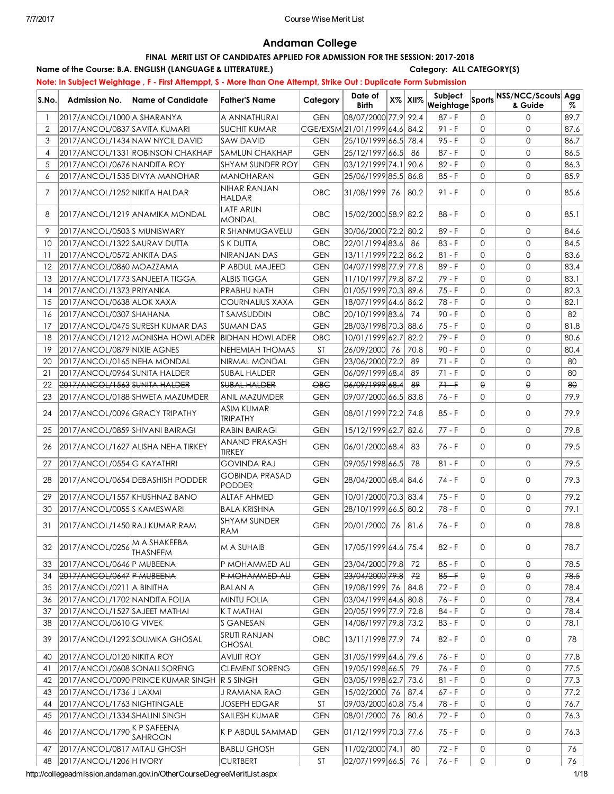## Andaman College

## FINAL MERIT LIST OF CANDIDATES APPLIED FOR ADMISSION FOR THE SESSION: 2017-2018

Name of the Course: B.A. ENGLISH (LANGUAGE & LITTERATURE.) Category: ALL CATEGORY(S) Note: In Subject Weightage , F - First Attemppt, S - More than One Attempt, Strike Out : Duplicate Form Submission

| S.No.          | <b>Admission No.</b>                      | Name of Candidate                            | Father'S Name                          | Category            | Date of<br><b>Birth</b>      | $X\%$ XII $\%$ |          |              | <b>Weightage Sports NSS/NCC/Scouts Agg</b> |      |
|----------------|-------------------------------------------|----------------------------------------------|----------------------------------------|---------------------|------------------------------|----------------|----------|--------------|--------------------------------------------|------|
| $\mathbf{1}$   | 2017/ANCOL/1000 A SHARANYA                |                                              | A ANNATHURAI                           | <b>GEN</b>          | 08/07/2000 77.9 92.4         |                | $87 - F$ | $\Omega$     | $\Omega$                                   | 89.7 |
| $\overline{2}$ | 2017/ANCOL/0837 SAVITA KUMARI             |                                              | <b>SUCHIT KUMAR</b>                    |                     | CGE/EXSM21/01/1999 64.6 84.2 |                | $91 - F$ | $\Omega$     | $\Omega$                                   | 87.6 |
| 3              |                                           | 2017/ANCOL/1434 NAW NYCIL DAVID              | <b>SAW DAVID</b>                       | <b>GEN</b>          | 25/10/1999 66.5 78.4         |                | $95 - F$ | $\Omega$     | $\mathbf{0}$                               | 86.7 |
| 4              |                                           | 2017/ANCOL/1331 ROBINSON CHAKHAP             | <b>SAMLUN CHAKHAP</b>                  | <b>GEN</b>          | 25/12/1997 66.5              | -86            | $87 - F$ | $\Omega$     | $\mathbf{0}$                               | 86.5 |
| 5              | 2017/ANCOL/0676 NANDITA ROY               |                                              | <b>SHYAM SUNDER ROY</b>                | <b>GEN</b>          | 03/12/1999 74.1 90.6         |                | $82 - F$ | $\Omega$     | $\mathbf{0}$                               | 86.3 |
| 6              | 2017/ANCOL/1535 DIVYA MANOHAR             |                                              | <b>MANOHARAN</b>                       | <b>GEN</b>          | 25/06/1999 85.5 86.8         |                | 85 - F   | $\Omega$     | $\mathbf{O}$                               | 85.9 |
| 7              | 2017/ANCOL/1252 NIKITA HALDAR             |                                              | NIHAR RANJAN<br>HALDAR                 | OBC.                | 31/08/1999 76 80.2           |                | $91 - F$ | $\Omega$     | $\mathbf{0}$                               | 85.6 |
| 8              |                                           | 2017/ANCOL/1219 ANAMIKA MONDAL               | <b>LATE ARUN</b><br><b>MONDAL</b>      | OBC                 | 15/02/2000 58.9 82.2         |                | 88 - F   | $\Omega$     | $\mathbf{O}$                               | 85.1 |
| 9              | 2017/ANCOL/0503S MUNISWARY                |                                              | R SHANMUGAVELU                         | <b>GEN</b>          | 30/06/2000 72.2 80.2         |                | $89 - F$ | $\Omega$     | $\mathbf{O}$                               | 84.6 |
| 10             | 2017/ANCOL/1322 SAURAV DUTTA              |                                              | S K DUTTA                              | OBC                 | 22/01/1994 83.6              | -86            | $83 - F$ | $\Omega$     | $\mathbf{O}$                               | 84.5 |
| -11            | 2017/ANCOL/0572 ANKITA DAS                |                                              | NIRANJAN DAS                           | <b>GEN</b>          | 13/11/1999 72.2 86.2         |                | $81 - F$ | $\Omega$     | $\mathbf{0}$                               | 83.6 |
| 12             | 2017/ANCOL/0860 MOAZZAMA                  |                                              | P ABDUL MAJEED                         | <b>GEN</b>          | 04/07/1998 77.9 77.8         |                | $89 - F$ | $\Omega$     | $\mathbf{0}$                               | 83.4 |
| 13             | 2017/ANCOL/1773 SANJEETA TIGGA            |                                              | <b>ALBIS TIGGA</b>                     | <b>GEN</b>          | 11/10/1997 79.8 87.2         |                | 79 - F   | $\Omega$     | $\mathbf{0}$                               | 83.1 |
| 14             | 2017/ANCOL/1373 PRIYANKA                  |                                              | PRABHU NATH                            | <b>GEN</b>          | 01/05/1999 70.3 89.6         |                | 75 - F   | $\Omega$     | $\mathbf{0}$                               | 82.3 |
| 15             | 2017/ANCOL/0638 ALOK XAXA                 |                                              | <b>COURNALIUS XAXA</b>                 | <b>GEN</b>          | 18/07/1999 64.6 86.2         |                | 78 - F   | $\Omega$     | $\mathbf{0}$                               | 82.1 |
| 16             | 2017/ANCOL/0307 SHAHANA                   |                                              | T SAMSUDDIN                            | OBC                 | 20/10/1999 83.6              | 74             | $90 - F$ | $\Omega$     | $\overline{0}$                             | 82   |
| 17             |                                           | 2017/ANCOL/0475 SURESH KUMAR DAS             | SUMAN DAS                              | <b>GEN</b>          | 28/03/1998 70.3 88.6         |                | 75 - F   | $\Omega$     | $\mathbf{0}$                               | 81.8 |
| 18             |                                           | 2017/ANCOL/1212 MONISHA HOWLADER             | <b>BIDHAN HOWLADER</b>                 | OBC                 | 10/01/1999 62.7 82.2         |                | 79 - F   | $\Omega$     | $\mathbf{0}$                               | 80.6 |
| 19             | 2017/ANCOL/0879 NIXIE AGNES               |                                              | NEHEMIAH THOMAS                        | <b>ST</b>           | 26/09/2000 76                | 70.8           | $90 - F$ | $\Omega$     | $\overline{0}$                             | 80.4 |
| 20             | 2017/ANCOL/0165 NEHA MONDAL               |                                              | NIRMAL MONDAL                          | <b>GEN</b>          | 23/06/2000 72.2              | 89             | $71 - F$ | $\Omega$     | $\overline{0}$                             | 80   |
| 21             | 2017/ANCOL/0964 SUNITA HALDER             |                                              | SUBAL HALDER                           | <b>GEN</b>          | 06/09/1999 68.4              | 89             | $71 - F$ | $\Omega$     | $\mathbf{0}$                               | 80   |
| 22             | 2017/ANCOL/1563 SUNITA HALDER             |                                              | <b>SUBAL HALDER</b>                    | $\Theta$ B $\Theta$ | 06/09/1999 68.4              | 89             | $7 +$    | $\Theta$     | $\Theta$                                   | 80   |
| 23             |                                           | 2017/ANCOL/0188 SHWETA MAZUMDER              | ANIL MAZUMDER                          | <b>GEN</b>          | 09/07/2000 66.5 83.8         |                | $76 - F$ | $\Omega$     | $\mathbf{O}$                               | 79.9 |
| 24             | 2017/ANCOL/0096 GRACY TRIPATHY            |                                              | ASIM KUMAR<br>TRIPATHY                 | <b>GEN</b>          | 08/01/1999 72.2 74.8         |                | $85 - F$ | $\Omega$     | $\mathbf{O}$                               | 79.9 |
| 25             | 2017/ANCOL/0859 SHIVANI BAIRAGI           |                                              | RABIN BAIRAGI                          | <b>GEN</b>          | 15/12/1999 62.7 82.6         |                | 77 - F   | $\Omega$     | $\mathsf{O}$                               | 79.8 |
| 26             |                                           | 2017/ANCOL/1627 ALISHA NEHA TIRKEY           | ANAND PRAKASH<br>TIRKEY                | <b>GEN</b>          | 06/01/2000 68.4              | -83            | 76 - F   | 0            | $\mathbf{0}$                               | 79.5 |
| 27             | 2017/ANCOL/0554 G KAYATHRI                |                                              | <b>GOVINDA RAJ</b>                     | <b>GEN</b>          | 09/05/1998 66.5              | 78             | $81 - F$ | $\Omega$     | $\mathsf{O}$                               | 79.5 |
| 28             |                                           | 2017/ANCOL/0654 DEBASHISH PODDER             | <b>GOBINDA PRASAD</b><br><b>PODDER</b> | <b>GEN</b>          | 28/04/2000 68.4 84.6         |                | 74 - F   | $\Omega$     | $\mathbf{O}$                               | 79.3 |
| 29             | 2017/ANCOL/1557 KHUSHNAZ BANO             |                                              | <b>ALTAF AHMED</b>                     | <b>GEN</b>          | 10/01/2000 70.3 83.4         |                | $75 - F$ | $\mathsf{O}$ | $\mathsf{O}$                               | 79.2 |
| 30             | 2017/ANCOL/0055 SKAMESWARI                |                                              | <b>BALA KRISHNA</b>                    | <b>GEN</b>          | 28/10/1999 66.5 80.2         |                | 78 - F   | $\Omega$     | $\mathbf{O}$                               | 79.1 |
| 31             | 2017/ANCOL/1450 RAJ KUMAR RAM             |                                              | <b>SHYAM SUNDER</b><br>RAM             | <b>GEN</b>          | 20/01/2000 76 81.6           |                | 76 - F   | $\Omega$     | $\overline{0}$                             | 78.8 |
| 32             | $2017/ANCOL/0256$ <sup>M</sup> A SHAKEEBA | <b>THASNEEM</b>                              | M A SUHAIB                             | <b>GEN</b>          | 17/05/1999 64.6 75.4         |                | $82 - F$ | 0            | 0                                          | 78.7 |
| 33             | 2017/ANCOL/0646 P MUBEENA                 |                                              | P MOHAMMED ALI                         | <b>GEN</b>          | 23/04/2000 79.8              | 72             | $85 - F$ | $\mathsf{O}$ | $\mathbf{0}$                               | 78.5 |
| 34             | 2017/ANCOL/0647 P MUBEENA                 |                                              | P MOHAMMED ALL                         | <b>GEN</b>          | 23/04/2000 79.8              | 72             | $85 - F$ | $\Theta$     | $\Theta$                                   | 78.5 |
| 35             | 2017/ANCOL/0211 A BINITHA                 |                                              | BALAN A                                | <b>GEN</b>          | 19/08/1999 76                | 84.8           | 72 - F   | $\mathbf{0}$ | $\mathbf{0}$                               | 78.4 |
| 36             | 2017/ANCOL/1702 NANDITA FOLIA             |                                              | <b>MINTU FOLIA</b>                     | <b>GEN</b>          | 03/04/1999 64.6 80.8         |                | 76 - F   | $\mathbf{0}$ | 0                                          | 78.4 |
| 37             | 2017/ANCOL/1527 SAJEET MATHAI             |                                              | K T MATHAI                             | <b>GEN</b>          | 20/05/1999 77.9 72.8         |                | 84 - F   | $\mathsf{O}$ | 0                                          | 78.4 |
| 38             | 2017/ANCOL/0610 G VIVEK                   |                                              | S GANESAN                              | <b>GEN</b>          | 14/08/1997 79.8 73.2         |                | $83 - F$ | $\circ$      | 0                                          | 78.1 |
| 39             |                                           | 2017/ANCOL/1292 SOUMIKA GHOSAL               | <b>SRUTI RANJAN</b><br><b>GHOSAL</b>   | OBC                 | 13/11/1998 77.9              | 74             | 82 - F   | 0            | 0                                          | 78   |
| 40             | 2017/ANCOL/0120 NIKITA ROY                |                                              | <b>AVIJIT ROY</b>                      | <b>GEN</b>          | 31/05/1999 64.6 79.6         |                | 76 - F   | $\mathsf{O}$ | 0                                          | 77.8 |
| 41             | 2017/ANCOL/0608 SONALI SORENG             |                                              | <b>CLEMENT SORENG</b>                  | <b>GEN</b>          | 19/05/1998 66.5              | 79             | $76 - F$ | $\mathbf{0}$ | 0                                          | 77.5 |
| 42             |                                           | 2017/ANCOL/0090 PRINCE KUMAR SINGH R S SINGH |                                        | <b>GEN</b>          | 03/05/1998 62.7 73.6         |                | $81 - F$ | 0            | 0                                          | 77.3 |
| 43             | 2017/ANCOL/1736 J LAXMI                   |                                              | J RAMANA RAO                           | <b>GEN</b>          | 15/02/2000 76 87.4           |                | 67 - F   | $\mathsf{O}$ | 0                                          | 77.2 |
| 44             | 2017/ANCOL/1763 NIGHTINGALE               |                                              | <b>JOSEPH EDGAR</b>                    | ST                  | 09/03/2000 60.8 75.4         |                | 78 - F   | 0            | 0                                          | 76.7 |
| 45             | 2017/ANCOL/1334 SHALINI SINGH             |                                              | SAILESH KUMAR                          | <b>GEN</b>          | 08/01/2000 76 80.6           |                | 72 - F   | $\mathbf{O}$ | 0                                          | 76.3 |
| 46             | $2017/ANCOL/1790$ K P SAFEENA             | <b>SAHROON</b>                               | K P ABDUL SAMMAD                       | <b>GEN</b>          | 01/12/1999 70.3 77.6         |                | $75 - F$ | 0            | 0                                          | 76.3 |
| 47             | 2017/ANCOL/0817 MITALI GHOSH              |                                              | <b>BABLU GHOSH</b>                     | <b>GEN</b>          | 11/02/2000 74.1              | 80             | $72 - F$ | 0            | 0                                          | 76   |
| 48             | 2017/ANCOL/1206 H IVORY                   |                                              | <b>CURTBERT</b>                        | <b>ST</b>           | $ 02/07/1999 66.5 $ 76       |                | $76 - F$ | $\mathsf{O}$ | 0                                          | 76   |

http://collegeadmission.andaman.gov.in/OtherCourseDegreeMeritList.aspx 1/18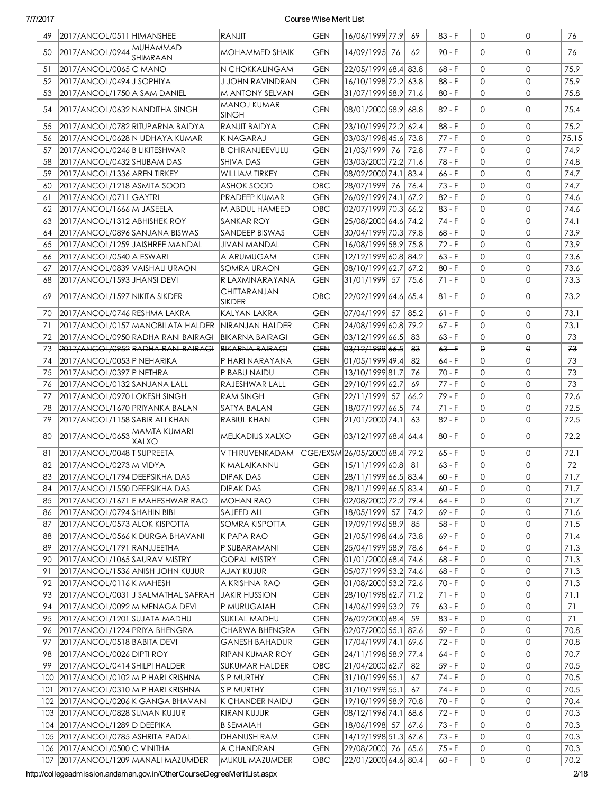| 49  | 2017/ANCOL/0511   HIMANSHEE       |                                     | RANJIT                             | <b>GEN</b> | 16/06/1999 77.9                         | 69   | 83 - F   | $\Omega$     | 0                   | 76    |
|-----|-----------------------------------|-------------------------------------|------------------------------------|------------|-----------------------------------------|------|----------|--------------|---------------------|-------|
| 50  | 2017/ANCOL/0944 MUHAMMAD          | SHIMRAAN                            | <b>MOHAMMED SHAIK</b>              | <b>GEN</b> | 14/09/1995 76                           | 62   | 90 - F   | $\Omega$     | $\mathsf{O}$        | 76    |
| 51  | 2017/ANCOL/0065 C MANO            |                                     | N CHOKKALINGAM                     | <b>GEN</b> | 22/05/1999 68.4 83.8                    |      | 68 - F   | $\mathbf{0}$ | 0                   | 75.9  |
| 52  | 2017/ANCOL/0494 JSOPHIYA          |                                     | J JOHN RAVINDRAN                   | <b>GEN</b> | 16/10/1998 72.2 63.8                    |      | $88 - F$ | $\mathbf{O}$ | 0                   | 75.9  |
| 53  | 2017/ANCOL/1750 A SAM DANIEL      |                                     | <b>M ANTONY SELVAN</b>             | <b>GEN</b> | 31/07/1999 58.9 71.6                    |      | $80 - F$ | $\mathbf{0}$ | $\mathbf 0$         | 75.8  |
| 54  | 2017/ANCOL/0632 NANDITHA SINGH    |                                     | <b>MANOJ KUMAR</b><br><b>SINGH</b> | GEN        | 08/01/2000 58.9 68.8                    |      | $82 - F$ | $\Omega$     | 0                   | 75.4  |
| 55  |                                   | 2017/ANCOL/0782 RITUPARNA BAIDYA    | RANJIT BAIDYA                      | <b>GEN</b> | 23/10/1999 72.2 62.4                    |      | $88 - F$ | $\Omega$     | $\mathsf{O}$        | 75.2  |
| 56  |                                   | 2017/ANCOL/0628 N UDHAYA KUMAR      | <b>KNAGARAJ</b>                    | <b>GEN</b> | 03/03/1998 45.6 73.8                    |      | $77 - F$ | $\Omega$     | $\mathbf{O}$        | 75.15 |
| 57  | 2017/ANCOL/0246 B LIKITESHWAR     |                                     | <b>B CHIRANJEEVULU</b>             | <b>GEN</b> | 21/03/1999 76 72.8                      |      | 77 - F   | $\Omega$     | $\mathbf{O}$        | 74.9  |
| 58  | 2017/ANCOL/0432 SHUBAM DAS        |                                     | <b>SHIVA DAS</b>                   | <b>GEN</b> | 03/03/2000 72.2 71.6                    |      | 78 - F   | 0            | $\mathbf{O}$        | 74.8  |
| 59  | 2017/ANCOL/1336 AREN TIRKEY       |                                     | <b>WILLIAM TIRKEY</b>              | <b>GEN</b> | 08/02/2000 74.1 83.4                    |      | $66 - F$ | $\mathbf{O}$ | $\mathbf{O}$        | 74.7  |
| 60  | 2017/ANCOL/1218 ASMITA SOOD       |                                     | <b>ASHOK SOOD</b>                  | OBC        | 28/07/1999 76 76.4                      |      | $73 - F$ | $\Omega$     | $\mathbf{0}$        | 74.7  |
| 61  | 2017/ANCOL/0711   GAYTRI          |                                     | PRADEEP KUMAR                      | <b>GEN</b> | 26/09/1999 74.1 67.2                    |      | $82 - F$ | $\Omega$     | $\mathbf{O}$        | 74.6  |
| 62  | 2017/ANCOL/1666 M JASEELA         |                                     | M ABDUL HAMEED                     | OBC        | 02/07/1999 70.3 66.2                    |      | $83 - F$ | $\Omega$     | $\mathbf 0$         | 74.6  |
| 63  | 2017/ANCOL/1312 ABHISHEK ROY      |                                     | SANKAR ROY                         | <b>GEN</b> | 25/08/2000 64.6 74.2                    |      | 74 - F   | $\Omega$     | $\mathsf{O}\xspace$ | 74.1  |
| 64  | 2017/ANCOL/0896 SANJANA BISWAS    |                                     | SANDEEP BISWAS                     | <b>GEN</b> | 30/04/1999 70.3 79.8                    |      | $68 - F$ | $\Omega$     | $\mathbf 0$         | 73.9  |
| 65  |                                   | 2017/ANCOL/1259 JAISHREE MANDAL     | JIVAN MANDAL                       | <b>GEN</b> | 16/08/1999 58.9 75.8                    |      | 72 - F   | $\mathbf{0}$ | 0                   | 73.9  |
| 66  | 2017/ANCOL/0540 A ESWARI          |                                     | A ARUMUGAM                         | <b>GEN</b> | 12/12/1999 60.8 84.2                    |      | $63 - F$ | $\Omega$     | 0                   | 73.6  |
| 67  | 2017/ANCOL/0839 VAISHALI URAON    |                                     | SOMRA URAON                        | <b>GEN</b> | 08/10/1999 62.7 67.2                    |      | $80 - F$ | $\mathbf{0}$ | 0                   | 73.6  |
| 68  | 2017/ANCOL/1593 JHANSI DEVI       |                                     | R LAXMINARAYANA                    | <b>GEN</b> | 31/01/1999 57                           | 75.6 | 71 - F   | $\mathbf{0}$ | $\mathsf{O}$        | 73.3  |
| 69  | 2017/ANCOL/1597 NIKITA SIKDER     |                                     | CHITTARANJAN                       | <b>OBC</b> | 22/02/1999 64.6 65.4                    |      | $81 - F$ | $\Omega$     | 0                   | 73.2  |
|     |                                   |                                     | SIKDER                             |            |                                         |      |          |              |                     |       |
| 70  | 2017/ANCOL/0746 RESHMA LAKRA      |                                     | KALYAN LAKRA                       | <b>GEN</b> | 07/04/1999 57                           | 85.2 | $61 - F$ | $\Omega$     | $\mathsf{O}$        | 73.1  |
| 71  |                                   | 2017/ANCOL/0157 MANOBILATA HALDER   | NIRANJAN HALDER                    | <b>GEN</b> | 24/08/1999 60.8 79.2                    |      | 67 - F   | $\Omega$     | $\mathsf{O}$        | 73.1  |
| 72  |                                   | 2017/ANCOL/0950 RADHA RANI BAIRAGI  | <b>BIKARNA BAIRAGI</b>             | <b>GEN</b> | 03/12/1999 66.5                         | 83   | $63 - F$ | $\mathbf{0}$ | $\mathsf{O}$        | 73    |
| 73  |                                   | 2017/ANCOL/0952 RADHA RANI BAIRAGI  | <b>BIKARNA BAIRAGI</b>             | <b>GEN</b> | <del>03/12/1999</del>   <del>66.5</del> | 83   | $63 - F$ | $\Theta$     | $\Theta$            | 73    |
| 74  | 2017/ANCOL/0053 P NEHARIKA        |                                     | P HARI NARAYANA                    | <b>GEN</b> | 01/05/1999 49.4                         | 82   | 64 - F   | $\Omega$     | $\mathbf{O}$        | 73    |
| 75  | 2017/ANCOL/0397 P NETHRA          |                                     | P BABU NAIDU                       | <b>GEN</b> | 13/10/1999 81.7                         | 76   | 70 - F   | $\Omega$     | $\mathbf{O}$        | 73    |
| 76  | 2017/ANCOL/0132 SANJANA LALL      |                                     | RAJESHWAR LALL                     | <b>GEN</b> | 29/10/1999 62.7                         | 69   | 77 - F   | $\Omega$     | $\mathbf{O}$        | 73    |
| 77  | 2017/ANCOL/0970 LOKESH SINGH      |                                     | <b>RAM SINGH</b>                   | <b>GEN</b> | 22/11/1999 57                           | 66.2 | $79 - F$ | $\mathbf{O}$ | $\mathbf{O}$        | 72.6  |
| 78  | 2017/ANCOL/1670 PRIYANKA BALAN    |                                     | SATYA BALAN                        | <b>GEN</b> | 18/07/1997 66.5                         | 74   | $71 - F$ | 0            | $\mathbf{O}$        | 72.5  |
| 79  | 2017/ANCOL/1158 SABIR ALI KHAN    |                                     | <b>RABIUL KHAN</b>                 | <b>GEN</b> | 21/01/2000 74.1                         | 63   | $82 - F$ | $\Omega$     | $\mathbf{0}$        | 72.5  |
| 80  | 2017/ANCOL/0653 MAMTA KUMARI      | <b>XALXO</b>                        | <b>MELKADIUS XALXO</b>             | <b>GEN</b> | 03/12/1997 68.4  64.4                   |      | $80 - F$ | $\Omega$     | $\mathsf{O}$        | 72.2  |
| 81  | 2017/ANCOL/0048 TSUPREETA         |                                     | V THIRUVENKADAM                    |            | CGE/EXSM 26/05/2000 68.4 79.2           |      | $65 - F$ | $\mathbf{0}$ | 0                   | 72.1  |
| 82  | 2017/ANCOL/0273 M VIDYA           |                                     | K MALAIKANNU                       | <b>GEN</b> | 15/11/1999 60.8  81                     |      | $63 - F$ | $\mathbf{0}$ | $\mathbf 0$         | 72    |
| 83  | 2017/ANCOL/1794 DEEPSIKHA DAS     |                                     | <b>DIPAK DAS</b>                   | <b>GEN</b> | 28/11/1999 66.5 83.4                    |      | $60 - F$ | $\mathsf{O}$ | 0                   | 71.7  |
| 84  | 2017/ANCOL/1550 DEEPSIKHA DAS     |                                     | DIPAK DAS                          | GEN        | 28/11/1999 66.5  83.4                   |      | 60 - F   | 0            | 0                   | 71.7  |
| 85  |                                   | 2017/ANCOL/1671 E MAHESHWAR RAO     | <b>MOHAN RAO</b>                   | <b>GEN</b> | 02/08/2000 72.2 79.4                    |      | 64 - F   | $\mathbf{0}$ | $\mathbf{O}$        | 71.7  |
| 86  | 2017/ANCOL/0794 SHAHIN BIBI       |                                     | SAJEED ALI                         | <b>GEN</b> | 18/05/1999 57 74.2                      |      | $69 - F$ | 0            | 0                   | 71.6  |
| 87  | 2017/ANCOL/0573 ALOK KISPOTTA     |                                     | SOMRA KISPOTTA                     | <b>GEN</b> | 19/09/1996 58.9                         | 85   | $58 - F$ | $\mathbf{0}$ | 0                   | 71.5  |
| 88  |                                   | 2017/ANCOL/0566 K DURGA BHAVANI     | K PAPA RAO                         | GEN        | 21/05/1998 64.6 73.8                    |      | $69 - F$ | $\mathbf{0}$ | 0                   | 71.4  |
| 89  | 2017/ANCOL/1791 RANJJEETHA        |                                     | P SUBARAMANI                       | <b>GEN</b> | 25/04/1999 58.9 78.6                    |      | 64 - F   | $\mathbf{0}$ | 0                   | 71.3  |
| 90  | 2017/ANCOL/1065 SAURAV MISTRY     |                                     | <b>GOPAL MISTRY</b>                | <b>GEN</b> | 01/01/2000 68.4  74.6                   |      | $68 - F$ | 0            | 0                   | 71.3  |
| 91  |                                   | 2017/ANCOL/1536 ANISH JOHN KUJUR    | <b>AJAY KUJUR</b>                  | <b>GEN</b> | 05/07/1999 53.2 74.6                    |      | $68 - F$ | $\mathbf{0}$ | 0                   | 71.3  |
| 92  | 2017/ANCOL/0116 K MAHESH          |                                     | A KRISHNA RAO                      | <b>GEN</b> | 01/08/2000 53.2 72.6                    |      | 70 - F   | 0            | 0                   | 71.3  |
| 93  |                                   | 2017/ANCOL/0031 J SALMATHAL SAFRAH  | <b>JAKIR HUSSION</b>               | GEN        | 28/10/1998 62.7 71.2                    |      | 71 - F   | 0            | 0                   | 71.1  |
| 94  | 2017/ANCOL/0092 M MENAGA DEVI     |                                     | P MURUGAIAH                        | GEN        | 14/06/1999 53.2 79                      |      | 63 - F   | 0            | 0                   | 71    |
| 95  | 2017/ANCOL/1201 SUJATA MADHU      |                                     | SUKLAL MADHU                       | GEN        | 26/02/2000 68.4                         | 59   | $83 - F$ | 0            | 0                   | 71    |
| 96  | 2017/ANCOL/1224 PRIYA BHENGRA     |                                     | CHARWA BHENGRA                     | GEN        | 02/07/2000 55.1 82.6                    |      | 59 - F   | 0            | 0                   | 70.8  |
| 97  | 2017/ANCOL/0518 BABITA DEVI       |                                     | <b>GANESH BAHADUR</b>              | <b>GEN</b> | 17/04/1999 74.1 69.6                    |      | 72 - F   | 0            | 0                   | 70.8  |
| 98  | 2017/ANCOL/0026 DIPTI ROY         |                                     | RIPAN KUMAR ROY                    | GEN        | 24/11/1998 58.9 77.4                    |      | 64 - F   | 0            | 0                   | 70.7  |
| 99  | 2017/ANCOL/0414 SHILPI HALDER     |                                     | SUKUMAR HALDER                     | OBC        | 21/04/2000 62.7                         | 82   | 59 - F   | 0            | 0                   | 70.5  |
| 100 | 2017/ANCOL/0102 M P HARI KRISHNA  |                                     | S P MURTHY                         | <b>GEN</b> | 31/10/1999 55.1                         | 67   | 74 - F   | $\mathbf{0}$ | 0                   | 70.5  |
| 101 | 2017/ANCOL/0310 M P HARI KRISHNA  |                                     | <b>S P MURTHY</b>                  | <b>GEN</b> | <del>31/10/1999 55.1</del>              | 67   | $74 - F$ | $\Theta$     | $\Theta$            | 70.5  |
|     |                                   | 102 2017/ANCOL/0206 K GANGA BHAVANI | K CHANDER NAIDU                    | <b>GEN</b> | 19/10/1999 58.9 70.8                    |      | $70 - F$ | $\mathbf{0}$ | 0                   | 70.4  |
|     | 103 2017/ANCOL/0828 SUMAN KUJUR   |                                     | KIRAN KUJUR                        | <b>GEN</b> | 08/12/1996 74.1 68.6                    |      | 72 - F   | $\mathbf{0}$ | 0                   | 70.3  |
|     | 104 2017/ANCOL/1289 D DEEPIKA     |                                     | <b>B SEMAIAH</b>                   | <b>GEN</b> | 18/06/1998 57                           | 67.6 | 73 - F   | $\mathbf{O}$ | 0                   | 70.3  |
|     | 105 2017/ANCOL/0785 ASHRITA PADAL |                                     | DHANUSH RAM                        | <b>GEN</b> | 14/12/1998 51.3 67.6                    |      | 73 - F   | 0            | $\mathbf{O}$        | 70.3  |
|     | 106 2017/ANCOL/0500 C VINITHA     |                                     | A CHANDRAN                         | <b>GEN</b> | 29/08/2000 76                           | 65.6 | 75 - F   | $\mathbf{0}$ | 0                   | 70.3  |
|     |                                   | 107 2017/ANCOL/1209 MANALI MAZUMDER | MUKUL MAZUMDER                     | OBC        | 22/01/2000 64.6 80.4                    |      | $60 - F$ | 0            | 0                   | 70.2  |
|     |                                   |                                     |                                    |            |                                         |      |          |              |                     |       |

http://collegeadmission.andaman.gov.in/OtherCourseDegreeMeritList.aspx 2/18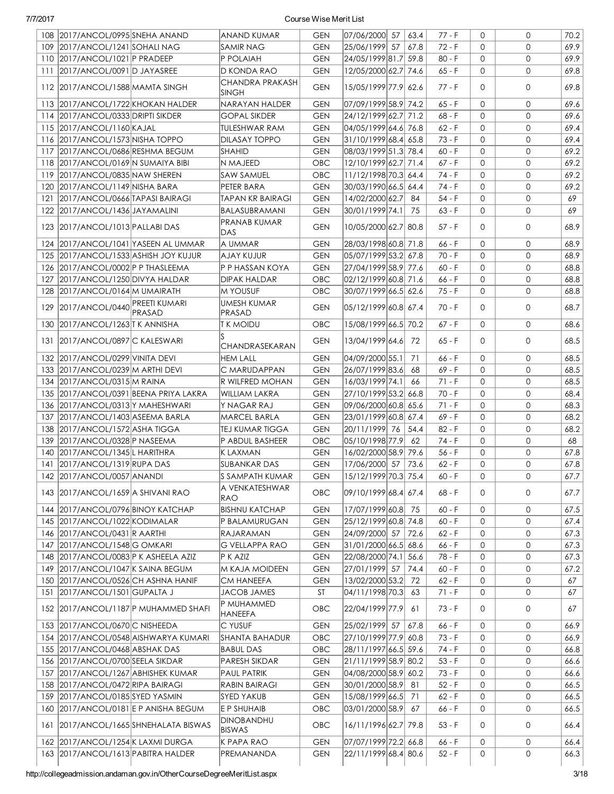| 109 2017/ANCOL/1241 SOHALI NAG<br>25/06/1999 57<br>$\Omega$<br>$\mathbf{0}$<br>69.9<br><b>SAMIR NAG</b><br><b>GEN</b><br>67.8<br>72 - F<br>110 2017/ANCOL/1021 P PRADEEP<br>P POLAIAH<br>24/05/1999 81.7 59.8<br>$\mathbf{0}$<br>$\mathbf{0}$<br>69.9<br><b>GEN</b><br>$80 - F$<br>111 2017/ANCOL/0091 D JAYASREE<br>D KONDA RAO<br><b>GEN</b><br>12/05/2000 62.7 74.6<br>$65 - F$<br>$\mathbf 0$<br>0<br>69.8<br><b>CHANDRA PRAKASH</b><br>15/05/1999 77.9 62.6<br>69.8<br>112 2017/ANCOL/1588 MAMTA SINGH<br><b>GEN</b><br>$\mathbf 0$<br>$77 - F$<br>$\Omega$<br><b>SINGH</b><br>07/09/1999 58.9 74.2<br>113 2017/ANCOL/1722 KHOKAN HALDER<br>0<br>NARAYAN HALDER<br>$65 - F$<br>$\mathbf{0}$<br>69.6<br><b>GEN</b><br>114 2017/ANCOL/0333 DRIPTI SIKDER<br>24/12/1999 62.7 71.2<br>$68 - F$<br>$\mathbf{0}$<br>69.6<br><b>GOPAL SIKDER</b><br><b>GEN</b><br>$\Omega$<br>115 2017/ANCOL/1160 KAJAL<br>04/05/1999 64.6 76.8<br>0<br><b>TULESHWAR RAM</b><br><b>GEN</b><br>$62 - F$<br>$\mathbf 0$<br>69.4<br>116 2017/ANCOL/1573 NISHA TOPPO<br>31/10/1999 68.4 65.8<br>$\mathbf{O}$<br><b>DILASAY TOPPO</b><br><b>GEN</b><br>$73 - F$<br>$\mathbf 0$<br>69.4<br>08/03/1999 51.3 78.4<br>117 2017/ANCOL/0686 RESHMA BEGUM<br>$\mathbf{O}$<br>69.2<br><b>SHAHID</b><br><b>GEN</b><br>$60 - F$<br>$\mathbf 0$<br>118 2017/ANCOL/0169 N SUMAIYA BIBI<br>12/10/1999 62.7 71.4<br>$\mathbf{0}$<br>$\mathbf{O}$<br>69.2<br>N MAJEED<br>OBC<br>67 - F<br>119 2017/ANCOL/0835 NAW SHEREN<br>11/12/1998 70.3 64.4<br>$\mathbf{0}$<br>69.2<br><b>SAW SAMUEL</b><br>OBC<br>74 - F<br>$\mathbf 0$<br>120 2017/ANCOL/1149 NISHA BARA<br>PETER BARA<br>30/03/1990 66.5 64.4<br>$\mathbf{0}$<br>$\mathbf{O}$<br>69.2<br><b>GEN</b><br>74 - F<br>14/02/2000 62.7<br>$54 - F$<br>$\mathbf{0}$<br>$\mathbf{0}$<br>69<br>121<br>2017/ANCOL/0666 TAPASI BAIRAGI<br><b>TAPAN KR BAIRAGI</b><br><b>GEN</b><br>84<br>30/01/1999 74.1<br>$\mathbf{0}$<br>$\mathbf{0}$<br>69<br>122 2017/ANCOL/1436 JAYAMALINI<br>BALASUBRAMANI<br><b>GEN</b><br>75<br>$63 - F$<br>PRANAB KUMAR<br>10/05/2000 62.7 80.8<br>123 2017/ANCOL/1013 PALLABI DAS<br><b>GEN</b><br>57 - F<br>$\mathbf{0}$<br>$\mathbf 0$<br>68.9<br>DAS<br>124 2017/ANCOL/1041 YASEEN AL UMMAR<br>28/03/1998 60.8 71.8<br>66 - F<br>$\mathbf 0$<br>$\mathbf 0$<br>68.9<br>A UMMAR<br><b>GEN</b><br>05/07/1999 53.2 67.8<br>$70 - F$<br>$\mathbf{0}$<br>68.9<br>125 2017/ANCOL/1533 ASHISH JOY KUJUR<br><b>AJAY KUJUR</b><br><b>GEN</b><br>$\Omega$<br>126 2017/ANCOL/0002 P P THASLEEMA<br>27/04/1999 58.9 77.6<br>$60 - F$<br>0<br><b>GEN</b><br>$\mathbf 0$<br>68.8<br>P P HASSAN KOYA<br>02/12/1999 60.8 71.6<br>0<br>127 2017/ANCOL/1250 DIVYA HALDAR<br><b>DIPAK HALDAR</b><br>OBC<br>66 - F<br>0<br>68.8<br>30/07/1999 66.5 62.6<br>$\mathbf{0}$<br>128 2017/ANCOL/0164 M UMAIRATH<br><b>MYOUSUF</b><br>OBC<br>75 - F<br>$\mathbf{0}$<br>68.8<br>UMESH KUMAR<br>2017/ANCOL/0440 PREETI KUMARI<br>129<br><b>GEN</b><br> 05/12/1999 60.8 67.4<br>$70 - F$<br>$\Omega$<br>$\mathbf 0$<br>68.7<br>PRASAD<br>PRASAD<br>15/08/1999 66.5 70.2<br>$\mathbf{0}$<br>130 2017/ANCOL/1263 T K ANNISHA<br><b>TK MOIDU</b><br>OBC<br>67 - F<br>$\mathbf{0}$<br>68.6<br>131 2017/ANCOL/0897 C KALESWARI<br><b>GEN</b><br>13/04/1999 64.6<br>$\mathbf{0}$<br>$\mathbf 0$<br>68.5<br>72<br>65 - F<br>CHANDRASEKARAN<br>04/09/2000 55.1<br>$66 - F$<br>$\mathbf{0}$<br>132 2017/ANCOL/0299 VINITA DEVI<br><b>HEM LALL</b><br><b>GEN</b><br>71<br>$\Omega$<br>68.5<br>26/07/1999 83.6<br>$69 - F$<br>$\mathbf{0}$<br>133 2017/ANCOL/0239 M ARTHI DEVI<br>C MARUDAPPAN<br><b>GEN</b><br>68<br>$\Omega$<br>68.5<br>16/03/1999 74.1<br>$\mathbf{0}$<br>68.5<br>134 2017/ANCOL/0315 M RAINA<br>R WILFRED MOHAN<br><b>GEN</b><br>66<br>$71 - F$<br>$\mathbf{0}$<br>135 2017/ANCOL/0391 BEENA PRIYA LAKRA<br>27/10/1999 53.2 66.8<br>$70 - F$<br>$\mathbf{0}$<br>68.4<br><b>WILLIAM LAKRA</b><br><b>GEN</b><br>$\mathbf{0}$<br>$\mathbf{O}$<br>09/06/2000 60.8 65.6<br>$71 - F$<br>136 2017/ANCOL/0313 Y MAHESHWARI<br>Y NAGAR RAJ<br><b>GEN</b><br>$\mathbf{0}$<br>68.3<br>137 2017/ANCOL/1403 ASEEMA BARLA<br>23/01/1999 60.8 67.4<br>$\mathbf{0}$<br>68.2<br>MARCEL BARLA<br><b>GEN</b><br>$69 - F$<br>$\mathbf{0}$<br>138 2017/ANCOL/1572 ASHA TIGGA<br>20/11/1999 76<br>54.4<br>$\mathbf{0}$<br>$\mathbf{0}$<br>68.2<br><b>TEJ KUMAR TIGGA</b><br><b>GEN</b><br>82 - F<br>139 2017/ANCOL/0328 P NASEEMA<br>05/10/1998 77.9<br>62<br>$74 - F$<br>$\mathbf{0}$<br>$\mathbf{O}$<br>68<br>P ABDUL BASHEER<br>OBC<br>16/02/2000 58.9 79.6<br>140 2017/ANCOL/1345 L HARITHRA<br>$56 - F$<br>0<br>67.8<br><b>KLAXMAN</b><br><b>GEN</b><br>$\mathbf 0$<br>73.6<br>141 2017/ANCOL/1319 RUPA DAS<br>17/06/2000 57<br>$62 - F$<br>$\mathbf{O}$<br>$\mathbf{O}$<br><b>SUBANKAR DAS</b><br><b>GEN</b><br>67.8<br>15/12/1999 70.3 75.4<br>67.7<br>142 2017/ANCOL/0057 ANANDI<br>S SAMPATH KUMAR<br>$\mathsf{GEN}$<br>$60 - F$<br>$\mathsf{O}\xspace$<br>$\mathsf{O}\xspace$<br>A VENKATESHWAR<br>09/10/1999 68.4 67.4<br>143   2017/ANCOL/1659   A SHIVANI RAO<br>67.7<br>OBC.<br>68 - F<br>0<br>0<br><b>RAO</b><br>144 2017/ANCOL/0796 BINOY KATCHAP<br>17/07/1999 60.8<br><b>BISHNU KATCHAP</b><br>60 - F<br>0<br>67.5<br><b>GEN</b><br>75<br>0<br>25/12/1999 60.8 74.8<br>145 2017/ANCOL/1022 KODIMALAR<br>P BALAMURUGAN<br><b>GEN</b><br>$60 - F$<br>$\mathbf 0$<br>0<br>67.4<br>146 2017/ANCOL/0431 R AARTHI<br>24/09/2000 57<br>72.6<br>62 - F<br>$\mathbf 0$<br>67.3<br><b>RAJARAMAN</b><br><b>GEN</b><br>0<br>147 2017/ANCOL/1548 G OMKARI<br><b>G VELLAPPA RAO</b><br>31/01/2000 66.5 68.6<br>66 - F<br>0<br>67.3<br><b>GEN</b><br>0<br>148 2017/ANCOL/0083 P K ASHEELA AZIZ<br>22/08/2000 74.1 56.6<br>78 - F<br>0<br>67.3<br>P K AZIZ<br><b>GEN</b><br>0<br>149 2017/ANCOL/1047 K SAINA BEGUM<br>M KAJA MOIDEEN<br>27/01/1999 57<br>74.4<br>$60 - F$<br>0<br>67.2<br><b>GEN</b><br>0<br>150 2017/ANCOL/0526 CH ASHNA HANIF<br><b>GEN</b><br>13/02/2000 53.2<br>72<br>$62 - F$<br>$\mathbf{0}$<br>0<br>67<br><b>CM HANEEFA</b><br>151 2017/ANCOL/1501 GUPALTA J<br><b>JACOB JAMES</b><br>04/11/1998 70.3<br>$71 - F$<br>0<br>ST<br>63<br>0<br>67<br>P MUHAMMED<br>152 2017/ANCOL/1187 P MUHAMMED SHAFI<br>OBC<br>22/04/1999 77.9<br>$73 - F$<br>$\mathbf 0$<br>0<br>61<br>67<br>HANEEFA<br>153 2017/ANCOL/0670 C NISHEEDA<br>25/02/1999 57<br>0<br>C YUSUF<br><b>GEN</b><br>67.8<br>$66 - F$<br>0<br>66.9<br>154 2017/ANCOL/0548 AISHWARYA KUMARI<br>27/10/1999 77.9 60.8<br><b>SHANTA BAHADUR</b><br>OBC<br>$73 - F$<br>$\mathbf 0$<br>0<br>66.9<br>155 2017/ANCOL/0468 ABSHAK DAS<br>28/11/1997 66.5 59.6<br><b>BABUL DAS</b><br>OBC<br>74 - F<br>0<br>0<br>66.8<br>156 2017/ANCOL/0700 SEELA SIKDAR<br>21/11/1999 58.9 80.2<br><b>PARESH SIKDAR</b><br><b>GEN</b><br>$53 - F$<br>0<br>0<br>66.6<br>04/08/2000 58.9 60.2<br>157<br>2017/ANCOL/1267 ABHISHEK KUMAR<br><b>PAUL PATRIK</b><br><b>GEN</b><br>$73 - F$<br>0<br>0<br>66.6<br>158 2017/ANCOL/0472 RIPA BAIRAGI<br>30/01/2000 58.9<br><b>RABIN BAIRAGI</b><br><b>GEN</b><br>81<br>$52 - F$<br>0<br>0<br>66.5<br>159 2017/ANCOL/0185 SYED YASMIN<br>15/08/1999 66.5<br>SYED YAKUB<br><b>GEN</b><br>$62 - F$<br>0<br>0<br>66.5<br>71<br>160 2017/ANCOL/0181 E P ANISHA BEGUM<br>E P SHUHAIB<br>OBC<br>03/01/2000 58.9<br>$\mathbf 0$<br>0<br>67<br>66 - F<br>66.5<br><b>DINOBANDHU</b><br>161   2017/ANCOL/1665 SHNEHALATA BISWAS<br>OBC<br>16/11/1996 62.7 79.8<br>0<br>$53 - F$<br>0<br>66.4<br> BISWAS<br>162 2017/ANCOL/1254 K LAXMI DURGA<br>07/07/1999 72.2 66.8<br>K PAPA RAO<br><b>GEN</b><br>$66 - F$<br>0<br>0<br>66.4<br>163 2017/ANCOL/1613 PABITRA HALDER<br>22/11/1999 68.4 80.6<br>0<br>PREMANANDA<br><b>GEN</b><br>$52 - F$<br>0<br>66.3 | 108 2017/ANCOL/0995 SNEHA ANAND | ANAND KUMAR | <b>GEN</b> | 07/06/2000 57 | 63.4 | $77 - F$ | $\Omega$ | $\mathbf{0}$ | 70.2 |
|----------------------------------------------------------------------------------------------------------------------------------------------------------------------------------------------------------------------------------------------------------------------------------------------------------------------------------------------------------------------------------------------------------------------------------------------------------------------------------------------------------------------------------------------------------------------------------------------------------------------------------------------------------------------------------------------------------------------------------------------------------------------------------------------------------------------------------------------------------------------------------------------------------------------------------------------------------------------------------------------------------------------------------------------------------------------------------------------------------------------------------------------------------------------------------------------------------------------------------------------------------------------------------------------------------------------------------------------------------------------------------------------------------------------------------------------------------------------------------------------------------------------------------------------------------------------------------------------------------------------------------------------------------------------------------------------------------------------------------------------------------------------------------------------------------------------------------------------------------------------------------------------------------------------------------------------------------------------------------------------------------------------------------------------------------------------------------------------------------------------------------------------------------------------------------------------------------------------------------------------------------------------------------------------------------------------------------------------------------------------------------------------------------------------------------------------------------------------------------------------------------------------------------------------------------------------------------------------------------------------------------------------------------------------------------------------------------------------------------------------------------------------------------------------------------------------------------------------------------------------------------------------------------------------------------------------------------------------------------------------------------------------------------------------------------------------------------------------------------------------------------------------------------------------------------------------------------------------------------------------------------------------------------------------------------------------------------------------------------------------------------------------------------------------------------------------------------------------------------------------------------------------------------------------------------------------------------------------------------------------------------------------------------------------------------------------------------------------------------------------------------------------------------------------------------------------------------------------------------------------------------------------------------------------------------------------------------------------------------------------------------------------------------------------------------------------------------------------------------------------------------------------------------------------------------------------------------------------------------------------------------------------------------------------------------------------------------------------------------------------------------------------------------------------------------------------------------------------------------------------------------------------------------------------------------------------------------------------------------------------------------------------------------------------------------------------------------------------------------------------------------------------------------------------------------------------------------------------------------------------------------------------------------------------------------------------------------------------------------------------------------------------------------------------------------------------------------------------------------------------------------------------------------------------------------------------------------------------------------------------------------------------------------------------------------------------------------------------------------------------------------------------------------------------------------------------------------------------------------------------------------------------------------------------------------------------------------------------------------------------------------------------------------------------------------------------------------------------------------------------------------------------------------------------------------------------------------------------------------------------------------------------------------------------------------------------------------------------------------------------------------------------------------------------------------------------------------------------------------------------------------------------------------------------------------------------------------------------------------------------------------------------------------------------------------------------------------------------------------------------------------------------------------------------------------------------------------------------------------------------------------------------------------------------------------------------------------------------------------------------------------------------------------------------------------------------------------------------------------------------------------------------------------------------------------------------------------------------------------------------------------------------------------------------------------------------------------------------------------------------------------------------------------------------------------------------------------------------------------------------------------------------------------------------------------------------------------------------------------------------------------------------------------------------------------------------------------------------------------------------------------------------------------------------------------------------------------------------------------------------------------------------------------------------------------------------------------------------------------------------------------------------------------------------------------------------------------------------------------|---------------------------------|-------------|------------|---------------|------|----------|----------|--------------|------|
|                                                                                                                                                                                                                                                                                                                                                                                                                                                                                                                                                                                                                                                                                                                                                                                                                                                                                                                                                                                                                                                                                                                                                                                                                                                                                                                                                                                                                                                                                                                                                                                                                                                                                                                                                                                                                                                                                                                                                                                                                                                                                                                                                                                                                                                                                                                                                                                                                                                                                                                                                                                                                                                                                                                                                                                                                                                                                                                                                                                                                                                                                                                                                                                                                                                                                                                                                                                                                                                                                                                                                                                                                                                                                                                                                                                                                                                                                                                                                                                                                                                                                                                                                                                                                                                                                                                                                                                                                                                                                                                                                                                                                                                                                                                                                                                                                                                                                                                                                                                                                                                                                                                                                                                                                                                                                                                                                                                                                                                                                                                                                                                                                                                                                                                                                                                                                                                                                                                                                                                                                                                                                                                                                                                                                                                                                                                                                                                                                                                                                                                                                                                                                                                                                                                                                                                                                                                                                                                                                                                                                                                                                                                                                                                                                                                                                                                                                                                                                                                                                                                                                                                                                                                                                                                                  |                                 |             |            |               |      |          |          |              |      |
|                                                                                                                                                                                                                                                                                                                                                                                                                                                                                                                                                                                                                                                                                                                                                                                                                                                                                                                                                                                                                                                                                                                                                                                                                                                                                                                                                                                                                                                                                                                                                                                                                                                                                                                                                                                                                                                                                                                                                                                                                                                                                                                                                                                                                                                                                                                                                                                                                                                                                                                                                                                                                                                                                                                                                                                                                                                                                                                                                                                                                                                                                                                                                                                                                                                                                                                                                                                                                                                                                                                                                                                                                                                                                                                                                                                                                                                                                                                                                                                                                                                                                                                                                                                                                                                                                                                                                                                                                                                                                                                                                                                                                                                                                                                                                                                                                                                                                                                                                                                                                                                                                                                                                                                                                                                                                                                                                                                                                                                                                                                                                                                                                                                                                                                                                                                                                                                                                                                                                                                                                                                                                                                                                                                                                                                                                                                                                                                                                                                                                                                                                                                                                                                                                                                                                                                                                                                                                                                                                                                                                                                                                                                                                                                                                                                                                                                                                                                                                                                                                                                                                                                                                                                                                                                                  |                                 |             |            |               |      |          |          |              |      |
|                                                                                                                                                                                                                                                                                                                                                                                                                                                                                                                                                                                                                                                                                                                                                                                                                                                                                                                                                                                                                                                                                                                                                                                                                                                                                                                                                                                                                                                                                                                                                                                                                                                                                                                                                                                                                                                                                                                                                                                                                                                                                                                                                                                                                                                                                                                                                                                                                                                                                                                                                                                                                                                                                                                                                                                                                                                                                                                                                                                                                                                                                                                                                                                                                                                                                                                                                                                                                                                                                                                                                                                                                                                                                                                                                                                                                                                                                                                                                                                                                                                                                                                                                                                                                                                                                                                                                                                                                                                                                                                                                                                                                                                                                                                                                                                                                                                                                                                                                                                                                                                                                                                                                                                                                                                                                                                                                                                                                                                                                                                                                                                                                                                                                                                                                                                                                                                                                                                                                                                                                                                                                                                                                                                                                                                                                                                                                                                                                                                                                                                                                                                                                                                                                                                                                                                                                                                                                                                                                                                                                                                                                                                                                                                                                                                                                                                                                                                                                                                                                                                                                                                                                                                                                                                                  |                                 |             |            |               |      |          |          |              |      |
|                                                                                                                                                                                                                                                                                                                                                                                                                                                                                                                                                                                                                                                                                                                                                                                                                                                                                                                                                                                                                                                                                                                                                                                                                                                                                                                                                                                                                                                                                                                                                                                                                                                                                                                                                                                                                                                                                                                                                                                                                                                                                                                                                                                                                                                                                                                                                                                                                                                                                                                                                                                                                                                                                                                                                                                                                                                                                                                                                                                                                                                                                                                                                                                                                                                                                                                                                                                                                                                                                                                                                                                                                                                                                                                                                                                                                                                                                                                                                                                                                                                                                                                                                                                                                                                                                                                                                                                                                                                                                                                                                                                                                                                                                                                                                                                                                                                                                                                                                                                                                                                                                                                                                                                                                                                                                                                                                                                                                                                                                                                                                                                                                                                                                                                                                                                                                                                                                                                                                                                                                                                                                                                                                                                                                                                                                                                                                                                                                                                                                                                                                                                                                                                                                                                                                                                                                                                                                                                                                                                                                                                                                                                                                                                                                                                                                                                                                                                                                                                                                                                                                                                                                                                                                                                                  |                                 |             |            |               |      |          |          |              |      |
|                                                                                                                                                                                                                                                                                                                                                                                                                                                                                                                                                                                                                                                                                                                                                                                                                                                                                                                                                                                                                                                                                                                                                                                                                                                                                                                                                                                                                                                                                                                                                                                                                                                                                                                                                                                                                                                                                                                                                                                                                                                                                                                                                                                                                                                                                                                                                                                                                                                                                                                                                                                                                                                                                                                                                                                                                                                                                                                                                                                                                                                                                                                                                                                                                                                                                                                                                                                                                                                                                                                                                                                                                                                                                                                                                                                                                                                                                                                                                                                                                                                                                                                                                                                                                                                                                                                                                                                                                                                                                                                                                                                                                                                                                                                                                                                                                                                                                                                                                                                                                                                                                                                                                                                                                                                                                                                                                                                                                                                                                                                                                                                                                                                                                                                                                                                                                                                                                                                                                                                                                                                                                                                                                                                                                                                                                                                                                                                                                                                                                                                                                                                                                                                                                                                                                                                                                                                                                                                                                                                                                                                                                                                                                                                                                                                                                                                                                                                                                                                                                                                                                                                                                                                                                                                                  |                                 |             |            |               |      |          |          |              |      |
|                                                                                                                                                                                                                                                                                                                                                                                                                                                                                                                                                                                                                                                                                                                                                                                                                                                                                                                                                                                                                                                                                                                                                                                                                                                                                                                                                                                                                                                                                                                                                                                                                                                                                                                                                                                                                                                                                                                                                                                                                                                                                                                                                                                                                                                                                                                                                                                                                                                                                                                                                                                                                                                                                                                                                                                                                                                                                                                                                                                                                                                                                                                                                                                                                                                                                                                                                                                                                                                                                                                                                                                                                                                                                                                                                                                                                                                                                                                                                                                                                                                                                                                                                                                                                                                                                                                                                                                                                                                                                                                                                                                                                                                                                                                                                                                                                                                                                                                                                                                                                                                                                                                                                                                                                                                                                                                                                                                                                                                                                                                                                                                                                                                                                                                                                                                                                                                                                                                                                                                                                                                                                                                                                                                                                                                                                                                                                                                                                                                                                                                                                                                                                                                                                                                                                                                                                                                                                                                                                                                                                                                                                                                                                                                                                                                                                                                                                                                                                                                                                                                                                                                                                                                                                                                                  |                                 |             |            |               |      |          |          |              |      |
|                                                                                                                                                                                                                                                                                                                                                                                                                                                                                                                                                                                                                                                                                                                                                                                                                                                                                                                                                                                                                                                                                                                                                                                                                                                                                                                                                                                                                                                                                                                                                                                                                                                                                                                                                                                                                                                                                                                                                                                                                                                                                                                                                                                                                                                                                                                                                                                                                                                                                                                                                                                                                                                                                                                                                                                                                                                                                                                                                                                                                                                                                                                                                                                                                                                                                                                                                                                                                                                                                                                                                                                                                                                                                                                                                                                                                                                                                                                                                                                                                                                                                                                                                                                                                                                                                                                                                                                                                                                                                                                                                                                                                                                                                                                                                                                                                                                                                                                                                                                                                                                                                                                                                                                                                                                                                                                                                                                                                                                                                                                                                                                                                                                                                                                                                                                                                                                                                                                                                                                                                                                                                                                                                                                                                                                                                                                                                                                                                                                                                                                                                                                                                                                                                                                                                                                                                                                                                                                                                                                                                                                                                                                                                                                                                                                                                                                                                                                                                                                                                                                                                                                                                                                                                                                                  |                                 |             |            |               |      |          |          |              |      |
|                                                                                                                                                                                                                                                                                                                                                                                                                                                                                                                                                                                                                                                                                                                                                                                                                                                                                                                                                                                                                                                                                                                                                                                                                                                                                                                                                                                                                                                                                                                                                                                                                                                                                                                                                                                                                                                                                                                                                                                                                                                                                                                                                                                                                                                                                                                                                                                                                                                                                                                                                                                                                                                                                                                                                                                                                                                                                                                                                                                                                                                                                                                                                                                                                                                                                                                                                                                                                                                                                                                                                                                                                                                                                                                                                                                                                                                                                                                                                                                                                                                                                                                                                                                                                                                                                                                                                                                                                                                                                                                                                                                                                                                                                                                                                                                                                                                                                                                                                                                                                                                                                                                                                                                                                                                                                                                                                                                                                                                                                                                                                                                                                                                                                                                                                                                                                                                                                                                                                                                                                                                                                                                                                                                                                                                                                                                                                                                                                                                                                                                                                                                                                                                                                                                                                                                                                                                                                                                                                                                                                                                                                                                                                                                                                                                                                                                                                                                                                                                                                                                                                                                                                                                                                                                                  |                                 |             |            |               |      |          |          |              |      |
|                                                                                                                                                                                                                                                                                                                                                                                                                                                                                                                                                                                                                                                                                                                                                                                                                                                                                                                                                                                                                                                                                                                                                                                                                                                                                                                                                                                                                                                                                                                                                                                                                                                                                                                                                                                                                                                                                                                                                                                                                                                                                                                                                                                                                                                                                                                                                                                                                                                                                                                                                                                                                                                                                                                                                                                                                                                                                                                                                                                                                                                                                                                                                                                                                                                                                                                                                                                                                                                                                                                                                                                                                                                                                                                                                                                                                                                                                                                                                                                                                                                                                                                                                                                                                                                                                                                                                                                                                                                                                                                                                                                                                                                                                                                                                                                                                                                                                                                                                                                                                                                                                                                                                                                                                                                                                                                                                                                                                                                                                                                                                                                                                                                                                                                                                                                                                                                                                                                                                                                                                                                                                                                                                                                                                                                                                                                                                                                                                                                                                                                                                                                                                                                                                                                                                                                                                                                                                                                                                                                                                                                                                                                                                                                                                                                                                                                                                                                                                                                                                                                                                                                                                                                                                                                                  |                                 |             |            |               |      |          |          |              |      |
|                                                                                                                                                                                                                                                                                                                                                                                                                                                                                                                                                                                                                                                                                                                                                                                                                                                                                                                                                                                                                                                                                                                                                                                                                                                                                                                                                                                                                                                                                                                                                                                                                                                                                                                                                                                                                                                                                                                                                                                                                                                                                                                                                                                                                                                                                                                                                                                                                                                                                                                                                                                                                                                                                                                                                                                                                                                                                                                                                                                                                                                                                                                                                                                                                                                                                                                                                                                                                                                                                                                                                                                                                                                                                                                                                                                                                                                                                                                                                                                                                                                                                                                                                                                                                                                                                                                                                                                                                                                                                                                                                                                                                                                                                                                                                                                                                                                                                                                                                                                                                                                                                                                                                                                                                                                                                                                                                                                                                                                                                                                                                                                                                                                                                                                                                                                                                                                                                                                                                                                                                                                                                                                                                                                                                                                                                                                                                                                                                                                                                                                                                                                                                                                                                                                                                                                                                                                                                                                                                                                                                                                                                                                                                                                                                                                                                                                                                                                                                                                                                                                                                                                                                                                                                                                                  |                                 |             |            |               |      |          |          |              |      |
|                                                                                                                                                                                                                                                                                                                                                                                                                                                                                                                                                                                                                                                                                                                                                                                                                                                                                                                                                                                                                                                                                                                                                                                                                                                                                                                                                                                                                                                                                                                                                                                                                                                                                                                                                                                                                                                                                                                                                                                                                                                                                                                                                                                                                                                                                                                                                                                                                                                                                                                                                                                                                                                                                                                                                                                                                                                                                                                                                                                                                                                                                                                                                                                                                                                                                                                                                                                                                                                                                                                                                                                                                                                                                                                                                                                                                                                                                                                                                                                                                                                                                                                                                                                                                                                                                                                                                                                                                                                                                                                                                                                                                                                                                                                                                                                                                                                                                                                                                                                                                                                                                                                                                                                                                                                                                                                                                                                                                                                                                                                                                                                                                                                                                                                                                                                                                                                                                                                                                                                                                                                                                                                                                                                                                                                                                                                                                                                                                                                                                                                                                                                                                                                                                                                                                                                                                                                                                                                                                                                                                                                                                                                                                                                                                                                                                                                                                                                                                                                                                                                                                                                                                                                                                                                                  |                                 |             |            |               |      |          |          |              |      |
|                                                                                                                                                                                                                                                                                                                                                                                                                                                                                                                                                                                                                                                                                                                                                                                                                                                                                                                                                                                                                                                                                                                                                                                                                                                                                                                                                                                                                                                                                                                                                                                                                                                                                                                                                                                                                                                                                                                                                                                                                                                                                                                                                                                                                                                                                                                                                                                                                                                                                                                                                                                                                                                                                                                                                                                                                                                                                                                                                                                                                                                                                                                                                                                                                                                                                                                                                                                                                                                                                                                                                                                                                                                                                                                                                                                                                                                                                                                                                                                                                                                                                                                                                                                                                                                                                                                                                                                                                                                                                                                                                                                                                                                                                                                                                                                                                                                                                                                                                                                                                                                                                                                                                                                                                                                                                                                                                                                                                                                                                                                                                                                                                                                                                                                                                                                                                                                                                                                                                                                                                                                                                                                                                                                                                                                                                                                                                                                                                                                                                                                                                                                                                                                                                                                                                                                                                                                                                                                                                                                                                                                                                                                                                                                                                                                                                                                                                                                                                                                                                                                                                                                                                                                                                                                                  |                                 |             |            |               |      |          |          |              |      |
|                                                                                                                                                                                                                                                                                                                                                                                                                                                                                                                                                                                                                                                                                                                                                                                                                                                                                                                                                                                                                                                                                                                                                                                                                                                                                                                                                                                                                                                                                                                                                                                                                                                                                                                                                                                                                                                                                                                                                                                                                                                                                                                                                                                                                                                                                                                                                                                                                                                                                                                                                                                                                                                                                                                                                                                                                                                                                                                                                                                                                                                                                                                                                                                                                                                                                                                                                                                                                                                                                                                                                                                                                                                                                                                                                                                                                                                                                                                                                                                                                                                                                                                                                                                                                                                                                                                                                                                                                                                                                                                                                                                                                                                                                                                                                                                                                                                                                                                                                                                                                                                                                                                                                                                                                                                                                                                                                                                                                                                                                                                                                                                                                                                                                                                                                                                                                                                                                                                                                                                                                                                                                                                                                                                                                                                                                                                                                                                                                                                                                                                                                                                                                                                                                                                                                                                                                                                                                                                                                                                                                                                                                                                                                                                                                                                                                                                                                                                                                                                                                                                                                                                                                                                                                                                                  |                                 |             |            |               |      |          |          |              |      |
|                                                                                                                                                                                                                                                                                                                                                                                                                                                                                                                                                                                                                                                                                                                                                                                                                                                                                                                                                                                                                                                                                                                                                                                                                                                                                                                                                                                                                                                                                                                                                                                                                                                                                                                                                                                                                                                                                                                                                                                                                                                                                                                                                                                                                                                                                                                                                                                                                                                                                                                                                                                                                                                                                                                                                                                                                                                                                                                                                                                                                                                                                                                                                                                                                                                                                                                                                                                                                                                                                                                                                                                                                                                                                                                                                                                                                                                                                                                                                                                                                                                                                                                                                                                                                                                                                                                                                                                                                                                                                                                                                                                                                                                                                                                                                                                                                                                                                                                                                                                                                                                                                                                                                                                                                                                                                                                                                                                                                                                                                                                                                                                                                                                                                                                                                                                                                                                                                                                                                                                                                                                                                                                                                                                                                                                                                                                                                                                                                                                                                                                                                                                                                                                                                                                                                                                                                                                                                                                                                                                                                                                                                                                                                                                                                                                                                                                                                                                                                                                                                                                                                                                                                                                                                                                                  |                                 |             |            |               |      |          |          |              |      |
|                                                                                                                                                                                                                                                                                                                                                                                                                                                                                                                                                                                                                                                                                                                                                                                                                                                                                                                                                                                                                                                                                                                                                                                                                                                                                                                                                                                                                                                                                                                                                                                                                                                                                                                                                                                                                                                                                                                                                                                                                                                                                                                                                                                                                                                                                                                                                                                                                                                                                                                                                                                                                                                                                                                                                                                                                                                                                                                                                                                                                                                                                                                                                                                                                                                                                                                                                                                                                                                                                                                                                                                                                                                                                                                                                                                                                                                                                                                                                                                                                                                                                                                                                                                                                                                                                                                                                                                                                                                                                                                                                                                                                                                                                                                                                                                                                                                                                                                                                                                                                                                                                                                                                                                                                                                                                                                                                                                                                                                                                                                                                                                                                                                                                                                                                                                                                                                                                                                                                                                                                                                                                                                                                                                                                                                                                                                                                                                                                                                                                                                                                                                                                                                                                                                                                                                                                                                                                                                                                                                                                                                                                                                                                                                                                                                                                                                                                                                                                                                                                                                                                                                                                                                                                                                                  |                                 |             |            |               |      |          |          |              |      |
|                                                                                                                                                                                                                                                                                                                                                                                                                                                                                                                                                                                                                                                                                                                                                                                                                                                                                                                                                                                                                                                                                                                                                                                                                                                                                                                                                                                                                                                                                                                                                                                                                                                                                                                                                                                                                                                                                                                                                                                                                                                                                                                                                                                                                                                                                                                                                                                                                                                                                                                                                                                                                                                                                                                                                                                                                                                                                                                                                                                                                                                                                                                                                                                                                                                                                                                                                                                                                                                                                                                                                                                                                                                                                                                                                                                                                                                                                                                                                                                                                                                                                                                                                                                                                                                                                                                                                                                                                                                                                                                                                                                                                                                                                                                                                                                                                                                                                                                                                                                                                                                                                                                                                                                                                                                                                                                                                                                                                                                                                                                                                                                                                                                                                                                                                                                                                                                                                                                                                                                                                                                                                                                                                                                                                                                                                                                                                                                                                                                                                                                                                                                                                                                                                                                                                                                                                                                                                                                                                                                                                                                                                                                                                                                                                                                                                                                                                                                                                                                                                                                                                                                                                                                                                                                                  |                                 |             |            |               |      |          |          |              |      |
|                                                                                                                                                                                                                                                                                                                                                                                                                                                                                                                                                                                                                                                                                                                                                                                                                                                                                                                                                                                                                                                                                                                                                                                                                                                                                                                                                                                                                                                                                                                                                                                                                                                                                                                                                                                                                                                                                                                                                                                                                                                                                                                                                                                                                                                                                                                                                                                                                                                                                                                                                                                                                                                                                                                                                                                                                                                                                                                                                                                                                                                                                                                                                                                                                                                                                                                                                                                                                                                                                                                                                                                                                                                                                                                                                                                                                                                                                                                                                                                                                                                                                                                                                                                                                                                                                                                                                                                                                                                                                                                                                                                                                                                                                                                                                                                                                                                                                                                                                                                                                                                                                                                                                                                                                                                                                                                                                                                                                                                                                                                                                                                                                                                                                                                                                                                                                                                                                                                                                                                                                                                                                                                                                                                                                                                                                                                                                                                                                                                                                                                                                                                                                                                                                                                                                                                                                                                                                                                                                                                                                                                                                                                                                                                                                                                                                                                                                                                                                                                                                                                                                                                                                                                                                                                                  |                                 |             |            |               |      |          |          |              |      |
|                                                                                                                                                                                                                                                                                                                                                                                                                                                                                                                                                                                                                                                                                                                                                                                                                                                                                                                                                                                                                                                                                                                                                                                                                                                                                                                                                                                                                                                                                                                                                                                                                                                                                                                                                                                                                                                                                                                                                                                                                                                                                                                                                                                                                                                                                                                                                                                                                                                                                                                                                                                                                                                                                                                                                                                                                                                                                                                                                                                                                                                                                                                                                                                                                                                                                                                                                                                                                                                                                                                                                                                                                                                                                                                                                                                                                                                                                                                                                                                                                                                                                                                                                                                                                                                                                                                                                                                                                                                                                                                                                                                                                                                                                                                                                                                                                                                                                                                                                                                                                                                                                                                                                                                                                                                                                                                                                                                                                                                                                                                                                                                                                                                                                                                                                                                                                                                                                                                                                                                                                                                                                                                                                                                                                                                                                                                                                                                                                                                                                                                                                                                                                                                                                                                                                                                                                                                                                                                                                                                                                                                                                                                                                                                                                                                                                                                                                                                                                                                                                                                                                                                                                                                                                                                                  |                                 |             |            |               |      |          |          |              |      |
|                                                                                                                                                                                                                                                                                                                                                                                                                                                                                                                                                                                                                                                                                                                                                                                                                                                                                                                                                                                                                                                                                                                                                                                                                                                                                                                                                                                                                                                                                                                                                                                                                                                                                                                                                                                                                                                                                                                                                                                                                                                                                                                                                                                                                                                                                                                                                                                                                                                                                                                                                                                                                                                                                                                                                                                                                                                                                                                                                                                                                                                                                                                                                                                                                                                                                                                                                                                                                                                                                                                                                                                                                                                                                                                                                                                                                                                                                                                                                                                                                                                                                                                                                                                                                                                                                                                                                                                                                                                                                                                                                                                                                                                                                                                                                                                                                                                                                                                                                                                                                                                                                                                                                                                                                                                                                                                                                                                                                                                                                                                                                                                                                                                                                                                                                                                                                                                                                                                                                                                                                                                                                                                                                                                                                                                                                                                                                                                                                                                                                                                                                                                                                                                                                                                                                                                                                                                                                                                                                                                                                                                                                                                                                                                                                                                                                                                                                                                                                                                                                                                                                                                                                                                                                                                                  |                                 |             |            |               |      |          |          |              |      |
|                                                                                                                                                                                                                                                                                                                                                                                                                                                                                                                                                                                                                                                                                                                                                                                                                                                                                                                                                                                                                                                                                                                                                                                                                                                                                                                                                                                                                                                                                                                                                                                                                                                                                                                                                                                                                                                                                                                                                                                                                                                                                                                                                                                                                                                                                                                                                                                                                                                                                                                                                                                                                                                                                                                                                                                                                                                                                                                                                                                                                                                                                                                                                                                                                                                                                                                                                                                                                                                                                                                                                                                                                                                                                                                                                                                                                                                                                                                                                                                                                                                                                                                                                                                                                                                                                                                                                                                                                                                                                                                                                                                                                                                                                                                                                                                                                                                                                                                                                                                                                                                                                                                                                                                                                                                                                                                                                                                                                                                                                                                                                                                                                                                                                                                                                                                                                                                                                                                                                                                                                                                                                                                                                                                                                                                                                                                                                                                                                                                                                                                                                                                                                                                                                                                                                                                                                                                                                                                                                                                                                                                                                                                                                                                                                                                                                                                                                                                                                                                                                                                                                                                                                                                                                                                                  |                                 |             |            |               |      |          |          |              |      |
|                                                                                                                                                                                                                                                                                                                                                                                                                                                                                                                                                                                                                                                                                                                                                                                                                                                                                                                                                                                                                                                                                                                                                                                                                                                                                                                                                                                                                                                                                                                                                                                                                                                                                                                                                                                                                                                                                                                                                                                                                                                                                                                                                                                                                                                                                                                                                                                                                                                                                                                                                                                                                                                                                                                                                                                                                                                                                                                                                                                                                                                                                                                                                                                                                                                                                                                                                                                                                                                                                                                                                                                                                                                                                                                                                                                                                                                                                                                                                                                                                                                                                                                                                                                                                                                                                                                                                                                                                                                                                                                                                                                                                                                                                                                                                                                                                                                                                                                                                                                                                                                                                                                                                                                                                                                                                                                                                                                                                                                                                                                                                                                                                                                                                                                                                                                                                                                                                                                                                                                                                                                                                                                                                                                                                                                                                                                                                                                                                                                                                                                                                                                                                                                                                                                                                                                                                                                                                                                                                                                                                                                                                                                                                                                                                                                                                                                                                                                                                                                                                                                                                                                                                                                                                                                                  |                                 |             |            |               |      |          |          |              |      |
|                                                                                                                                                                                                                                                                                                                                                                                                                                                                                                                                                                                                                                                                                                                                                                                                                                                                                                                                                                                                                                                                                                                                                                                                                                                                                                                                                                                                                                                                                                                                                                                                                                                                                                                                                                                                                                                                                                                                                                                                                                                                                                                                                                                                                                                                                                                                                                                                                                                                                                                                                                                                                                                                                                                                                                                                                                                                                                                                                                                                                                                                                                                                                                                                                                                                                                                                                                                                                                                                                                                                                                                                                                                                                                                                                                                                                                                                                                                                                                                                                                                                                                                                                                                                                                                                                                                                                                                                                                                                                                                                                                                                                                                                                                                                                                                                                                                                                                                                                                                                                                                                                                                                                                                                                                                                                                                                                                                                                                                                                                                                                                                                                                                                                                                                                                                                                                                                                                                                                                                                                                                                                                                                                                                                                                                                                                                                                                                                                                                                                                                                                                                                                                                                                                                                                                                                                                                                                                                                                                                                                                                                                                                                                                                                                                                                                                                                                                                                                                                                                                                                                                                                                                                                                                                                  |                                 |             |            |               |      |          |          |              |      |
|                                                                                                                                                                                                                                                                                                                                                                                                                                                                                                                                                                                                                                                                                                                                                                                                                                                                                                                                                                                                                                                                                                                                                                                                                                                                                                                                                                                                                                                                                                                                                                                                                                                                                                                                                                                                                                                                                                                                                                                                                                                                                                                                                                                                                                                                                                                                                                                                                                                                                                                                                                                                                                                                                                                                                                                                                                                                                                                                                                                                                                                                                                                                                                                                                                                                                                                                                                                                                                                                                                                                                                                                                                                                                                                                                                                                                                                                                                                                                                                                                                                                                                                                                                                                                                                                                                                                                                                                                                                                                                                                                                                                                                                                                                                                                                                                                                                                                                                                                                                                                                                                                                                                                                                                                                                                                                                                                                                                                                                                                                                                                                                                                                                                                                                                                                                                                                                                                                                                                                                                                                                                                                                                                                                                                                                                                                                                                                                                                                                                                                                                                                                                                                                                                                                                                                                                                                                                                                                                                                                                                                                                                                                                                                                                                                                                                                                                                                                                                                                                                                                                                                                                                                                                                                                                  |                                 |             |            |               |      |          |          |              |      |
|                                                                                                                                                                                                                                                                                                                                                                                                                                                                                                                                                                                                                                                                                                                                                                                                                                                                                                                                                                                                                                                                                                                                                                                                                                                                                                                                                                                                                                                                                                                                                                                                                                                                                                                                                                                                                                                                                                                                                                                                                                                                                                                                                                                                                                                                                                                                                                                                                                                                                                                                                                                                                                                                                                                                                                                                                                                                                                                                                                                                                                                                                                                                                                                                                                                                                                                                                                                                                                                                                                                                                                                                                                                                                                                                                                                                                                                                                                                                                                                                                                                                                                                                                                                                                                                                                                                                                                                                                                                                                                                                                                                                                                                                                                                                                                                                                                                                                                                                                                                                                                                                                                                                                                                                                                                                                                                                                                                                                                                                                                                                                                                                                                                                                                                                                                                                                                                                                                                                                                                                                                                                                                                                                                                                                                                                                                                                                                                                                                                                                                                                                                                                                                                                                                                                                                                                                                                                                                                                                                                                                                                                                                                                                                                                                                                                                                                                                                                                                                                                                                                                                                                                                                                                                                                                  |                                 |             |            |               |      |          |          |              |      |
|                                                                                                                                                                                                                                                                                                                                                                                                                                                                                                                                                                                                                                                                                                                                                                                                                                                                                                                                                                                                                                                                                                                                                                                                                                                                                                                                                                                                                                                                                                                                                                                                                                                                                                                                                                                                                                                                                                                                                                                                                                                                                                                                                                                                                                                                                                                                                                                                                                                                                                                                                                                                                                                                                                                                                                                                                                                                                                                                                                                                                                                                                                                                                                                                                                                                                                                                                                                                                                                                                                                                                                                                                                                                                                                                                                                                                                                                                                                                                                                                                                                                                                                                                                                                                                                                                                                                                                                                                                                                                                                                                                                                                                                                                                                                                                                                                                                                                                                                                                                                                                                                                                                                                                                                                                                                                                                                                                                                                                                                                                                                                                                                                                                                                                                                                                                                                                                                                                                                                                                                                                                                                                                                                                                                                                                                                                                                                                                                                                                                                                                                                                                                                                                                                                                                                                                                                                                                                                                                                                                                                                                                                                                                                                                                                                                                                                                                                                                                                                                                                                                                                                                                                                                                                                                                  |                                 |             |            |               |      |          |          |              |      |
|                                                                                                                                                                                                                                                                                                                                                                                                                                                                                                                                                                                                                                                                                                                                                                                                                                                                                                                                                                                                                                                                                                                                                                                                                                                                                                                                                                                                                                                                                                                                                                                                                                                                                                                                                                                                                                                                                                                                                                                                                                                                                                                                                                                                                                                                                                                                                                                                                                                                                                                                                                                                                                                                                                                                                                                                                                                                                                                                                                                                                                                                                                                                                                                                                                                                                                                                                                                                                                                                                                                                                                                                                                                                                                                                                                                                                                                                                                                                                                                                                                                                                                                                                                                                                                                                                                                                                                                                                                                                                                                                                                                                                                                                                                                                                                                                                                                                                                                                                                                                                                                                                                                                                                                                                                                                                                                                                                                                                                                                                                                                                                                                                                                                                                                                                                                                                                                                                                                                                                                                                                                                                                                                                                                                                                                                                                                                                                                                                                                                                                                                                                                                                                                                                                                                                                                                                                                                                                                                                                                                                                                                                                                                                                                                                                                                                                                                                                                                                                                                                                                                                                                                                                                                                                                                  |                                 |             |            |               |      |          |          |              |      |
|                                                                                                                                                                                                                                                                                                                                                                                                                                                                                                                                                                                                                                                                                                                                                                                                                                                                                                                                                                                                                                                                                                                                                                                                                                                                                                                                                                                                                                                                                                                                                                                                                                                                                                                                                                                                                                                                                                                                                                                                                                                                                                                                                                                                                                                                                                                                                                                                                                                                                                                                                                                                                                                                                                                                                                                                                                                                                                                                                                                                                                                                                                                                                                                                                                                                                                                                                                                                                                                                                                                                                                                                                                                                                                                                                                                                                                                                                                                                                                                                                                                                                                                                                                                                                                                                                                                                                                                                                                                                                                                                                                                                                                                                                                                                                                                                                                                                                                                                                                                                                                                                                                                                                                                                                                                                                                                                                                                                                                                                                                                                                                                                                                                                                                                                                                                                                                                                                                                                                                                                                                                                                                                                                                                                                                                                                                                                                                                                                                                                                                                                                                                                                                                                                                                                                                                                                                                                                                                                                                                                                                                                                                                                                                                                                                                                                                                                                                                                                                                                                                                                                                                                                                                                                                                                  |                                 |             |            |               |      |          |          |              |      |
|                                                                                                                                                                                                                                                                                                                                                                                                                                                                                                                                                                                                                                                                                                                                                                                                                                                                                                                                                                                                                                                                                                                                                                                                                                                                                                                                                                                                                                                                                                                                                                                                                                                                                                                                                                                                                                                                                                                                                                                                                                                                                                                                                                                                                                                                                                                                                                                                                                                                                                                                                                                                                                                                                                                                                                                                                                                                                                                                                                                                                                                                                                                                                                                                                                                                                                                                                                                                                                                                                                                                                                                                                                                                                                                                                                                                                                                                                                                                                                                                                                                                                                                                                                                                                                                                                                                                                                                                                                                                                                                                                                                                                                                                                                                                                                                                                                                                                                                                                                                                                                                                                                                                                                                                                                                                                                                                                                                                                                                                                                                                                                                                                                                                                                                                                                                                                                                                                                                                                                                                                                                                                                                                                                                                                                                                                                                                                                                                                                                                                                                                                                                                                                                                                                                                                                                                                                                                                                                                                                                                                                                                                                                                                                                                                                                                                                                                                                                                                                                                                                                                                                                                                                                                                                                                  |                                 |             |            |               |      |          |          |              |      |
|                                                                                                                                                                                                                                                                                                                                                                                                                                                                                                                                                                                                                                                                                                                                                                                                                                                                                                                                                                                                                                                                                                                                                                                                                                                                                                                                                                                                                                                                                                                                                                                                                                                                                                                                                                                                                                                                                                                                                                                                                                                                                                                                                                                                                                                                                                                                                                                                                                                                                                                                                                                                                                                                                                                                                                                                                                                                                                                                                                                                                                                                                                                                                                                                                                                                                                                                                                                                                                                                                                                                                                                                                                                                                                                                                                                                                                                                                                                                                                                                                                                                                                                                                                                                                                                                                                                                                                                                                                                                                                                                                                                                                                                                                                                                                                                                                                                                                                                                                                                                                                                                                                                                                                                                                                                                                                                                                                                                                                                                                                                                                                                                                                                                                                                                                                                                                                                                                                                                                                                                                                                                                                                                                                                                                                                                                                                                                                                                                                                                                                                                                                                                                                                                                                                                                                                                                                                                                                                                                                                                                                                                                                                                                                                                                                                                                                                                                                                                                                                                                                                                                                                                                                                                                                                                  |                                 |             |            |               |      |          |          |              |      |
|                                                                                                                                                                                                                                                                                                                                                                                                                                                                                                                                                                                                                                                                                                                                                                                                                                                                                                                                                                                                                                                                                                                                                                                                                                                                                                                                                                                                                                                                                                                                                                                                                                                                                                                                                                                                                                                                                                                                                                                                                                                                                                                                                                                                                                                                                                                                                                                                                                                                                                                                                                                                                                                                                                                                                                                                                                                                                                                                                                                                                                                                                                                                                                                                                                                                                                                                                                                                                                                                                                                                                                                                                                                                                                                                                                                                                                                                                                                                                                                                                                                                                                                                                                                                                                                                                                                                                                                                                                                                                                                                                                                                                                                                                                                                                                                                                                                                                                                                                                                                                                                                                                                                                                                                                                                                                                                                                                                                                                                                                                                                                                                                                                                                                                                                                                                                                                                                                                                                                                                                                                                                                                                                                                                                                                                                                                                                                                                                                                                                                                                                                                                                                                                                                                                                                                                                                                                                                                                                                                                                                                                                                                                                                                                                                                                                                                                                                                                                                                                                                                                                                                                                                                                                                                                                  |                                 |             |            |               |      |          |          |              |      |
|                                                                                                                                                                                                                                                                                                                                                                                                                                                                                                                                                                                                                                                                                                                                                                                                                                                                                                                                                                                                                                                                                                                                                                                                                                                                                                                                                                                                                                                                                                                                                                                                                                                                                                                                                                                                                                                                                                                                                                                                                                                                                                                                                                                                                                                                                                                                                                                                                                                                                                                                                                                                                                                                                                                                                                                                                                                                                                                                                                                                                                                                                                                                                                                                                                                                                                                                                                                                                                                                                                                                                                                                                                                                                                                                                                                                                                                                                                                                                                                                                                                                                                                                                                                                                                                                                                                                                                                                                                                                                                                                                                                                                                                                                                                                                                                                                                                                                                                                                                                                                                                                                                                                                                                                                                                                                                                                                                                                                                                                                                                                                                                                                                                                                                                                                                                                                                                                                                                                                                                                                                                                                                                                                                                                                                                                                                                                                                                                                                                                                                                                                                                                                                                                                                                                                                                                                                                                                                                                                                                                                                                                                                                                                                                                                                                                                                                                                                                                                                                                                                                                                                                                                                                                                                                                  |                                 |             |            |               |      |          |          |              |      |
|                                                                                                                                                                                                                                                                                                                                                                                                                                                                                                                                                                                                                                                                                                                                                                                                                                                                                                                                                                                                                                                                                                                                                                                                                                                                                                                                                                                                                                                                                                                                                                                                                                                                                                                                                                                                                                                                                                                                                                                                                                                                                                                                                                                                                                                                                                                                                                                                                                                                                                                                                                                                                                                                                                                                                                                                                                                                                                                                                                                                                                                                                                                                                                                                                                                                                                                                                                                                                                                                                                                                                                                                                                                                                                                                                                                                                                                                                                                                                                                                                                                                                                                                                                                                                                                                                                                                                                                                                                                                                                                                                                                                                                                                                                                                                                                                                                                                                                                                                                                                                                                                                                                                                                                                                                                                                                                                                                                                                                                                                                                                                                                                                                                                                                                                                                                                                                                                                                                                                                                                                                                                                                                                                                                                                                                                                                                                                                                                                                                                                                                                                                                                                                                                                                                                                                                                                                                                                                                                                                                                                                                                                                                                                                                                                                                                                                                                                                                                                                                                                                                                                                                                                                                                                                                                  |                                 |             |            |               |      |          |          |              |      |
|                                                                                                                                                                                                                                                                                                                                                                                                                                                                                                                                                                                                                                                                                                                                                                                                                                                                                                                                                                                                                                                                                                                                                                                                                                                                                                                                                                                                                                                                                                                                                                                                                                                                                                                                                                                                                                                                                                                                                                                                                                                                                                                                                                                                                                                                                                                                                                                                                                                                                                                                                                                                                                                                                                                                                                                                                                                                                                                                                                                                                                                                                                                                                                                                                                                                                                                                                                                                                                                                                                                                                                                                                                                                                                                                                                                                                                                                                                                                                                                                                                                                                                                                                                                                                                                                                                                                                                                                                                                                                                                                                                                                                                                                                                                                                                                                                                                                                                                                                                                                                                                                                                                                                                                                                                                                                                                                                                                                                                                                                                                                                                                                                                                                                                                                                                                                                                                                                                                                                                                                                                                                                                                                                                                                                                                                                                                                                                                                                                                                                                                                                                                                                                                                                                                                                                                                                                                                                                                                                                                                                                                                                                                                                                                                                                                                                                                                                                                                                                                                                                                                                                                                                                                                                                                                  |                                 |             |            |               |      |          |          |              |      |
|                                                                                                                                                                                                                                                                                                                                                                                                                                                                                                                                                                                                                                                                                                                                                                                                                                                                                                                                                                                                                                                                                                                                                                                                                                                                                                                                                                                                                                                                                                                                                                                                                                                                                                                                                                                                                                                                                                                                                                                                                                                                                                                                                                                                                                                                                                                                                                                                                                                                                                                                                                                                                                                                                                                                                                                                                                                                                                                                                                                                                                                                                                                                                                                                                                                                                                                                                                                                                                                                                                                                                                                                                                                                                                                                                                                                                                                                                                                                                                                                                                                                                                                                                                                                                                                                                                                                                                                                                                                                                                                                                                                                                                                                                                                                                                                                                                                                                                                                                                                                                                                                                                                                                                                                                                                                                                                                                                                                                                                                                                                                                                                                                                                                                                                                                                                                                                                                                                                                                                                                                                                                                                                                                                                                                                                                                                                                                                                                                                                                                                                                                                                                                                                                                                                                                                                                                                                                                                                                                                                                                                                                                                                                                                                                                                                                                                                                                                                                                                                                                                                                                                                                                                                                                                                                  |                                 |             |            |               |      |          |          |              |      |
|                                                                                                                                                                                                                                                                                                                                                                                                                                                                                                                                                                                                                                                                                                                                                                                                                                                                                                                                                                                                                                                                                                                                                                                                                                                                                                                                                                                                                                                                                                                                                                                                                                                                                                                                                                                                                                                                                                                                                                                                                                                                                                                                                                                                                                                                                                                                                                                                                                                                                                                                                                                                                                                                                                                                                                                                                                                                                                                                                                                                                                                                                                                                                                                                                                                                                                                                                                                                                                                                                                                                                                                                                                                                                                                                                                                                                                                                                                                                                                                                                                                                                                                                                                                                                                                                                                                                                                                                                                                                                                                                                                                                                                                                                                                                                                                                                                                                                                                                                                                                                                                                                                                                                                                                                                                                                                                                                                                                                                                                                                                                                                                                                                                                                                                                                                                                                                                                                                                                                                                                                                                                                                                                                                                                                                                                                                                                                                                                                                                                                                                                                                                                                                                                                                                                                                                                                                                                                                                                                                                                                                                                                                                                                                                                                                                                                                                                                                                                                                                                                                                                                                                                                                                                                                                                  |                                 |             |            |               |      |          |          |              |      |
|                                                                                                                                                                                                                                                                                                                                                                                                                                                                                                                                                                                                                                                                                                                                                                                                                                                                                                                                                                                                                                                                                                                                                                                                                                                                                                                                                                                                                                                                                                                                                                                                                                                                                                                                                                                                                                                                                                                                                                                                                                                                                                                                                                                                                                                                                                                                                                                                                                                                                                                                                                                                                                                                                                                                                                                                                                                                                                                                                                                                                                                                                                                                                                                                                                                                                                                                                                                                                                                                                                                                                                                                                                                                                                                                                                                                                                                                                                                                                                                                                                                                                                                                                                                                                                                                                                                                                                                                                                                                                                                                                                                                                                                                                                                                                                                                                                                                                                                                                                                                                                                                                                                                                                                                                                                                                                                                                                                                                                                                                                                                                                                                                                                                                                                                                                                                                                                                                                                                                                                                                                                                                                                                                                                                                                                                                                                                                                                                                                                                                                                                                                                                                                                                                                                                                                                                                                                                                                                                                                                                                                                                                                                                                                                                                                                                                                                                                                                                                                                                                                                                                                                                                                                                                                                                  |                                 |             |            |               |      |          |          |              |      |
|                                                                                                                                                                                                                                                                                                                                                                                                                                                                                                                                                                                                                                                                                                                                                                                                                                                                                                                                                                                                                                                                                                                                                                                                                                                                                                                                                                                                                                                                                                                                                                                                                                                                                                                                                                                                                                                                                                                                                                                                                                                                                                                                                                                                                                                                                                                                                                                                                                                                                                                                                                                                                                                                                                                                                                                                                                                                                                                                                                                                                                                                                                                                                                                                                                                                                                                                                                                                                                                                                                                                                                                                                                                                                                                                                                                                                                                                                                                                                                                                                                                                                                                                                                                                                                                                                                                                                                                                                                                                                                                                                                                                                                                                                                                                                                                                                                                                                                                                                                                                                                                                                                                                                                                                                                                                                                                                                                                                                                                                                                                                                                                                                                                                                                                                                                                                                                                                                                                                                                                                                                                                                                                                                                                                                                                                                                                                                                                                                                                                                                                                                                                                                                                                                                                                                                                                                                                                                                                                                                                                                                                                                                                                                                                                                                                                                                                                                                                                                                                                                                                                                                                                                                                                                                                                  |                                 |             |            |               |      |          |          |              |      |
|                                                                                                                                                                                                                                                                                                                                                                                                                                                                                                                                                                                                                                                                                                                                                                                                                                                                                                                                                                                                                                                                                                                                                                                                                                                                                                                                                                                                                                                                                                                                                                                                                                                                                                                                                                                                                                                                                                                                                                                                                                                                                                                                                                                                                                                                                                                                                                                                                                                                                                                                                                                                                                                                                                                                                                                                                                                                                                                                                                                                                                                                                                                                                                                                                                                                                                                                                                                                                                                                                                                                                                                                                                                                                                                                                                                                                                                                                                                                                                                                                                                                                                                                                                                                                                                                                                                                                                                                                                                                                                                                                                                                                                                                                                                                                                                                                                                                                                                                                                                                                                                                                                                                                                                                                                                                                                                                                                                                                                                                                                                                                                                                                                                                                                                                                                                                                                                                                                                                                                                                                                                                                                                                                                                                                                                                                                                                                                                                                                                                                                                                                                                                                                                                                                                                                                                                                                                                                                                                                                                                                                                                                                                                                                                                                                                                                                                                                                                                                                                                                                                                                                                                                                                                                                                                  |                                 |             |            |               |      |          |          |              |      |
|                                                                                                                                                                                                                                                                                                                                                                                                                                                                                                                                                                                                                                                                                                                                                                                                                                                                                                                                                                                                                                                                                                                                                                                                                                                                                                                                                                                                                                                                                                                                                                                                                                                                                                                                                                                                                                                                                                                                                                                                                                                                                                                                                                                                                                                                                                                                                                                                                                                                                                                                                                                                                                                                                                                                                                                                                                                                                                                                                                                                                                                                                                                                                                                                                                                                                                                                                                                                                                                                                                                                                                                                                                                                                                                                                                                                                                                                                                                                                                                                                                                                                                                                                                                                                                                                                                                                                                                                                                                                                                                                                                                                                                                                                                                                                                                                                                                                                                                                                                                                                                                                                                                                                                                                                                                                                                                                                                                                                                                                                                                                                                                                                                                                                                                                                                                                                                                                                                                                                                                                                                                                                                                                                                                                                                                                                                                                                                                                                                                                                                                                                                                                                                                                                                                                                                                                                                                                                                                                                                                                                                                                                                                                                                                                                                                                                                                                                                                                                                                                                                                                                                                                                                                                                                                                  |                                 |             |            |               |      |          |          |              |      |
|                                                                                                                                                                                                                                                                                                                                                                                                                                                                                                                                                                                                                                                                                                                                                                                                                                                                                                                                                                                                                                                                                                                                                                                                                                                                                                                                                                                                                                                                                                                                                                                                                                                                                                                                                                                                                                                                                                                                                                                                                                                                                                                                                                                                                                                                                                                                                                                                                                                                                                                                                                                                                                                                                                                                                                                                                                                                                                                                                                                                                                                                                                                                                                                                                                                                                                                                                                                                                                                                                                                                                                                                                                                                                                                                                                                                                                                                                                                                                                                                                                                                                                                                                                                                                                                                                                                                                                                                                                                                                                                                                                                                                                                                                                                                                                                                                                                                                                                                                                                                                                                                                                                                                                                                                                                                                                                                                                                                                                                                                                                                                                                                                                                                                                                                                                                                                                                                                                                                                                                                                                                                                                                                                                                                                                                                                                                                                                                                                                                                                                                                                                                                                                                                                                                                                                                                                                                                                                                                                                                                                                                                                                                                                                                                                                                                                                                                                                                                                                                                                                                                                                                                                                                                                                                                  |                                 |             |            |               |      |          |          |              |      |
|                                                                                                                                                                                                                                                                                                                                                                                                                                                                                                                                                                                                                                                                                                                                                                                                                                                                                                                                                                                                                                                                                                                                                                                                                                                                                                                                                                                                                                                                                                                                                                                                                                                                                                                                                                                                                                                                                                                                                                                                                                                                                                                                                                                                                                                                                                                                                                                                                                                                                                                                                                                                                                                                                                                                                                                                                                                                                                                                                                                                                                                                                                                                                                                                                                                                                                                                                                                                                                                                                                                                                                                                                                                                                                                                                                                                                                                                                                                                                                                                                                                                                                                                                                                                                                                                                                                                                                                                                                                                                                                                                                                                                                                                                                                                                                                                                                                                                                                                                                                                                                                                                                                                                                                                                                                                                                                                                                                                                                                                                                                                                                                                                                                                                                                                                                                                                                                                                                                                                                                                                                                                                                                                                                                                                                                                                                                                                                                                                                                                                                                                                                                                                                                                                                                                                                                                                                                                                                                                                                                                                                                                                                                                                                                                                                                                                                                                                                                                                                                                                                                                                                                                                                                                                                                                  |                                 |             |            |               |      |          |          |              |      |
|                                                                                                                                                                                                                                                                                                                                                                                                                                                                                                                                                                                                                                                                                                                                                                                                                                                                                                                                                                                                                                                                                                                                                                                                                                                                                                                                                                                                                                                                                                                                                                                                                                                                                                                                                                                                                                                                                                                                                                                                                                                                                                                                                                                                                                                                                                                                                                                                                                                                                                                                                                                                                                                                                                                                                                                                                                                                                                                                                                                                                                                                                                                                                                                                                                                                                                                                                                                                                                                                                                                                                                                                                                                                                                                                                                                                                                                                                                                                                                                                                                                                                                                                                                                                                                                                                                                                                                                                                                                                                                                                                                                                                                                                                                                                                                                                                                                                                                                                                                                                                                                                                                                                                                                                                                                                                                                                                                                                                                                                                                                                                                                                                                                                                                                                                                                                                                                                                                                                                                                                                                                                                                                                                                                                                                                                                                                                                                                                                                                                                                                                                                                                                                                                                                                                                                                                                                                                                                                                                                                                                                                                                                                                                                                                                                                                                                                                                                                                                                                                                                                                                                                                                                                                                                                                  |                                 |             |            |               |      |          |          |              |      |
|                                                                                                                                                                                                                                                                                                                                                                                                                                                                                                                                                                                                                                                                                                                                                                                                                                                                                                                                                                                                                                                                                                                                                                                                                                                                                                                                                                                                                                                                                                                                                                                                                                                                                                                                                                                                                                                                                                                                                                                                                                                                                                                                                                                                                                                                                                                                                                                                                                                                                                                                                                                                                                                                                                                                                                                                                                                                                                                                                                                                                                                                                                                                                                                                                                                                                                                                                                                                                                                                                                                                                                                                                                                                                                                                                                                                                                                                                                                                                                                                                                                                                                                                                                                                                                                                                                                                                                                                                                                                                                                                                                                                                                                                                                                                                                                                                                                                                                                                                                                                                                                                                                                                                                                                                                                                                                                                                                                                                                                                                                                                                                                                                                                                                                                                                                                                                                                                                                                                                                                                                                                                                                                                                                                                                                                                                                                                                                                                                                                                                                                                                                                                                                                                                                                                                                                                                                                                                                                                                                                                                                                                                                                                                                                                                                                                                                                                                                                                                                                                                                                                                                                                                                                                                                                                  |                                 |             |            |               |      |          |          |              |      |
|                                                                                                                                                                                                                                                                                                                                                                                                                                                                                                                                                                                                                                                                                                                                                                                                                                                                                                                                                                                                                                                                                                                                                                                                                                                                                                                                                                                                                                                                                                                                                                                                                                                                                                                                                                                                                                                                                                                                                                                                                                                                                                                                                                                                                                                                                                                                                                                                                                                                                                                                                                                                                                                                                                                                                                                                                                                                                                                                                                                                                                                                                                                                                                                                                                                                                                                                                                                                                                                                                                                                                                                                                                                                                                                                                                                                                                                                                                                                                                                                                                                                                                                                                                                                                                                                                                                                                                                                                                                                                                                                                                                                                                                                                                                                                                                                                                                                                                                                                                                                                                                                                                                                                                                                                                                                                                                                                                                                                                                                                                                                                                                                                                                                                                                                                                                                                                                                                                                                                                                                                                                                                                                                                                                                                                                                                                                                                                                                                                                                                                                                                                                                                                                                                                                                                                                                                                                                                                                                                                                                                                                                                                                                                                                                                                                                                                                                                                                                                                                                                                                                                                                                                                                                                                                                  |                                 |             |            |               |      |          |          |              |      |
|                                                                                                                                                                                                                                                                                                                                                                                                                                                                                                                                                                                                                                                                                                                                                                                                                                                                                                                                                                                                                                                                                                                                                                                                                                                                                                                                                                                                                                                                                                                                                                                                                                                                                                                                                                                                                                                                                                                                                                                                                                                                                                                                                                                                                                                                                                                                                                                                                                                                                                                                                                                                                                                                                                                                                                                                                                                                                                                                                                                                                                                                                                                                                                                                                                                                                                                                                                                                                                                                                                                                                                                                                                                                                                                                                                                                                                                                                                                                                                                                                                                                                                                                                                                                                                                                                                                                                                                                                                                                                                                                                                                                                                                                                                                                                                                                                                                                                                                                                                                                                                                                                                                                                                                                                                                                                                                                                                                                                                                                                                                                                                                                                                                                                                                                                                                                                                                                                                                                                                                                                                                                                                                                                                                                                                                                                                                                                                                                                                                                                                                                                                                                                                                                                                                                                                                                                                                                                                                                                                                                                                                                                                                                                                                                                                                                                                                                                                                                                                                                                                                                                                                                                                                                                                                                  |                                 |             |            |               |      |          |          |              |      |
|                                                                                                                                                                                                                                                                                                                                                                                                                                                                                                                                                                                                                                                                                                                                                                                                                                                                                                                                                                                                                                                                                                                                                                                                                                                                                                                                                                                                                                                                                                                                                                                                                                                                                                                                                                                                                                                                                                                                                                                                                                                                                                                                                                                                                                                                                                                                                                                                                                                                                                                                                                                                                                                                                                                                                                                                                                                                                                                                                                                                                                                                                                                                                                                                                                                                                                                                                                                                                                                                                                                                                                                                                                                                                                                                                                                                                                                                                                                                                                                                                                                                                                                                                                                                                                                                                                                                                                                                                                                                                                                                                                                                                                                                                                                                                                                                                                                                                                                                                                                                                                                                                                                                                                                                                                                                                                                                                                                                                                                                                                                                                                                                                                                                                                                                                                                                                                                                                                                                                                                                                                                                                                                                                                                                                                                                                                                                                                                                                                                                                                                                                                                                                                                                                                                                                                                                                                                                                                                                                                                                                                                                                                                                                                                                                                                                                                                                                                                                                                                                                                                                                                                                                                                                                                                                  |                                 |             |            |               |      |          |          |              |      |
|                                                                                                                                                                                                                                                                                                                                                                                                                                                                                                                                                                                                                                                                                                                                                                                                                                                                                                                                                                                                                                                                                                                                                                                                                                                                                                                                                                                                                                                                                                                                                                                                                                                                                                                                                                                                                                                                                                                                                                                                                                                                                                                                                                                                                                                                                                                                                                                                                                                                                                                                                                                                                                                                                                                                                                                                                                                                                                                                                                                                                                                                                                                                                                                                                                                                                                                                                                                                                                                                                                                                                                                                                                                                                                                                                                                                                                                                                                                                                                                                                                                                                                                                                                                                                                                                                                                                                                                                                                                                                                                                                                                                                                                                                                                                                                                                                                                                                                                                                                                                                                                                                                                                                                                                                                                                                                                                                                                                                                                                                                                                                                                                                                                                                                                                                                                                                                                                                                                                                                                                                                                                                                                                                                                                                                                                                                                                                                                                                                                                                                                                                                                                                                                                                                                                                                                                                                                                                                                                                                                                                                                                                                                                                                                                                                                                                                                                                                                                                                                                                                                                                                                                                                                                                                                                  |                                 |             |            |               |      |          |          |              |      |
|                                                                                                                                                                                                                                                                                                                                                                                                                                                                                                                                                                                                                                                                                                                                                                                                                                                                                                                                                                                                                                                                                                                                                                                                                                                                                                                                                                                                                                                                                                                                                                                                                                                                                                                                                                                                                                                                                                                                                                                                                                                                                                                                                                                                                                                                                                                                                                                                                                                                                                                                                                                                                                                                                                                                                                                                                                                                                                                                                                                                                                                                                                                                                                                                                                                                                                                                                                                                                                                                                                                                                                                                                                                                                                                                                                                                                                                                                                                                                                                                                                                                                                                                                                                                                                                                                                                                                                                                                                                                                                                                                                                                                                                                                                                                                                                                                                                                                                                                                                                                                                                                                                                                                                                                                                                                                                                                                                                                                                                                                                                                                                                                                                                                                                                                                                                                                                                                                                                                                                                                                                                                                                                                                                                                                                                                                                                                                                                                                                                                                                                                                                                                                                                                                                                                                                                                                                                                                                                                                                                                                                                                                                                                                                                                                                                                                                                                                                                                                                                                                                                                                                                                                                                                                                                                  |                                 |             |            |               |      |          |          |              |      |
|                                                                                                                                                                                                                                                                                                                                                                                                                                                                                                                                                                                                                                                                                                                                                                                                                                                                                                                                                                                                                                                                                                                                                                                                                                                                                                                                                                                                                                                                                                                                                                                                                                                                                                                                                                                                                                                                                                                                                                                                                                                                                                                                                                                                                                                                                                                                                                                                                                                                                                                                                                                                                                                                                                                                                                                                                                                                                                                                                                                                                                                                                                                                                                                                                                                                                                                                                                                                                                                                                                                                                                                                                                                                                                                                                                                                                                                                                                                                                                                                                                                                                                                                                                                                                                                                                                                                                                                                                                                                                                                                                                                                                                                                                                                                                                                                                                                                                                                                                                                                                                                                                                                                                                                                                                                                                                                                                                                                                                                                                                                                                                                                                                                                                                                                                                                                                                                                                                                                                                                                                                                                                                                                                                                                                                                                                                                                                                                                                                                                                                                                                                                                                                                                                                                                                                                                                                                                                                                                                                                                                                                                                                                                                                                                                                                                                                                                                                                                                                                                                                                                                                                                                                                                                                                                  |                                 |             |            |               |      |          |          |              |      |
|                                                                                                                                                                                                                                                                                                                                                                                                                                                                                                                                                                                                                                                                                                                                                                                                                                                                                                                                                                                                                                                                                                                                                                                                                                                                                                                                                                                                                                                                                                                                                                                                                                                                                                                                                                                                                                                                                                                                                                                                                                                                                                                                                                                                                                                                                                                                                                                                                                                                                                                                                                                                                                                                                                                                                                                                                                                                                                                                                                                                                                                                                                                                                                                                                                                                                                                                                                                                                                                                                                                                                                                                                                                                                                                                                                                                                                                                                                                                                                                                                                                                                                                                                                                                                                                                                                                                                                                                                                                                                                                                                                                                                                                                                                                                                                                                                                                                                                                                                                                                                                                                                                                                                                                                                                                                                                                                                                                                                                                                                                                                                                                                                                                                                                                                                                                                                                                                                                                                                                                                                                                                                                                                                                                                                                                                                                                                                                                                                                                                                                                                                                                                                                                                                                                                                                                                                                                                                                                                                                                                                                                                                                                                                                                                                                                                                                                                                                                                                                                                                                                                                                                                                                                                                                                                  |                                 |             |            |               |      |          |          |              |      |
|                                                                                                                                                                                                                                                                                                                                                                                                                                                                                                                                                                                                                                                                                                                                                                                                                                                                                                                                                                                                                                                                                                                                                                                                                                                                                                                                                                                                                                                                                                                                                                                                                                                                                                                                                                                                                                                                                                                                                                                                                                                                                                                                                                                                                                                                                                                                                                                                                                                                                                                                                                                                                                                                                                                                                                                                                                                                                                                                                                                                                                                                                                                                                                                                                                                                                                                                                                                                                                                                                                                                                                                                                                                                                                                                                                                                                                                                                                                                                                                                                                                                                                                                                                                                                                                                                                                                                                                                                                                                                                                                                                                                                                                                                                                                                                                                                                                                                                                                                                                                                                                                                                                                                                                                                                                                                                                                                                                                                                                                                                                                                                                                                                                                                                                                                                                                                                                                                                                                                                                                                                                                                                                                                                                                                                                                                                                                                                                                                                                                                                                                                                                                                                                                                                                                                                                                                                                                                                                                                                                                                                                                                                                                                                                                                                                                                                                                                                                                                                                                                                                                                                                                                                                                                                                                  |                                 |             |            |               |      |          |          |              |      |
|                                                                                                                                                                                                                                                                                                                                                                                                                                                                                                                                                                                                                                                                                                                                                                                                                                                                                                                                                                                                                                                                                                                                                                                                                                                                                                                                                                                                                                                                                                                                                                                                                                                                                                                                                                                                                                                                                                                                                                                                                                                                                                                                                                                                                                                                                                                                                                                                                                                                                                                                                                                                                                                                                                                                                                                                                                                                                                                                                                                                                                                                                                                                                                                                                                                                                                                                                                                                                                                                                                                                                                                                                                                                                                                                                                                                                                                                                                                                                                                                                                                                                                                                                                                                                                                                                                                                                                                                                                                                                                                                                                                                                                                                                                                                                                                                                                                                                                                                                                                                                                                                                                                                                                                                                                                                                                                                                                                                                                                                                                                                                                                                                                                                                                                                                                                                                                                                                                                                                                                                                                                                                                                                                                                                                                                                                                                                                                                                                                                                                                                                                                                                                                                                                                                                                                                                                                                                                                                                                                                                                                                                                                                                                                                                                                                                                                                                                                                                                                                                                                                                                                                                                                                                                                                                  |                                 |             |            |               |      |          |          |              |      |
|                                                                                                                                                                                                                                                                                                                                                                                                                                                                                                                                                                                                                                                                                                                                                                                                                                                                                                                                                                                                                                                                                                                                                                                                                                                                                                                                                                                                                                                                                                                                                                                                                                                                                                                                                                                                                                                                                                                                                                                                                                                                                                                                                                                                                                                                                                                                                                                                                                                                                                                                                                                                                                                                                                                                                                                                                                                                                                                                                                                                                                                                                                                                                                                                                                                                                                                                                                                                                                                                                                                                                                                                                                                                                                                                                                                                                                                                                                                                                                                                                                                                                                                                                                                                                                                                                                                                                                                                                                                                                                                                                                                                                                                                                                                                                                                                                                                                                                                                                                                                                                                                                                                                                                                                                                                                                                                                                                                                                                                                                                                                                                                                                                                                                                                                                                                                                                                                                                                                                                                                                                                                                                                                                                                                                                                                                                                                                                                                                                                                                                                                                                                                                                                                                                                                                                                                                                                                                                                                                                                                                                                                                                                                                                                                                                                                                                                                                                                                                                                                                                                                                                                                                                                                                                                                  |                                 |             |            |               |      |          |          |              |      |
|                                                                                                                                                                                                                                                                                                                                                                                                                                                                                                                                                                                                                                                                                                                                                                                                                                                                                                                                                                                                                                                                                                                                                                                                                                                                                                                                                                                                                                                                                                                                                                                                                                                                                                                                                                                                                                                                                                                                                                                                                                                                                                                                                                                                                                                                                                                                                                                                                                                                                                                                                                                                                                                                                                                                                                                                                                                                                                                                                                                                                                                                                                                                                                                                                                                                                                                                                                                                                                                                                                                                                                                                                                                                                                                                                                                                                                                                                                                                                                                                                                                                                                                                                                                                                                                                                                                                                                                                                                                                                                                                                                                                                                                                                                                                                                                                                                                                                                                                                                                                                                                                                                                                                                                                                                                                                                                                                                                                                                                                                                                                                                                                                                                                                                                                                                                                                                                                                                                                                                                                                                                                                                                                                                                                                                                                                                                                                                                                                                                                                                                                                                                                                                                                                                                                                                                                                                                                                                                                                                                                                                                                                                                                                                                                                                                                                                                                                                                                                                                                                                                                                                                                                                                                                                                                  |                                 |             |            |               |      |          |          |              |      |
|                                                                                                                                                                                                                                                                                                                                                                                                                                                                                                                                                                                                                                                                                                                                                                                                                                                                                                                                                                                                                                                                                                                                                                                                                                                                                                                                                                                                                                                                                                                                                                                                                                                                                                                                                                                                                                                                                                                                                                                                                                                                                                                                                                                                                                                                                                                                                                                                                                                                                                                                                                                                                                                                                                                                                                                                                                                                                                                                                                                                                                                                                                                                                                                                                                                                                                                                                                                                                                                                                                                                                                                                                                                                                                                                                                                                                                                                                                                                                                                                                                                                                                                                                                                                                                                                                                                                                                                                                                                                                                                                                                                                                                                                                                                                                                                                                                                                                                                                                                                                                                                                                                                                                                                                                                                                                                                                                                                                                                                                                                                                                                                                                                                                                                                                                                                                                                                                                                                                                                                                                                                                                                                                                                                                                                                                                                                                                                                                                                                                                                                                                                                                                                                                                                                                                                                                                                                                                                                                                                                                                                                                                                                                                                                                                                                                                                                                                                                                                                                                                                                                                                                                                                                                                                                                  |                                 |             |            |               |      |          |          |              |      |
|                                                                                                                                                                                                                                                                                                                                                                                                                                                                                                                                                                                                                                                                                                                                                                                                                                                                                                                                                                                                                                                                                                                                                                                                                                                                                                                                                                                                                                                                                                                                                                                                                                                                                                                                                                                                                                                                                                                                                                                                                                                                                                                                                                                                                                                                                                                                                                                                                                                                                                                                                                                                                                                                                                                                                                                                                                                                                                                                                                                                                                                                                                                                                                                                                                                                                                                                                                                                                                                                                                                                                                                                                                                                                                                                                                                                                                                                                                                                                                                                                                                                                                                                                                                                                                                                                                                                                                                                                                                                                                                                                                                                                                                                                                                                                                                                                                                                                                                                                                                                                                                                                                                                                                                                                                                                                                                                                                                                                                                                                                                                                                                                                                                                                                                                                                                                                                                                                                                                                                                                                                                                                                                                                                                                                                                                                                                                                                                                                                                                                                                                                                                                                                                                                                                                                                                                                                                                                                                                                                                                                                                                                                                                                                                                                                                                                                                                                                                                                                                                                                                                                                                                                                                                                                                                  |                                 |             |            |               |      |          |          |              |      |
|                                                                                                                                                                                                                                                                                                                                                                                                                                                                                                                                                                                                                                                                                                                                                                                                                                                                                                                                                                                                                                                                                                                                                                                                                                                                                                                                                                                                                                                                                                                                                                                                                                                                                                                                                                                                                                                                                                                                                                                                                                                                                                                                                                                                                                                                                                                                                                                                                                                                                                                                                                                                                                                                                                                                                                                                                                                                                                                                                                                                                                                                                                                                                                                                                                                                                                                                                                                                                                                                                                                                                                                                                                                                                                                                                                                                                                                                                                                                                                                                                                                                                                                                                                                                                                                                                                                                                                                                                                                                                                                                                                                                                                                                                                                                                                                                                                                                                                                                                                                                                                                                                                                                                                                                                                                                                                                                                                                                                                                                                                                                                                                                                                                                                                                                                                                                                                                                                                                                                                                                                                                                                                                                                                                                                                                                                                                                                                                                                                                                                                                                                                                                                                                                                                                                                                                                                                                                                                                                                                                                                                                                                                                                                                                                                                                                                                                                                                                                                                                                                                                                                                                                                                                                                                                                  |                                 |             |            |               |      |          |          |              |      |
|                                                                                                                                                                                                                                                                                                                                                                                                                                                                                                                                                                                                                                                                                                                                                                                                                                                                                                                                                                                                                                                                                                                                                                                                                                                                                                                                                                                                                                                                                                                                                                                                                                                                                                                                                                                                                                                                                                                                                                                                                                                                                                                                                                                                                                                                                                                                                                                                                                                                                                                                                                                                                                                                                                                                                                                                                                                                                                                                                                                                                                                                                                                                                                                                                                                                                                                                                                                                                                                                                                                                                                                                                                                                                                                                                                                                                                                                                                                                                                                                                                                                                                                                                                                                                                                                                                                                                                                                                                                                                                                                                                                                                                                                                                                                                                                                                                                                                                                                                                                                                                                                                                                                                                                                                                                                                                                                                                                                                                                                                                                                                                                                                                                                                                                                                                                                                                                                                                                                                                                                                                                                                                                                                                                                                                                                                                                                                                                                                                                                                                                                                                                                                                                                                                                                                                                                                                                                                                                                                                                                                                                                                                                                                                                                                                                                                                                                                                                                                                                                                                                                                                                                                                                                                                                                  |                                 |             |            |               |      |          |          |              |      |
|                                                                                                                                                                                                                                                                                                                                                                                                                                                                                                                                                                                                                                                                                                                                                                                                                                                                                                                                                                                                                                                                                                                                                                                                                                                                                                                                                                                                                                                                                                                                                                                                                                                                                                                                                                                                                                                                                                                                                                                                                                                                                                                                                                                                                                                                                                                                                                                                                                                                                                                                                                                                                                                                                                                                                                                                                                                                                                                                                                                                                                                                                                                                                                                                                                                                                                                                                                                                                                                                                                                                                                                                                                                                                                                                                                                                                                                                                                                                                                                                                                                                                                                                                                                                                                                                                                                                                                                                                                                                                                                                                                                                                                                                                                                                                                                                                                                                                                                                                                                                                                                                                                                                                                                                                                                                                                                                                                                                                                                                                                                                                                                                                                                                                                                                                                                                                                                                                                                                                                                                                                                                                                                                                                                                                                                                                                                                                                                                                                                                                                                                                                                                                                                                                                                                                                                                                                                                                                                                                                                                                                                                                                                                                                                                                                                                                                                                                                                                                                                                                                                                                                                                                                                                                                                                  |                                 |             |            |               |      |          |          |              |      |
|                                                                                                                                                                                                                                                                                                                                                                                                                                                                                                                                                                                                                                                                                                                                                                                                                                                                                                                                                                                                                                                                                                                                                                                                                                                                                                                                                                                                                                                                                                                                                                                                                                                                                                                                                                                                                                                                                                                                                                                                                                                                                                                                                                                                                                                                                                                                                                                                                                                                                                                                                                                                                                                                                                                                                                                                                                                                                                                                                                                                                                                                                                                                                                                                                                                                                                                                                                                                                                                                                                                                                                                                                                                                                                                                                                                                                                                                                                                                                                                                                                                                                                                                                                                                                                                                                                                                                                                                                                                                                                                                                                                                                                                                                                                                                                                                                                                                                                                                                                                                                                                                                                                                                                                                                                                                                                                                                                                                                                                                                                                                                                                                                                                                                                                                                                                                                                                                                                                                                                                                                                                                                                                                                                                                                                                                                                                                                                                                                                                                                                                                                                                                                                                                                                                                                                                                                                                                                                                                                                                                                                                                                                                                                                                                                                                                                                                                                                                                                                                                                                                                                                                                                                                                                                                                  |                                 |             |            |               |      |          |          |              |      |
|                                                                                                                                                                                                                                                                                                                                                                                                                                                                                                                                                                                                                                                                                                                                                                                                                                                                                                                                                                                                                                                                                                                                                                                                                                                                                                                                                                                                                                                                                                                                                                                                                                                                                                                                                                                                                                                                                                                                                                                                                                                                                                                                                                                                                                                                                                                                                                                                                                                                                                                                                                                                                                                                                                                                                                                                                                                                                                                                                                                                                                                                                                                                                                                                                                                                                                                                                                                                                                                                                                                                                                                                                                                                                                                                                                                                                                                                                                                                                                                                                                                                                                                                                                                                                                                                                                                                                                                                                                                                                                                                                                                                                                                                                                                                                                                                                                                                                                                                                                                                                                                                                                                                                                                                                                                                                                                                                                                                                                                                                                                                                                                                                                                                                                                                                                                                                                                                                                                                                                                                                                                                                                                                                                                                                                                                                                                                                                                                                                                                                                                                                                                                                                                                                                                                                                                                                                                                                                                                                                                                                                                                                                                                                                                                                                                                                                                                                                                                                                                                                                                                                                                                                                                                                                                                  |                                 |             |            |               |      |          |          |              |      |
|                                                                                                                                                                                                                                                                                                                                                                                                                                                                                                                                                                                                                                                                                                                                                                                                                                                                                                                                                                                                                                                                                                                                                                                                                                                                                                                                                                                                                                                                                                                                                                                                                                                                                                                                                                                                                                                                                                                                                                                                                                                                                                                                                                                                                                                                                                                                                                                                                                                                                                                                                                                                                                                                                                                                                                                                                                                                                                                                                                                                                                                                                                                                                                                                                                                                                                                                                                                                                                                                                                                                                                                                                                                                                                                                                                                                                                                                                                                                                                                                                                                                                                                                                                                                                                                                                                                                                                                                                                                                                                                                                                                                                                                                                                                                                                                                                                                                                                                                                                                                                                                                                                                                                                                                                                                                                                                                                                                                                                                                                                                                                                                                                                                                                                                                                                                                                                                                                                                                                                                                                                                                                                                                                                                                                                                                                                                                                                                                                                                                                                                                                                                                                                                                                                                                                                                                                                                                                                                                                                                                                                                                                                                                                                                                                                                                                                                                                                                                                                                                                                                                                                                                                                                                                                                                  |                                 |             |            |               |      |          |          |              |      |
|                                                                                                                                                                                                                                                                                                                                                                                                                                                                                                                                                                                                                                                                                                                                                                                                                                                                                                                                                                                                                                                                                                                                                                                                                                                                                                                                                                                                                                                                                                                                                                                                                                                                                                                                                                                                                                                                                                                                                                                                                                                                                                                                                                                                                                                                                                                                                                                                                                                                                                                                                                                                                                                                                                                                                                                                                                                                                                                                                                                                                                                                                                                                                                                                                                                                                                                                                                                                                                                                                                                                                                                                                                                                                                                                                                                                                                                                                                                                                                                                                                                                                                                                                                                                                                                                                                                                                                                                                                                                                                                                                                                                                                                                                                                                                                                                                                                                                                                                                                                                                                                                                                                                                                                                                                                                                                                                                                                                                                                                                                                                                                                                                                                                                                                                                                                                                                                                                                                                                                                                                                                                                                                                                                                                                                                                                                                                                                                                                                                                                                                                                                                                                                                                                                                                                                                                                                                                                                                                                                                                                                                                                                                                                                                                                                                                                                                                                                                                                                                                                                                                                                                                                                                                                                                                  |                                 |             |            |               |      |          |          |              |      |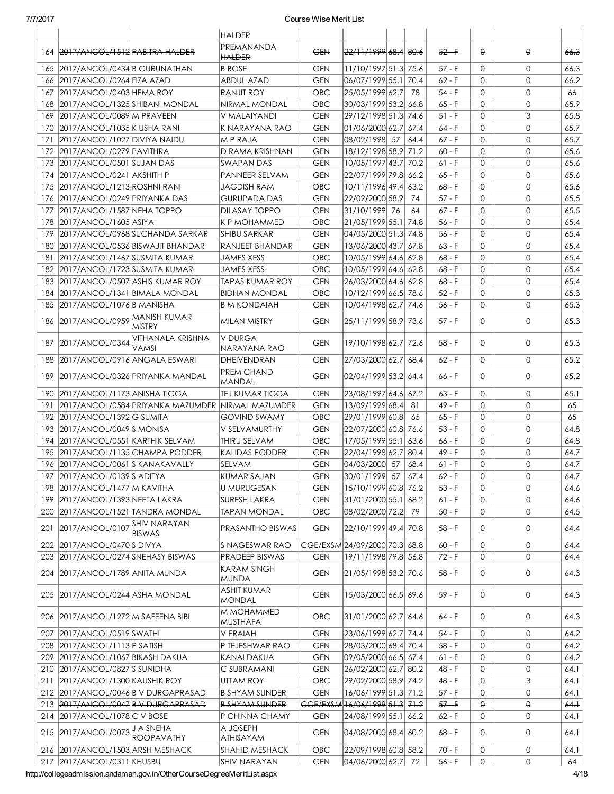|     |                                       |                                                           | <b>HALDER</b>                      |                     |                                             |      |          |              |                |      |
|-----|---------------------------------------|-----------------------------------------------------------|------------------------------------|---------------------|---------------------------------------------|------|----------|--------------|----------------|------|
|     | 164 2017/ANCOL/1512 PABITRA HALDER    |                                                           | <b>PREMANANDA</b><br><b>HALDER</b> | <b>GEN</b>          | <del>22/11/1999</del> 68.4 80.6             |      | $52 - F$ | $\theta$     | θ              | 66.3 |
|     | 165 2017/ANCOL/0434 B GURUNATHAN      |                                                           | <b>B</b> BOSE                      | <b>GEN</b>          | 11/10/1997 51.3 75.6                        |      | $57 - F$ | $\Omega$     | $\mathbf{O}$   | 66.3 |
|     | 166 2017/ANCOL/0264 FIZA AZAD         |                                                           | ABDUL AZAD                         | <b>GEN</b>          | 06/07/1999 55.1 70.4                        |      | $62 - F$ | $\Omega$     | $\mathbf{0}$   | 66.2 |
|     | 167 2017/ANCOL/0403 HEMA ROY          |                                                           | RANJIT ROY                         | <b>OBC</b>          | 25/05/1999 62.7                             | - 78 | 54 - F   | 0            | 0              | 66   |
|     | 168 2017/ANCOL/1325 SHIBANI MONDAL    |                                                           | NIRMAL MONDAL                      | <b>OBC</b>          | 30/03/1999 53.2 66.8                        |      | 65 - F   | 0            | $\overline{0}$ | 65.9 |
|     | 169 2017/ANCOL/0089 M PRAVEEN         |                                                           | V MALAIYANDI                       | <b>GEN</b>          | 29/12/1998 51.3  74.6                       |      | $51 - F$ | $\Omega$     | 3              | 65.8 |
|     | 170 2017/ANCOL/1035 K USHA RANI       |                                                           | IK NARAYANA RAO                    | <b>GEN</b>          | 01/06/2000 62.7 67.4                        |      | $64 - F$ | $\Omega$     | $\mathbf{0}$   | 65.7 |
| 171 | 2017/ANCOL/1027 DIVIYA NAIDU          |                                                           | M P RAJA                           | <b>GEN</b>          | 08/02/1998 57 64.4                          |      | 67 - F   | $\mathbf{O}$ | $\mathbf{0}$   | 65.7 |
|     | 172 2017/ANCOL/0279 PAVITHRA          |                                                           | D RAMA KRISHNAN                    | <b>GEN</b>          | 18/12/1998 58.9 71.2                        |      | $60 - F$ | $\mathbf{O}$ | $\overline{0}$ | 65.6 |
|     | 173 2017/ANCOL/0501 SUJAN DAS         |                                                           | <b>SWAPAN DAS</b>                  | <b>GEN</b>          | 10/05/1997 43.7 70.2                        |      | 61 - F   | $\Omega$     | $\mathbf{0}$   | 65.6 |
|     | 174 2017/ANCOL/0241 AKSHITH P         |                                                           | PANNEER SELVAM                     | <b>GEN</b>          | 22/07/1999 79.8 66.2                        |      | 65 - F   | $\mathbf 0$  | $\mathbf{0}$   | 65.6 |
| 175 | 2017/ANCOL/1213 ROSHNI RANI           |                                                           | <b>JAGDISH RAM</b>                 | <b>OBC</b>          | 10/11/1996 49.4 63.2                        |      | 68 - F   | $\mathbf{0}$ | $\mathbf{O}$   | 65.6 |
|     | 176 2017/ANCOL/0249 PRIYANKA DAS      |                                                           | <b>GURUPADA DAS</b>                | <b>GEN</b>          | 22/02/2000 58.9 74                          |      | $57 - F$ | $\mathbf{O}$ | $\mathbf{O}$   | 65.5 |
| 177 | 2017/ANCOL/1587 NEHA TOPPO            |                                                           | <b>DILASAY TOPPO</b>               | <b>GEN</b>          | 31/10/1999 76                               | 64   | 67 - F   | $\Omega$     | $\mathbf{O}$   | 65.5 |
|     | 178 2017/ANCOL/1605 ASIYA             |                                                           | IK P MOHAMMED                      | <b>OBC</b>          | 21/05/1999 55.1 74.8                        |      | 56 - F   | $\Omega$     | $\mathbf{O}$   | 65.4 |
| 179 |                                       | 2017/ANCOL/0968 SUCHANDA SARKAR                           | <b>SHIBU SARKAR</b>                | <b>GEN</b>          | 04/05/2000 51.3 74.8                        |      | 56 - F   | $\Omega$     | $\mathbf{O}$   | 65.4 |
|     |                                       | 180 2017/ANCOL/0536 BISWAJIT BHANDAR                      | RANJEET BHANDAR                    | <b>GEN</b>          | 13/06/2000 43.7 67.8                        |      | $63 - F$ | $\Omega$     | $\mathbf{O}$   | 65.4 |
| 181 | 2017/ANCOL/1467 SUSMITA KUMARI        |                                                           | <b>JAMES XESS</b>                  | <b>OBC</b>          | 10/05/1999 64.6 62.8                        |      | 68 - F   | $\Omega$     | 0              | 65.4 |
|     | 182 2017/ANCOL/1723 SUSMITA KUMARI    |                                                           | <b>JAMES XESS</b>                  | $\Theta$ B $\Theta$ | <del>10/05/1999</del> 64.6 6 <del>2.8</del> |      | $68 - F$ | $\Theta$     | θ              | 65.4 |
| 183 | 2017/ANCOL/0507 ASHIS KUMAR ROY       |                                                           | <b>TAPAS KUMAR ROY</b>             | <b>GEN</b>          | 26/03/2000 64.6 62.8                        |      | 68 - F   | $\Omega$     | $\mathbf{0}$   | 65.4 |
| 184 | 2017/ANCOL/1341 BIMALA MONDAL         |                                                           | <b>BIDHAN MONDAL</b>               | <b>OBC</b>          | 10/12/1999 66.5 78.6                        |      | $52 - F$ | $\Omega$     | $\mathbf{O}$   | 65.3 |
| 185 | 2017/ANCOL/1076B MANISHA              |                                                           | B M KONDAIAH                       | <b>GEN</b>          | 10/04/1998 62.7 74.6                        |      | 56 - F   | $\Omega$     | $\mathbf{O}$   | 65.3 |
|     | 186 2017/ANCOL/0959 MANISH KUMAR      | <b>MISTRY</b>                                             | MILAN MISTRY                       | <b>GEN</b>          | 25/11/1999 58.9 73.6                        |      | 57 - F   | 0            | 0              | 65.3 |
|     | 187 2017/ANCOL/0344                   | VITHANALA KRISHNA<br>VAMSI                                | V DURGA<br>NARAYANA RAO            | <b>GEN</b>          | 19/10/1998 62.7 72.6                        |      | 58 - F   | $\Omega$     | 0              | 65.3 |
|     | 188 2017/ANCOL/0916 ANGALA ESWARI     |                                                           | DHEIVENDRAN                        | <b>GEN</b>          | 27/03/2000 62.7 68.4                        |      | 62 - F   | $\Omega$     | 0              | 65.2 |
|     |                                       | 189   2017/ANCOL/0326   PRIYANKA MANDAL                   | <b>PREM CHAND</b><br>MANDAL        | <b>GEN</b>          | 02/04/1999 53.2 64.4                        |      | 66 - F   | $\Omega$     | 0              | 65.2 |
|     | 190 2017/ANCOL/1173 ANISHA TIGGA      |                                                           | TEJ KUMAR TIGGA                    | <b>GEN</b>          | 23/08/1997 64.6 67.2                        |      | $63 - F$ | 0            | $\mathbf{O}$   | 65.1 |
|     |                                       | 191   2017/ANCOL/0584   PRIYANKA MAZUMDER NIRMAL MAZUMDER |                                    | <b>GEN</b>          | 13/09/1999 68.4                             | -81  | $49 - F$ | $\Omega$     | $\mathbf{0}$   | 65   |
|     | 192 2017/ANCOL/1392 G SUMITA          |                                                           | <b>GOVIND SWAMY</b>                | <b>OBC</b>          | 29/01/1999 60.8 65                          |      | 65 - F   | 0            | $\mathbf{0}$   | 65   |
|     | 193 2017/ANCOL/0049 S MONISA          |                                                           | V SELVAMURTHY                      | <b>GEN</b>          | 22/07/2000 60.8 76.6                        |      | $53 - F$ | $\mathbf{O}$ | $\overline{0}$ | 64.8 |
|     | 194 2017/ANCOL/0551 KARTHIK SELVAM    |                                                           | THIRU SELVAM                       | <b>OBC</b>          | 17/05/1999 55.1 63.6                        |      | 66 - F   | $\mathbf{0}$ | $\overline{0}$ | 64.8 |
|     | 195 2017/ANCOL/1135 CHAMPA PODDER     |                                                           | KALIDAS PODDER                     | <b>GEN</b>          | 22/04/1998 62.7 80.4                        |      | 49 - F   | $\mathbf{0}$ | $\mathbf{0}$   | 64.7 |
|     | 196 2017/ANCOL/0061 S KANAKAVALLY     |                                                           | <b>SELVAM</b>                      | <b>GEN</b>          | 04/03/2000 57 68.4                          |      | $61 - F$ | $\mathbf{O}$ | $\mathbf{0}$   | 64.7 |
|     | 197 2017/ANCOL/0139 S ADITYA          |                                                           | KUMAR SAJAN                        | GEN                 | 30/01/1999 57 67.4                          |      | $62 - F$ | 0            | 0              | 64.7 |
|     | 198 2017/ANCOL/1477 M KAVITHA         |                                                           | U MURUGESAN                        | <b>GEN</b>          | 15/10/1999 60.8 76.2                        |      | 53 - F   | 0            | 0              | 64.6 |
|     | 199 2017/ANCOL/1393 NEETA LAKRA       |                                                           | <b>SURESH LAKRA</b>                | <b>GEN</b>          | 31/01/2000 55.1 68.2                        |      | 61 - F   | 0            | 0              | 64.6 |
|     | 200   2017/ANCOL/1521   TANDRA MONDAL |                                                           | <b>TAPAN MONDAL</b>                | <b>OBC</b>          | 08/02/2000 72.2 79                          |      | $50 - F$ | $\mathbf{O}$ | 0              | 64.5 |
| 201 | 2017/ANCOL/0107 SHIV NARAYAN          | <b>BISWAS</b>                                             | PRASANTHO BISWAS                   | <b>GEN</b>          | 22/10/1999 49.4 70.8                        |      | 58 - F   | 0            | 0              | 64.4 |
|     | 202 2017/ANCOL/0470 SDIVYA            |                                                           | IS NAGESWAR RAO                    |                     | CGE/EXSM 24/09/2000 70.3 68.8               |      | $60 - F$ | 0            | 0              | 64.4 |
|     | 203 2017/ANCOL/0274 SNEHASY BISWAS    |                                                           | PRADEEP BISWAS                     | <b>GEN</b>          | 19/11/1998 79.8 56.8                        |      | 72 - F   | 0            | 0              | 64.4 |
|     | 204 2017/ANCOL/1789 ANITA MUNDA       |                                                           | KARAM SINGH<br>MUNDA               | <b>GEN</b>          | 21/05/1998 53.2 70.6                        |      | $58 - F$ | 0            | 0              | 64.3 |
|     | 205 2017/ANCOL/0244 ASHA MONDAL       |                                                           | <b>ASHIT KUMAR</b><br>MONDAL       | <b>GEN</b>          | 15/03/2000 66.5 69.6                        |      | 59 - F   | 0            | 0              | 64.3 |
|     | 206 2017/ANCOL/1272 M SAFEENA BIBI    |                                                           | M MOHAMMED<br>MUSTHAFA             | OBC                 | 31/01/2000 62.7 64.6                        |      | 64 - F   | 0            | 0              | 64.3 |
|     | 207 2017/ANCOL/0519 SWATHI            |                                                           | V ERAIAH                           | <b>GEN</b>          | 23/06/1999 62.7 74.4                        |      | 54 - F   | 0            | 0              | 64.2 |
|     | 208 2017/ANCOL/1113 P SATISH          |                                                           | P TEJESHWAR RAO                    | <b>GEN</b>          | 28/03/2000 68.4 70.4                        |      | 58 - F   | 0            | 0              | 64.2 |
|     | 209 2017/ANCOL/1067 BIKASH DAKUA      |                                                           | KANAI DAKUA                        | <b>GEN</b>          | 09/05/2000 66.5 67.4                        |      | $61 - F$ | 0            | 0              | 64.2 |
|     | 210 2017/ANCOL/0827 S SUNIDHA         |                                                           | C SUBRAMANI                        | <b>GEN</b>          | 26/02/2000 62.7 80.2                        |      | 48 - F   | 0            | 0              | 64.1 |
|     | 211 2017/ANCOL/1300 KAUSHIK ROY       |                                                           | <b>UTTAM ROY</b>                   | OBC                 | 29/02/2000 58.9 74.2                        |      | 48 - F   | 0            | 3              | 64.1 |
|     |                                       | 212 2017/ANCOL/0046 B V DURGAPRASAD                       | <b>B SHYAM SUNDER</b>              | <b>GEN</b>          | 16/06/1999 51.3 71.2                        |      | $57 - F$ | 0            | $\mathbf{0}$   | 64.1 |
|     |                                       | 213 2017/ANCOL/0047 B V DURGAPRASAD                       | <b>B SHYAM SUNDER</b>              |                     | <del>CGE/EXSM 16/06/1999 51.3 71.2</del>    |      | $57 - F$ | $\theta$     | θ              | 64.1 |
|     | 214 2017/ANCOL/1078 C V BOSE          |                                                           | P CHINNA CHAMY                     | <b>GEN</b>          | 24/08/1999 55.1 66.2                        |      | $62 - F$ | 0            | 0              | 64.1 |
|     | 215 2017/ANCOL/0073 J A SNEHA         | <b>ROOPAVATHY</b>                                         | A JOSEPH<br>ATHISAYAM              | <b>GEN</b>          | 04/08/2000 68.4 60.2                        |      | $68 - F$ | 0            | 0              | 64.1 |
|     | 216 2017/ANCOL/1503 ARSH MESHACK      |                                                           | <b>SHAHID MESHACK</b>              | OBC                 | 22/09/1998 60.8 58.2                        |      | $70 - F$ | 0            | 0              | 64.1 |
|     | 217 2017/ANCOL/0311 KHUSBU            |                                                           | <b>SHIV NARAYAN</b>                | <b>GEN</b>          | 04/06/2000 62.7 72                          |      | $56 - F$ | 0            | 0              | 64   |

http://collegeadmission.andaman.gov.in/OtherCourseDegreeMeritList.aspx 4/18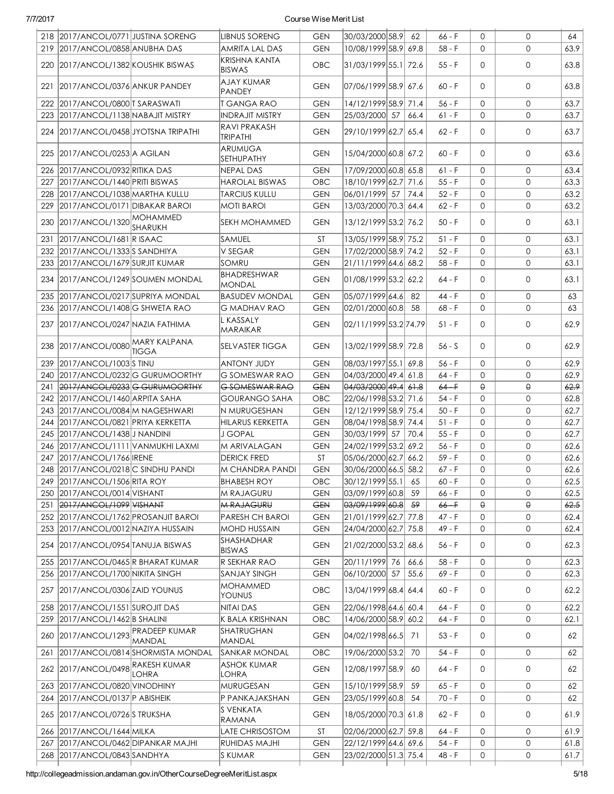|     | 218 2017/ANCOL/0771 JUSTINA SORENG   |                                  | <b>LIBNUS SORENG</b>                | <b>GEN</b> | 30/03/2000 58.9        | 62   | 66 - F   | $\Omega$     | $\mathbf{O}$ | 64   |
|-----|--------------------------------------|----------------------------------|-------------------------------------|------------|------------------------|------|----------|--------------|--------------|------|
|     | 219 2017/ANCOL/0858 ANUBHA DAS       |                                  | AMRITA LAL DAS                      | <b>GEN</b> | 10/08/1999 58.9 69.8   |      | 58 - F   | 0            | $\mathbf{O}$ | 63.9 |
|     | 220 2017/ANCOL/1382 KOUSHIK BISWAS   |                                  | KRISHNA KANTA<br><b>BISWAS</b>      | <b>OBC</b> | 31/03/1999 55.1 72.6   |      | $55 - F$ | 0            | $\mathbf 0$  | 63.8 |
|     | 221 2017/ANCOL/0376 ANKUR PANDEY     |                                  | AJAY KUMAR<br><b>PANDEY</b>         | <b>GEN</b> | 07/06/1999 58.9 67.6   |      | $60 - F$ | $\Omega$     | $\mathbf{O}$ | 63.8 |
|     | 222 2017/ANCOL/0800 T SARASWATI      |                                  | <b>T GANGA RAO</b>                  | <b>GEN</b> | 14/12/1999 58.9 71.4   |      | $56 - F$ | $\Omega$     | $\mathsf{O}$ | 63.7 |
|     | 223 2017/ANCOL/1138 NABAJIT MISTRY   |                                  | <b>INDRAJIT MISTRY</b>              | <b>GEN</b> | 25/03/2000 57          | 66.4 | $61 - F$ | $\Omega$     | $\mathsf{O}$ | 63.7 |
|     | 224 2017/ANCOL/0458 JYOTSNA TRIPATHI |                                  | <b>RAVI PRAKASH</b><br>TRIPATHI     | <b>GEN</b> | 29/10/1999 62.7 65.4   |      | $62 - F$ | $\Omega$     | $\mathbf{O}$ | 63.7 |
|     | 225 2017/ANCOL/0253 A AGILAN         |                                  | ARUMUGA<br>SETHUPATHY               | <b>GEN</b> | 15/04/2000 60.8 67.2   |      | $60 - F$ | $\Omega$     | $\mathbf{O}$ | 63.6 |
| 226 | 2017/ANCOL/0932 RITIKA DAS           |                                  | NEPAL DAS                           | <b>GEN</b> | 17/09/2000 60.8 65.8   |      | $61 - F$ | $\Omega$     | $\mathsf{O}$ | 63.4 |
| 227 | 2017/ANCOL/1440 PRITI BISWAS         |                                  | <b>HAROLAL BISWAS</b>               | OBC        | 18/10/1999 62.7        | 71.6 | $55 - F$ | $\Omega$     | $\mathsf{O}$ | 63.3 |
| 228 | 2017/ANCOL/1038 MARTHA KULLU         |                                  | <b>TARCIUS KULLU</b>                | <b>GEN</b> | 06/01/1999 57          | 74.4 | $52 - F$ | $\mathbf{O}$ | 0            | 63.2 |
| 229 | 2017/ANCOL/0171 DIBAKAR BAROI        |                                  | <b>MOTI BAROI</b>                   | <b>GEN</b> | 13/03/2000 70.3 64.4   |      | $62 - F$ | $\mathbf{0}$ | $\mathsf{O}$ | 63.2 |
| 230 | 2017/ANCOL/1320 MOHAMMED             | SHARUKH                          | SEKH MOHAMMED                       | <b>GEN</b> | 13/12/1999 53.2 76.2   |      | $50 - F$ | $\Omega$     | 0            | 63.1 |
| 231 | 2017/ANCOL/1681 R ISAAC              |                                  | <b>SAMUEL</b>                       | ST         | 13/05/1999 58.9 75.2   |      | $51 - F$ | $\Omega$     | 0            | 63.1 |
|     | 232 2017/ANCOL/1333 SANDHIYA         |                                  | V SEGAR                             | <b>GEN</b> | 17/02/2000 58.9 74.2   |      | $52 - F$ | $\mathbf{0}$ | 0            | 63.1 |
| 233 | 2017/ANCOL/1679 SURJIT KUMAR         |                                  | SOMRU                               | <b>GEN</b> | 21/11/1999 64.6 68.2   |      | 58 - F   | $\mathbf{O}$ | $\mathbf{O}$ | 63.1 |
|     | 234 2017/ANCOL/1249 SOUMEN MONDAL    |                                  | <b>BHADRESHWAR</b><br><b>MONDAL</b> | <b>GEN</b> | 01/08/1999 53.2 62.2   |      | 64 - F   | $\Omega$     | $\mathbf{O}$ | 63.1 |
|     | 235 2017/ANCOL/0217 SUPRIYA MONDAL   |                                  | <b>BASUDEV MONDAL</b>               | <b>GEN</b> | 05/07/1999 64.6        | 82   | $44 - F$ | $\Omega$     | $\mathsf{O}$ | 63   |
|     | 236 2017/ANCOL/1408 G SHWETA RAO     |                                  | <b>G MADHAV RAO</b>                 | <b>GEN</b> | 02/01/2000 60.8        | 58   | 68 - F   | $\mathbf{0}$ | $\mathsf{O}$ | 63   |
| 237 | 2017/ANCOL/0247 NAZIA FATHIMA        |                                  | <b>L KASSALY</b><br>MARAIKAR        | <b>GEN</b> | 02/11/1999 53.2 74.79  |      | 51 - F   | $\Omega$     | 0            | 62.9 |
|     | 238 2017/ANCOL/0080 MARY KALPANA     | TIGGA                            | SELVASTER TIGGA                     | <b>GEN</b> | 13/02/1999 58.9 72.8   |      | $56 - S$ | $\Omega$     | $\mathsf{O}$ | 62.9 |
| 239 | 2017/ANCOL/1003 STINU                |                                  | <b>ANTONY JUDY</b>                  | <b>GEN</b> | 08/03/1997 55.1        | 69.8 | $56 - F$ | $\Omega$     | $\mathbf{0}$ | 62.9 |
| 240 | 2017/ANCOL/0232G GURUMOORTHY         |                                  | G SOMESWAR RAO                      | <b>GEN</b> | 04/03/2000 49.4 61.8   |      | 64 - F   | $\Omega$     | $\mathbf{O}$ | 62.9 |
| 241 | 2017/ANCOL/0233 G GURUMOORTHY        |                                  | G SOMESWAR RAO                      | <b>GEN</b> | $04/03/2000$ 49.4 61.8 |      | $64 +$   | $\Theta$     | $\Theta$     | 62.9 |
|     | 242 2017/ANCOL/1460 ARPITA SAHA      |                                  | <b>GOURANGO SAHA</b>                | OBC        | 22/06/1998 53.2 71.6   |      | $54 - F$ | $\mathbf{0}$ | 0            | 62.8 |
|     | 243 2017/ANCOL/0084 M NAGESHWARI     |                                  | N MURUGESHAN                        | <b>GEN</b> | 12/12/1999 58.9 75.4   |      | $50 - F$ | $\mathbf{0}$ | $\mathbf{O}$ | 62.7 |
| 244 | 2017/ANCOL/0821 PRIYA KERKETTA       |                                  | HILARUS KERKETTA                    | <b>GEN</b> | 08/04/1998 58.9 74.4   |      | $51 - F$ | $\Omega$     | $\mathbf{O}$ | 62.7 |
|     | 245 2017/ANCOL/1438 J NANDINI        |                                  | J GOPAL                             | <b>GEN</b> | 30/03/1999 57          | 70.4 | $55 - F$ | $\mathbf{O}$ | $\mathbf{O}$ | 62.7 |
|     | 246 2017/ANCOL/1111 VANMUKHI LAXMI   |                                  | M ARIVALAGAN                        | <b>GEN</b> | 24/02/1999 53.2 69.2   |      | $56 - F$ | $\mathbf{O}$ | $\mathbf{O}$ | 62.6 |
|     | 247 2017/ANCOL/1766 IRENE            |                                  | <b>DERICK FRED</b>                  | <b>ST</b>  | 05/06/2000 62.7 66.2   |      | $59 - F$ | $\Omega$     | $\mathbf{O}$ | 62.6 |
|     | 248 2017/ANCOL/0218 C SINDHU PANDI   |                                  | M CHANDRA PANDI                     | GEN        | 30/06/2000 66.5 58.2   |      | 67 - F   | 0            | 0            | 62.6 |
| 249 | 2017/ANCOL/1506 RITA ROY             |                                  | <b>BHABESH ROY</b>                  | OBC        | 30/12/1999 55.1        | 65   | 60 - F   | 0            | $\mathbf{0}$ | 62.5 |
|     | 250 2017/ANCOL/0014 VISHANT          |                                  | M RAJAGURU                          | <b>GEN</b> | 03/09/1999 60.8        | 59   | $66 - F$ | 0            | 0            | 62.5 |
|     | 251 2017/ANCOL/1099 VISHANT          |                                  | <b>M RAJAGURU</b>                   | <b>GEN</b> | 03/09/1999 60.8        | 59   | $66 - F$ | $\Theta$     | θ            | 62.5 |
|     | 252 2017/ANCOL/1762 PROSANJIT BAROI  |                                  | PARESH CH BAROI                     | <b>GEN</b> | 21/01/1999 62.7 77.8   |      | $47 - F$ | 0            | 0            | 62.4 |
| 253 | 2017/ANCOL/0012 NAZIYA HUSSAIN       |                                  | MOHD HUSSAIN                        | <b>GEN</b> | 24/04/2000 62.7        | 75.8 | 49 - F   | 0            | 0            | 62.4 |
|     | 254 2017/ANCOL/0954 TANUJA BISWAS    |                                  | SHASHADHAR<br><b>BISWAS</b>         | <b>GEN</b> | 21/02/2000 53.2 68.6   |      | 56 - F   | 0            | 0            | 62.3 |
| 255 | 2017/ANCOL/0465 R BHARAT KUMAR       |                                  | R SEKHAR RAO                        | <b>GEN</b> | 20/11/1999 76          | 66.6 | $58 - F$ | $\mathbf{0}$ | 0            | 62.3 |
| 256 | 2017/ANCOL/1700 NIKITA SINGH         |                                  | <b>SANJAY SINGH</b>                 | <b>GEN</b> | 06/10/2000 57          | 55.6 | $69 - F$ | 0            | 0            | 62.3 |
| 257 | 2017/ANCOL/0306 ZAID YOUNUS          |                                  | <b>MOHAMMED</b><br>YOUNUS           | OBC        | 13/04/1999 68.4 64.4   |      | $60 - F$ | 0            | 0            | 62.2 |
| 258 | 2017/ANCOL/1551 SUROJIT DAS          |                                  | NITAI DAS                           | <b>GEN</b> | 22/06/1998 64.6 60.4   |      | 64 - F   | 0            | 0            | 62.2 |
| 259 | 2017/ANCOL/1462 B SHALINI            |                                  | K BALA KRISHNAN                     | OBC        | 14/06/2000 58.9        | 60.2 | $64 - F$ | 0            | 0            | 62.1 |
| 260 | 2017/ANCOL/1293 PRADEEP KUMAR        | MANDAL                           | SHATRUGHAN<br>MANDAL                | <b>GEN</b> | 04/02/1998 66.5        | 71   | $53 - F$ | 0            | 0            | 62   |
| 261 |                                      | 2017/ANCOL/0814 SHORMISTA MONDAL | <b>SANKAR MONDAL</b>                | OBC        | 19/06/2000 53.2        | 70   | $54 - F$ | 0            | 0            | 62   |
| 262 | 2017/ANCOL/0498 RAKESH KUMAR         | <b>LOHRA</b>                     | <b>ASHOK KUMAR</b><br><b>LOHRA</b>  | <b>GEN</b> | 12/08/1997 58.9        | 60   | 64 - F   | 0            | 0            | 62   |
| 263 | 2017/ANCOL/0820 VINODHINY            |                                  | <b>MURUGESAN</b>                    | <b>GEN</b> | 15/10/1999 58.9        | 59   | $65 - F$ | 0            | 0            | 62   |
| 264 | 2017/ANCOL/0137 P ABISHEIK           |                                  | P PANKAJAKSHAN                      | <b>GEN</b> | 23/05/1999 60.8        | 54   | $70 - F$ | 0            | 0            | 62   |
|     | 265 2017/ANCOL/0726 STRUKSHA         |                                  | S VENKATA<br>RAMANA                 | <b>GEN</b> | 18/05/2000 70.3 61.8   |      | $62 - F$ | 0            | 0            | 61.9 |
|     | 266 2017/ANCOL/1644 MILKA            |                                  | LATE CHRISOSTOM                     | ST         | 02/06/2000 62.7 59.8   |      | $64 - F$ | 0            | 0            | 61.9 |
| 267 | 2017/ANCOL/0462 DIPANKAR MAJHI       |                                  | <b>RUHIDAS MAJHI</b>                | <b>GEN</b> | 22/12/1999 64.6 69.6   |      | $54 - F$ | 0            | 0            | 61.8 |
|     | 268 2017/ANCOL/0843 SANDHYA          |                                  | S KUMAR                             | <b>GEN</b> | 23/02/2000 51.3 75.4   |      | 48 - F   | 0            | 0            | 61.7 |
|     |                                      |                                  |                                     |            |                        |      |          |              |              |      |

http://collegeadmission.andaman.gov.in/OtherCourseDegreeMeritList.aspx 5/18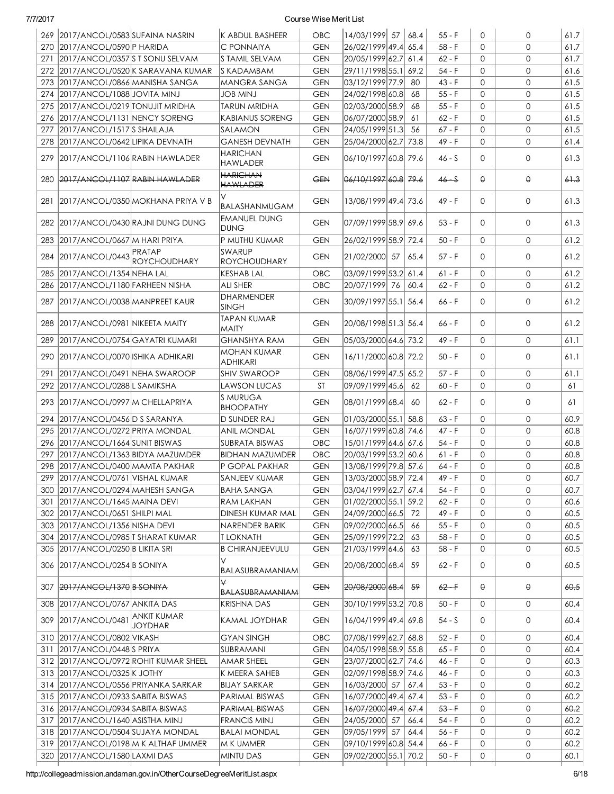|     | 269 2017/ANCOL/0583 SUFAINA NASRIN      |                                           | K ABDUL BASHEER                       | OBC        | 14/03/1999 57                            | 68.4 | $55 - F$          | $\Omega$     | 0            | 61.7    |
|-----|-----------------------------------------|-------------------------------------------|---------------------------------------|------------|------------------------------------------|------|-------------------|--------------|--------------|---------|
| 270 | 2017/ANCOL/0590 P HARIDA                |                                           | <b>C PONNAIYA</b>                     | <b>GEN</b> | 26/02/1999 49.4                          | 65.4 | 58 - F            | $\Omega$     | $\Omega$     | 61.7    |
| 271 | 2017/ANCOL/0357 S T SONU SELVAM         |                                           | IS TAMIL SELVAM                       | <b>GEN</b> | 20/05/1999 62.7 61.4                     |      | $62 - F$          | $\mathbf{0}$ | $\mathbf{0}$ | 61.7    |
|     |                                         | 272 2017/ANCOL/0520 K SARAVANA KUMAR      | <b>S KADAMBAM</b>                     | <b>GEN</b> | 29/11/1998 55.1 69.2                     |      | 54 - F            | $\Omega$     | $\mathbf{0}$ | 61.6    |
| 273 | 2017/ANCOL/0866 MANISHA SANGA           |                                           | MANGRA SANGA                          | <b>GEN</b> | 03/12/1999 77.9                          | 80   | $43 - F$          | $\Omega$     | $\mathbf{0}$ | 61.5    |
|     | 274 2017/ANCOL/1088 JOVITA MINJ         |                                           | <b>LUIM BOL</b>                       | <b>GEN</b> | 24/02/1998 60.8                          | 68   | $55 - F$          | $\Omega$     | $\mathbf{0}$ | 61.5    |
|     | 275 2017/ANCOL/0219 TONUJIT MRIDHA      |                                           | <b>TARUN MRIDHA</b>                   | <b>GEN</b> | 02/03/2000 58.9                          | 68   | $55 - F$          | $\Omega$     | $\mathbf{0}$ | 61.5    |
|     | 276 2017/ANCOL/1131 NENCY SORENG        |                                           | <b>KABIANUS SORENG</b>                | <b>GEN</b> | 06/07/2000 58.9                          | 61   | $62 - F$          | $\Omega$     | $\mathbf{0}$ | 61.5    |
| 277 | 2017/ANCOL/1517 SHAILAJA                |                                           | Isalamon                              | <b>GEN</b> | 24/05/1999 51.3                          | -56  | $67 - F$          | $\Omega$     | $\mathbf{0}$ | 61.5    |
|     | 278 2017/ANCOL/0642 LIPIKA DEVNATH      |                                           | <b>GANESH DEVNATH</b>                 | <b>GEN</b> | 25/04/2000 62.7 73.8                     |      | 49 - F            | $\mathbf{O}$ | $\mathbf{0}$ | 61.4    |
|     | 279 2017/ANCOL/1106 RABIN HAWLADER      |                                           | <b>HARICHAN</b><br>HAWLADER           | <b>GEN</b> | 06/10/1997 60.8 79.6                     |      | $46 - S$          | $\Omega$     | $\mathbf{0}$ | 61.3    |
|     | 280 2017/ANCOL/1107 RABIN HAWLADER      |                                           | <b>HARICHAN</b><br><b>HAWLADER</b>    | <b>GEN</b> | 06/10/1997 60.8 79.6                     |      | $46 - S$          | $\theta$     | $\Theta$     | $6 + 3$ |
|     |                                         | 281   2017/ANCOL/0350   MOKHANA PRIYA V B | V<br>BALASHANMUGAM                    | <b>GEN</b> | 13/08/1999 49.4 73.6                     |      | 49 - F            | $\Omega$     | $\mathbf{0}$ | 61.3    |
|     |                                         | 282 2017/ANCOL/0430 RAJNI DUNG DUNG       | EMANUEL DUNG<br>DUNG                  | <b>GEN</b> | 07/09/1999 58.9 69.6                     |      | $53 - F$          | $\Omega$     | $\mathbf{0}$ | 61.3    |
| 283 | 2017/ANCOL/0667 M HARI PRIYA            |                                           | P MUTHU KUMAR                         | <b>GEN</b> | 26/02/1999 58.9 72.4                     |      | $50 - F$          | $\Omega$     | $\mathbf{0}$ | 61.2    |
| 284 | 2017/ANCOL/0443 PRATAP                  | ROYCHOUDHARY                              | <b>SWARUP</b><br><b>ROYCHOUDHARY</b>  | <b>GEN</b> | 21/02/2000 57                            | 65.4 | $57 - F$          | $\Omega$     | $\mathbf{0}$ | 61.2    |
|     | 285 2017/ANCOL/1354 NEHA LAL            |                                           | KESHAB LAL                            | OBC        | 03/09/1999 53.2 61.4                     |      | 61 - F            | $\Omega$     | $\mathbf{O}$ | 61.2    |
| 286 | 2017/ANCOL/1180 FARHEEN NISHA           |                                           | ALI SHER                              | OBC        | 20/07/1999 76                            | 60.4 | $62 - F$          | $\Omega$     | $\mathbf{0}$ | 61.2    |
|     | 287 2017/ANCOL/0038 MANPREET KAUR       |                                           | <b>DHARMENDER</b><br>ISINGH           | <b>GEN</b> | 30/09/1997 55.1 56.4                     |      | $66 - F$          | $\Omega$     | $\mathbf{0}$ | 61.2    |
|     | 288 2017/ANCOL/0981 NIKEETA MAITY       |                                           | ITAPAN KUMAR<br><b>MAITY</b>          | <b>GEN</b> | 20/08/1998 51.3 56.4                     |      | 66 - F            | $\Omega$     | 0            | 61.2    |
| 289 | 2017/ANCOL/0754 GAYATRI KUMARI          |                                           | <b>GHANSHYA RAM</b>                   | <b>GEN</b> | 05/03/2000 64.6 73.2                     |      | 49 - F            | $\Omega$     | $\mathbf{0}$ | 61.1    |
|     | 290   2017/ANCOL/0070   ISHIKA ADHIKARI |                                           | <b>MOHAN KUMAR</b><br><b>ADHIKARI</b> | <b>GEN</b> | 16/11/2000 60.8 72.2                     |      | $50 - F$          | $\Omega$     | $\mathbf{0}$ | 61.1    |
|     | 291 2017/ANCOL/0491 NEHA SWAROOP        |                                           | SHIV SWAROOP                          | <b>GEN</b> | 08/06/1999 47.5 65.2                     |      | $57 - F$          | $\Omega$     | $\mathbf{0}$ | 61.1    |
|     | 292 2017/ANCOL/0288 L SAMIKSHA          |                                           | <b>LAWSON LUCAS</b>                   | ST         | 09/09/1999 45.6                          | 62   | $60 - F$          | $\mathbf{0}$ | $\mathbf{0}$ | 61      |
|     | 293 2017/ANCOL/0997 M CHELLAPRIYA       |                                           | <b>SMURUGA</b><br><b>BHOOPATHY</b>    | <b>GEN</b> | 08/01/1999 68.4                          | 60   | $62 - F$          | $\Omega$     | $\mathbf{0}$ | 61      |
|     | 294 2017/ANCOL/0456 D S SARANYA         |                                           | <b>D SUNDER RAJ</b>                   | <b>GEN</b> | 01/03/2000 55.1 58.8                     |      | $63 - F$          | $\Omega$     | $\mathbf{0}$ | 60.9    |
|     | 295 2017/ANCOL/0272 PRIYA MONDAL        |                                           | <b>ANIL MONDAL</b>                    | <b>GEN</b> | 16/07/1999 60.8 74.6                     |      | $47 - F$          | $\Omega$     | $\mathbf{0}$ | 60.8    |
|     | 296 2017/ANCOL/1664 SUNIT BISWAS        |                                           | <b>SUBRATA BISWAS</b>                 | OBC        | 15/01/1999 64.6 67.6                     |      | 54 - F            | $\Omega$     | $\mathbf{0}$ | 60.8    |
| 297 | 2017/ANCOL/1363 BIDYA MAZUMDER          |                                           | <b>BIDHAN MAZUMDER</b>                | OBC        | 20/03/1999 53.2 60.6                     |      | $61 - F$          | $\Omega$     | $\mathbf{O}$ | 60.8    |
|     | 298 2017/ANCOL/0400 MAMTA PAKHAR        |                                           | P GOPAL PAKHAR                        | <b>GEN</b> | 13/08/1999 79.8 57.6                     |      | 64 - F            | $\Omega$     | $\mathbf 0$  | 60.8    |
|     | 299  2017/ANCOL/0761 VISHAL KUMAR       |                                           | SANJEEV KUMAR                         | GEN        | 13/03/2000 58.9 72.4                     |      | 49 - F            | 0            | 0            | 60.7    |
|     | 300 2017/ANCOL/0294 MAHESH SANGA        |                                           | <b>BAHA SANGA</b>                     | GEN        | 03/04/1999 62.7 67.4                     |      | $54 - F$          | 0            | 0            | 60.7    |
| 301 | 2017/ANCOL/1645 MAINA DEVI              |                                           | RAM LAKHAN                            | <b>GEN</b> | 01/02/2000 55.1 59.2                     |      | $62 - F$          | 0            | 0            | 60.6    |
|     | 302 2017/ANCOL/0651 SHILPI MAL          |                                           | DINESH KUMAR MAL                      | <b>GEN</b> | 24/09/2000 66.5                          | 72   | 49 - F            | 0            | 0            | 60.5    |
|     | 303 2017/ANCOL/1356 NISHA DEVI          |                                           | NARENDER BARIK                        | <b>GEN</b> | 09/02/2000 66.5                          | 66   | $55 - F$          | 0            | 0            | 60.5    |
|     | 304   2017/ANCOL/0985   TSHARAT KUMAR   |                                           | <b>T LOKNATH</b>                      | <b>GEN</b> | 25/09/1999 72.2                          | 63   | $58 - F$          | 0            | 0            | 60.5    |
|     | 305 2017/ANCOL/0250 B LIKITA SRI        |                                           | <b>B CHIRANJEEVULU</b>                | <b>GEN</b> | 21/03/1999 64.6                          | 63   | $58 - F$          | 0            | 0            | 60.5    |
|     | 306 2017/ANCOL/0254 B SONIYA            |                                           | V<br>BALASUBRAMANIAM                  | <b>GEN</b> | 20/08/2000 68.4                          | 59   | $62 - F$          | 0            | 0            | 60.5    |
|     | 307 2017/ANCOL/1370 B SONIYA            |                                           | V<br><b>BALASUBRAMANIAM</b>           | <b>GEN</b> | 20/08/2000 68.4                          | -59  | <del>62 - F</del> | θ            | $\Theta$     | 60.5    |
|     | 308   2017/ANCOL/0767   ANKITA DAS      |                                           | KRISHNA DAS                           | <b>GEN</b> | 30/10/1999 53.2 70.8                     |      | $50 - F$          | 0            | 0            | 60.4    |
|     | 309 2017/ANCOL/0481                     | ANKIT KUMAR<br><b>JOYDHAR</b>             | KAMAL JOYDHAR                         | <b>GEN</b> | 16/04/1999 49.4 69.8                     |      | 54 - S            | 0            | 0            | 60.4    |
|     | 310 2017/ANCOL/0802 VIKASH              |                                           | GYAN SINGH                            | OBC        | 07/08/1999 62.7 68.8                     |      | $52 - F$          | 0            | 0            | 60.4    |
|     | 311 2017/ANCOL/0448 S PRIYA             |                                           | SUBRAMANI                             | <b>GEN</b> | 04/05/1998 58.9 55.8                     |      | 65 - F            | $\mathbf{0}$ | $\mathbf{0}$ | 60.4    |
|     |                                         | 312 2017/ANCOL/0972 ROHIT KUMAR SHEEL     | AMAR SHEEL                            | <b>GEN</b> | 23/07/2000 62.7 74.6                     |      | 46 - F            | 0            | 0            | 60.3    |
|     | 313 2017/ANCOL/0325 K JOTHY             |                                           | K MEERA SAHEB                         | <b>GEN</b> | 02/09/1998 58.9 74.6                     |      | $46 - F$          | $\mathbf{O}$ | 0            | 60.3    |
|     | 314 2017/ANCOL/0556 PRIYANKA SARKAR     |                                           | <b>BIJAY SARKAR</b>                   | <b>GEN</b> | 16/03/2000 57                            | 67.4 | $53 - F$          | 0            | 0            | 60.2    |
|     | 315 2017/ANCOL/0933 SABITA BISWAS       |                                           | PARIMAL BISWAS                        | <b>GEN</b> | 16/07/2000 49.4                          | 67.4 | $53 - F$          | 0            | 0            | 60.2    |
|     | 316 2017/ANCOL/0934 SABITA BISWAS       |                                           | PARIMAL BISWAS                        | <b>GEN</b> | <del> 16/07/2000</del>   <del>49.4</del> | 67.4 | $53 - F$          | θ            | $\Theta$     | 60.2    |
| 317 | 2017/ANCOL/1640 ASISTHA MINJ            |                                           | <b>FRANCIS MINJ</b>                   | <b>GEN</b> | 24/05/2000 57                            | 66.4 | $54 - F$          | 0            | 0            | 60.2    |
|     | 318 2017/ANCOL/0504 SUJAYA MONDAL       |                                           | <b>BALAI MONDAL</b>                   | <b>GEN</b> | 09/05/1999 57                            | 64.4 | $56 - F$          | 0            | 0            | 60.2    |
|     |                                         | 319 2017/ANCOL/0198 M K ALTHAF UMMER      | M K UMMER                             | <b>GEN</b> | 09/10/1999 60.8 54.4                     |      | $66 - F$          | 0            | 0            | 60.2    |
|     | 320 2017/ANCOL/1580 LAXMIDAS            |                                           | MINTU DAS                             | <b>GEN</b> | 09/02/2000 55.1 70.2                     |      | $50 - F$          | 0            | 0            | 60.1    |

http://collegeadmission.andaman.gov.in/OtherCourseDegreeMeritList.aspx 6/18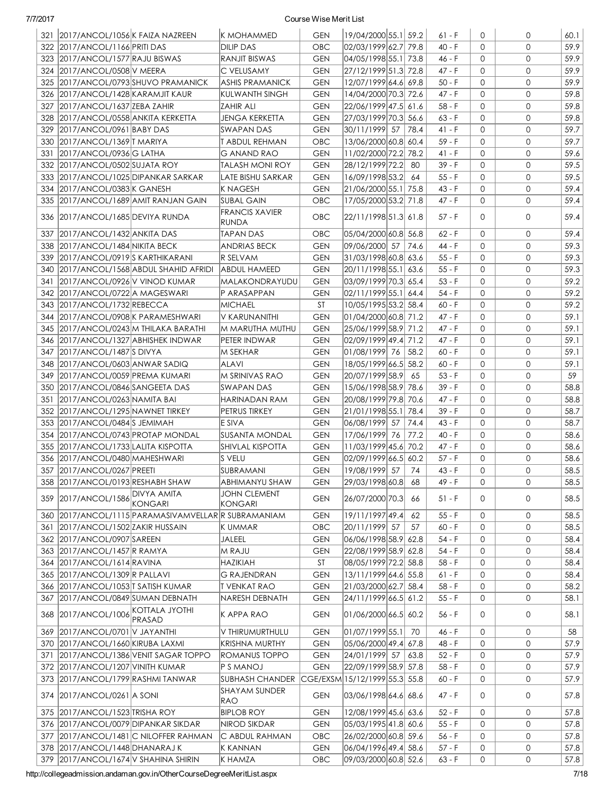|     | 321 2017/ANCOL/1056 K FAIZA NAZREEN  |                                                         | IK MOHAMMED                    | <b>GEN</b> | 19/04/2000 55.1 59.2           |      | $61 - F$    | 0            | 0            | 60.1 |
|-----|--------------------------------------|---------------------------------------------------------|--------------------------------|------------|--------------------------------|------|-------------|--------------|--------------|------|
|     | 322 2017/ANCOL/1166 PRITI DAS        |                                                         | <b>DILIP DAS</b>               | <b>OBC</b> | 02/03/1999 62.7 79.8           |      | $40 - F$    | $\Omega$     | $\mathbf{O}$ | 59.9 |
|     | 323 2017/ANCOL/1577 RAJU BISWAS      |                                                         | RANJIT BISWAS                  | <b>GEN</b> | 04/05/1998 55.1 73.8           |      | 46 - F      | $\Omega$     | $\mathbf{O}$ | 59.9 |
|     | 324 2017/ANCOL/0508 V MEERA          |                                                         | C VELUSAMY                     | <b>GEN</b> | 27/12/1999 51.3 72.8           |      | 47 - F      | $\Omega$     | $\mathbf{0}$ | 59.9 |
|     |                                      | 325 2017/ANCOL/0793 SHUVO PRAMANICK                     | <b>ASHIS PRAMANICK</b>         | <b>GEN</b> | 12/07/1999 64.6 69.8           |      | $50 - F$    | $\Omega$     | 0            | 59.9 |
|     | 326 2017/ANCOL/1428 KARAMJIT KAUR    |                                                         | KULWANTH SINGH                 | <b>GEN</b> | 14/04/2000 70.3 72.6           |      | 47 - F      | $\Omega$     | 0            | 59.8 |
| 327 | 2017/ANCOL/1637 ZEBA ZAHIR           |                                                         | IZAHIR ALI                     | <b>GEN</b> | 22/06/1999 47.5 61.6           |      | 58 - F      | 0            | 0            | 59.8 |
|     | 328 2017/ANCOL/0558 ANKITA KERKETTA  |                                                         | <b>JENGA KERKETTA</b>          | <b>GEN</b> | 27/03/1999 70.3 56.6           |      | $63 - F$    | $\mathbf{0}$ | 0            | 59.8 |
|     | 329 2017/ANCOL/0961 BABY DAS         |                                                         | SWAPAN DAS                     | <b>GEN</b> | 30/11/1999 57 78.4             |      | 41 - F      | 0            | 0            | 59.7 |
|     | 330 2017/ANCOL/1369 TMARIYA          |                                                         | <b>T ABDUL REHMAN</b>          | <b>OBC</b> | 13/06/2000 60.8 60.4           |      | 59 - F      | 0            | 0            | 59.7 |
|     | 331 2017/ANCOL/0936 G LATHA          |                                                         | <b>G ANAND RAO</b>             | <b>GEN</b> | 11/02/2000 72.2 78.2           |      | $41 - F$    | $\mathbf{O}$ | $\mathbf{0}$ | 59.6 |
|     | 332 2017/ANCOL/0502 SUJATA ROY       |                                                         | <b>TALASH MONI ROY</b>         | <b>GEN</b> | 28/12/1999 72.2 80             |      | 39 - F      | $\mathbf{O}$ | 0            | 59.5 |
|     | 333 2017/ANCOL/1025 DIPANKAR SARKAR  |                                                         | LATE BISHU SARKAR              | <b>GEN</b> | 16/09/1998 53.2 64             |      | $55 - F$    | 0            | 0            | 59.5 |
|     | 334 2017/ANCOL/0383 K GANESH         |                                                         | K NAGESH                       | <b>GEN</b> | 21/06/2000 55.1 75.8           |      | 43 - F      | $\mathbf{O}$ | 0            | 59.4 |
|     |                                      | 335 2017/ANCOL/1689 AMIT RANJAN GAIN                    | <b>SUBAL GAIN</b>              | <b>OBC</b> | 17/05/2000 53.2 71.8           |      | 47 - F      | $\Omega$     | $\mathbf{O}$ | 59.4 |
|     |                                      |                                                         | <b>FRANCIS XAVIER</b>          |            |                                |      |             |              |              |      |
|     | 336 2017/ANCOL/1685 DEVIYA RUNDA     |                                                         | RUNDA                          | <b>OBC</b> | 22/11/1998 51.3  61.8          |      | 57 - F      | $\Omega$     | 0            | 59.4 |
| 337 | 2017/ANCOL/1432 ANKITA DAS           |                                                         | TAPAN DAS                      | <b>OBC</b> | 05/04/2000 60.8 56.8           |      | 62 - F      | 0            | 0            | 59.4 |
|     | 338 2017/ANCOL/1484 NIKITA BECK      |                                                         | <b>ANDRIAS BECK</b>            | <b>GEN</b> | 09/06/2000 57                  | 74.6 | 44 - F      | $\Omega$     | $\mathbf{O}$ | 59.3 |
| 339 | 2017/ANCOL/0919S KARTHIKARANI        |                                                         | R SELVAM                       | <b>GEN</b> | 31/03/1998 60.8 63.6           |      | 55 - F      | 0            | 0            | 59.3 |
|     |                                      | 340 2017/ANCOL/1568 ABDUL SHAHID AFRIDI                 | ABDUL HAMEED                   | <b>GEN</b> | 20/11/1998 55.1  63.6          |      | 55 - F      | 0            | 0            | 59.3 |
| 341 | 2017/ANCOL/0926 V VINOD KUMAR        |                                                         | <b>MALAKONDRAYUDU</b>          | <b>GEN</b> | 03/09/1999 70.3 65.4           |      | $53 - F$    | $\Omega$     | 0            | 59.2 |
|     | 342 2017/ANCOL/0722 A MAGESWARI      |                                                         | P ARASAPPAN                    | <b>GEN</b> | 02/11/1999 55.1 64.4           |      | 54 - F      | $\Omega$     | 0            | 59.2 |
|     | 343 2017/ANCOL/1732 REBECCA          |                                                         | <b>MICHAEL</b>                 | ST         | 10/05/1995 53.2 58.4           |      | 60 - F      | $\Omega$     | 0            | 59.2 |
|     | 344   2017/ANCOL/0908 K PARAMESHWARI |                                                         | V KARUNANITHI                  | <b>GEN</b> | 01/04/2000 60.8 71.2           |      | 47 - F      | $\mathbf 0$  | 0            | 59.1 |
|     |                                      | 345 2017/ANCOL/0243 M THILAKA BARATHI                   | IM MARUTHA MUTHU               | <b>GEN</b> | 25/06/1999 58.9 71.2           |      | 47 - F      | $\mathbf 0$  | 0            | 59.1 |
|     | 346 2017/ANCOL/1327 ABHISHEK INDWAR  |                                                         | PETER INDWAR                   | <b>GEN</b> | 02/09/1999 49.4  71.2          |      | 47 - F      | $\Omega$     | $\mathbf{O}$ | 59.1 |
|     | 347 2017/ANCOL/1487 SDIVYA           |                                                         | M SEKHAR                       | <b>GEN</b> | 01/08/1999 76                  | 58.2 | $60 - F$    | $\mathbf 0$  | 0            | 59.1 |
|     | 348 2017/ANCOL/0603 ANWAR SADIQ      |                                                         | <b>ALAVI</b>                   | <b>GEN</b> | 18/05/1999 66.5 58.2           |      | $60 - F$    | 0            | $\mathbf{O}$ | 59.1 |
|     | 349 2017/ANCOL/0059 PREMA KUMARI     |                                                         | IM SRINIVAS RAO                | <b>GEN</b> | 20/07/1999 58.9 65             |      | $53 - F$    | 0            | $\mathbf{O}$ | 59   |
|     | 350 2017/ANCOL/0846 SANGEETA DAS     |                                                         | ISWAPAN DAS                    | <b>GEN</b> | 15/06/1998 58.9 78.6           |      | 39 - F      | 0            | 0            | 58.8 |
|     | 351 2017/ANCOL/0263 NAMITA BAI       |                                                         | HARINADAN RAM                  | <b>GEN</b> | 20/08/1999 79.8 70.6           |      | 47 - F      | 0            | $\mathbf{O}$ | 58.8 |
|     | 352 2017/ANCOL/1295 NAWNET TIRKEY    |                                                         | PETRUS TIRKEY                  | <b>GEN</b> | 21/01/1998 55.1 78.4           |      | 39 - F      | $\mathsf{O}$ | $\mathbf{0}$ | 58.7 |
|     | 353 2017/ANCOL/0484 S JEMIMAH        |                                                         | E SIVA                         | <b>GEN</b> | 06/08/1999 57 74.4             |      | 43 - F      | $\mathbf{0}$ | $\mathbf{O}$ | 58.7 |
|     | 354 2017/ANCOL/0743 PROTAP MONDAL    |                                                         | SUSANTA MONDAL                 | <b>GEN</b> | 17/06/1999 76                  | 77.2 | $40 - F$    | 0            | $\mathbf{O}$ | 58.6 |
|     | 355 2017/ANCOL/1733 LALITA KISPOTTA  |                                                         | <b>SHIVLAL KISPOTTA</b>        | <b>GEN</b> | 11/03/1999 45.6 70.2           |      | 47 - F      | $\mathbf{0}$ | $\mathbf{O}$ | 58.6 |
|     | 356 2017/ANCOL/0480 MAHESHWARI       |                                                         | S VELU                         | <b>GEN</b> | 02/09/1999 66.5 60.2           |      | $57$ - $\,$ | $\mathbf{0}$ | $\mathbf{O}$ | 58.6 |
|     | 357 2017/ANCOL/0267 PREETI           |                                                         | SUBRAMANI                      | <b>GEN</b> | 19/08/1999 57                  | 74   | 43 - F      | $\Omega$     | $\mathbf{O}$ | 58.5 |
|     | 358 2017/ANCOL/0193 RESHABH SHAW     |                                                         | <b>ABHIMANYU SHAW</b>          | <b>GEN</b> | 29/03/1998 60.8 68             |      | 49 - F      | 0            | 0            | 58.5 |
| 359 | 2017/ANCOL/1586 DIVYA AMITA          | <b>KONGARI</b>                                          | <b>JOHN CLEMENT</b><br>KONGARI | <b>GEN</b> | 26/07/2000 70.3                | 66   | $51 - F$    | 0            | 0            | 58.5 |
|     |                                      | 360   2017/ANCOL/1115   PARAMASIVAMVELLAR R SUBRAMANIAM |                                | <b>GEN</b> | 19/11/1997 49.4                | 62   | 55 - F      | 0            | 0            | 58.5 |
| 361 | 2017/ANCOL/1502 ZAKIR HUSSAIN        |                                                         | K UMMAR                        | OBC        | 20/11/1999 57                  | 57   | $60 - F$    | 0            | 0            | 58.5 |
|     | 362 2017/ANCOL/0907 SAREEN           |                                                         | JALEEL                         | <b>GEN</b> | 06/06/1998 58.9 62.8           |      | $54 - F$    | 0            | 0            | 58.4 |
|     | 363 2017/ANCOL/1457 R RAMYA          |                                                         | M RAJU                         | <b>GEN</b> | 22/08/1999 58.9 62.8           |      | $54 - F$    | 0            | 0            | 58.4 |
|     | 364 2017/ANCOL/1614 RAVINA           |                                                         | <b>HAZIKIAH</b>                | ST         | 08/05/1999 72.2 58.8           |      | 58 - F      | 0            | 0            | 58.4 |
|     | 365 2017/ANCOL/1309 R PALLAVI        |                                                         | <b>G RAJENDRAN</b>             | <b>GEN</b> | 13/11/1999 64.6 55.8           |      | $61 - F$    | 0            | 0            | 58.4 |
|     | 366 2017/ANCOL/1053 T SATISH KUMAR   |                                                         | <b>T VENKAT RAO</b>            | <b>GEN</b> | 21/03/2000 62.7 58.4           |      | $58 - F$    | 0            | 0            | 58.2 |
|     | 367 2017/ANCOL/0849 SUMAN DEBNATH    |                                                         | NARESH DEBNATH                 | <b>GEN</b> | 24/11/1999 66.5  61.2          |      | $55 - F$    | 0            | 0            | 58.1 |
|     | 368 2017/ANCOL/1006                  | KOTTALA JYOTHI                                          | K APPA RAO                     | <b>GEN</b> | 01/06/2000 66.5 60.2           |      | 56 - F      | 0            | 0            | 58.1 |
| 369 | 2017/ANCOL/0701 V JAYANTHI           | PRASAD                                                  | V THIRUMURTHULU                | <b>GEN</b> | 01/07/1999 55.1                | 70   | 46 - F      | 0            | 0            | 58   |
|     | 370 2017/ANCOL/1660 KIRUBA LAXMI     |                                                         | KRISHNA MURTHY                 | <b>GEN</b> | 05/06/2000 49.4  67.8          |      | 48 - F      | 0            | 0            | 57.9 |
|     |                                      | 371   2017/ANCOL/1386 VENIT SAGAR TOPPO                 | ROMANUS TOPPO                  | <b>GEN</b> | 24/01/1999 57                  | 63.8 | $52 - F$    | 0            | 0            | 57.9 |
|     | 372 2017/ANCOL/1207 VINITH KUMAR     |                                                         | P S MANOJ                      | <b>GEN</b> | 22/09/1999 58.9 57.8           |      | $58 - F$    | 0            | 0            | 57.9 |
|     | 373 2017/ANCOL/1799 RASHMI TANWAR    |                                                         | <b>SUBHASH CHANDER</b>         |            | CGE/EXSM 15/12/1999 55.3  55.8 |      | 60 - F      | 0            | 0            | 57.9 |
|     | 374 2017/ANCOL/0261 A SONI           |                                                         | SHAYAM SUNDER<br>RAO           | <b>GEN</b> | 03/06/1998 64.6  68.6          |      | 47 - F      | 0            | 0            | 57.8 |
|     | 375 2017/ANCOL/1523 TRISHA ROY       |                                                         | <b>BIPLOB ROY</b>              | <b>GEN</b> | 12/08/1999 45.6 63.6           |      | $52 - F$    | 0            | 0            | 57.8 |
|     | 376 2017/ANCOL/0079 DIPANKAR SIKDAR  |                                                         | NIROD SIKDAR                   | <b>GEN</b> | 05/03/1995 41.8 60.6           |      | 55 - F      | 0            | 0            | 57.8 |
|     |                                      | 377 2017/ANCOL/1481 C NILOFFER RAHMAN                   | C ABDUL RAHMAN                 | OBC        | 26/02/2000 60.8 59.6           |      | $56 - F$    | 0            | 0            | 57.8 |
|     | 378 2017/ANCOL/1448 DHANARAJ K       |                                                         | K KANNAN                       | <b>GEN</b> | 06/04/1996 49.4 58.6           |      | $57 - F$    | 0            | 0            | 57.8 |
|     | 379 2017/ANCOL/1674 V SHAHINA SHIRIN |                                                         | K HAMZA                        | <b>OBC</b> | 09/03/2000 60.8 52.6           |      | $63 - F$    | $\mathsf{O}$ | 0            | 57.8 |
|     |                                      |                                                         |                                |            |                                |      |             |              |              |      |

http://collegeadmission.andaman.gov.in/OtherCourseDegreeMeritList.aspx 7/18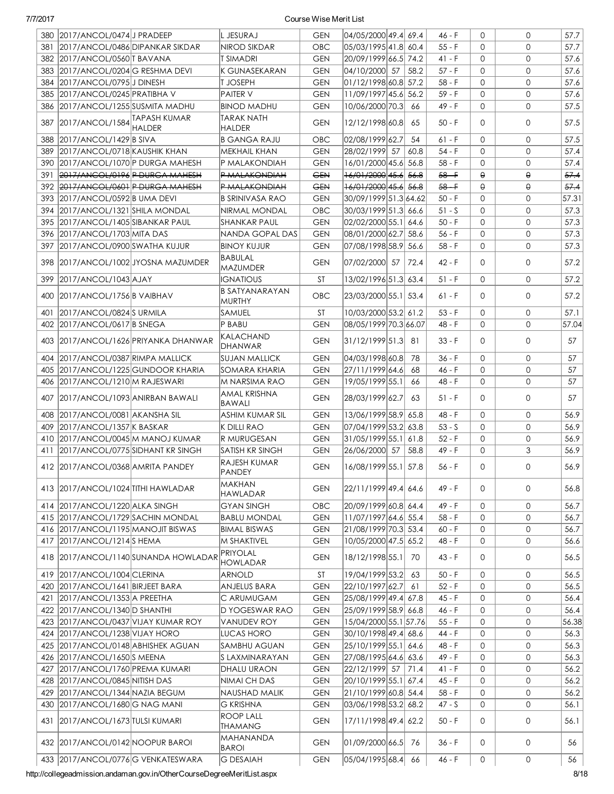|     | 380 2017/ANCOL/0474 J PRADEEP       |                                      | L JESURAJ                              | <b>GEN</b> | 04/05/2000 49.4 69.4  |      | 46 - F   | 0            | $\mathbf{O}$          | 57.7  |
|-----|-------------------------------------|--------------------------------------|----------------------------------------|------------|-----------------------|------|----------|--------------|-----------------------|-------|
| 381 | 2017/ANCOL/0486DIPANKAR SIKDAR      |                                      | NIROD SIKDAR                           | OBC        | 05/03/1995 41.8 60.4  |      | $55 - F$ | $\Omega$     | 0                     | 57.7  |
|     | 382 2017/ANCOL/0560 T BAVANA        |                                      | T SIMADRI                              | <b>GEN</b> | 20/09/1999 66.5 74.2  |      | 41 - F   | $\Omega$     | 0                     | 57.6  |
| 383 | 2017/ANCOL/0204 G RESHMA DEVI       |                                      | K GUNASEKARAN                          | <b>GEN</b> | 04/10/2000 57         | 58.2 | $57 - F$ | $\Omega$     | $\mathbf{0}$          | 57.6  |
| 384 | 2017/ANCOL/0795 J DINESH            |                                      | t Joseph                               | <b>GEN</b> | 01/12/1998 60.8 57.2  |      | 58 - F   | $\Omega$     | $\mathbf{0}$          | 57.6  |
|     | 385 2017/ANCOL/0245 PRATIBHA V      |                                      | <b>PAITER V</b>                        | <b>GEN</b> | 11/09/1997 45.6 56.2  |      | $59 - F$ | $\mathbf{O}$ | $\mathbf{O}$          | 57.6  |
|     | 386 2017/ANCOL/1255 SUSMITA MADHU   |                                      | <b>BINOD MADHU</b>                     | <b>GEN</b> | 10/06/2000 70.3       | 66   | 49 - F   | $\Omega$     | 0                     | 57.5  |
| 387 | 2017/ANCOL/1584 TAPASH KUMAR        | <b>HALDER</b>                        | <b>TARAK NATH</b><br><b>HALDER</b>     | <b>GEN</b> | 12/12/1998 60.8       | 65   | $50 - F$ | $\Omega$     | $\mathbf{0}$          | 57.5  |
| 388 | 2017/ANCOL/1429 B SIVA              |                                      | <b>B GANGA RAJU</b>                    | OBC        | 02/08/1999 62.7       | 54   | $61 - F$ | $\Omega$     | $\mathbf{0}$          | 57.5  |
| 389 | 2017/ANCOL/0718 KAUSHIK KHAN        |                                      | <b>MEKHAIL KHAN</b>                    | <b>GEN</b> | 28/02/1999 57         | 60.8 | $54 - F$ | $\Omega$     | $\mathbf{O}$          | 57.4  |
| 390 | 2017/ANCOL/1070 P DURGA MAHESH      |                                      | P MALAKONDIAH                          | <b>GEN</b> | 16/01/2000 45.6 56.8  |      | $58 - F$ | $\mathbf{O}$ | $\mathbf{O}$          | 57.4  |
| 391 | 2017/ANCOL/0196 P DURGA MAHESH      |                                      | P MALAKONDIAH                          | <b>GEN</b> | 16/01/2000 45.6 56.8  |      | $58 - F$ | $\Theta$     | $\boldsymbol{\Theta}$ | 57.4  |
|     | 392 2017/ANCOL/0601 P DURGA MAHESH  |                                      | P MALAKONDIAH                          | <b>GEN</b> | 16/01/2000 45.6 56.8  |      | $58 - F$ | $\Theta$     | $\Theta$              | 57.4  |
| 393 | 2017/ANCOL/0592 B UMA DEVI          |                                      | <b>B SRINIVASA RAO</b>                 | <b>GEN</b> | 30/09/1999 51.3 64.62 |      | $50 - F$ | $\Omega$     | 0                     | 57.31 |
| 394 | 2017/ANCOL/1321 SHILA MONDAL        |                                      | NIRMAL MONDAL                          | OBC        | 30/03/1999 51.3 66.6  |      | $51 - S$ | $\Omega$     | $\mathbf{0}$          | 57.3  |
| 395 | 2017/ANCOL/1405 SIBANKAR PAUL       |                                      | <b>SHANKAR PAUL</b>                    | <b>GEN</b> | 02/02/2000 55.1 64.6  |      | $50 - F$ | $\Omega$     | $\mathbf{0}$          | 57.3  |
|     | 396 2017/ANCOL/1703 MITA DAS        |                                      | NANDA GOPAL DAS                        | <b>GEN</b> | 08/01/2000 62.7 58.6  |      | 56 - F   | $\mathbf{O}$ | 0                     | 57.3  |
| 397 |                                     |                                      |                                        |            |                       |      |          | $\mathbf{0}$ | $\mathbf{0}$          |       |
|     | 2017/ANCOL/0900 SWATHA KUJUR        |                                      | <b>BINOY KUJUR</b>                     | <b>GEN</b> | 07/08/1998 58.9 56.6  |      | 58 - F   |              |                       | 57.3  |
|     |                                     | 398 2017/ANCOL/1002 JYOSNA MAZUMDER  | BABULAL<br><b>MAZUMDER</b>             | <b>GEN</b> | 07/02/2000 57         | 72.4 | $42 - F$ | $\Omega$     | 0                     | 57.2  |
| 399 | 2017/ANCOL/1043 AJAY                |                                      | <b>IGNATIOUS</b>                       | <b>ST</b>  | 13/02/1996 51.3 63.4  |      | $51 - F$ | $\Omega$     | $\mathbf{0}$          | 57.2  |
|     | 400 2017/ANCOL/1756 B VAIBHAV       |                                      | <b>B SATYANARAYAN</b><br><b>MURTHY</b> | <b>OBC</b> | 23/03/2000 55.1 53.4  |      | 61 - F   | $\Omega$     | $\mathbf{0}$          | 57.2  |
| 401 | 2017/ANCOL/0824 SURMILA             |                                      | SAMUEL                                 | <b>ST</b>  | 10/03/2000 53.2 61.2  |      | $53 - F$ | $\Omega$     | $\mathbf{0}$          | 57.1  |
|     | 402 2017/ANCOL/0617 B SNEGA         |                                      | P BABU                                 | <b>GEN</b> | 08/05/1999 70.3 66.07 |      | 48 - F   | $\Omega$     | $\mathbf{0}$          | 57.04 |
|     |                                     | 403 2017/ANCOL/1626 PRIYANKA DHANWAR | KALACHAND<br><b>DHANWAR</b>            | <b>GEN</b> | 31/12/1999 51.3       | 81   | $33 - F$ | $\Omega$     | $\mathbf{0}$          | 57    |
|     | 404 2017/ANCOL/0387 RIMPA MALLICK   |                                      | SUJAN MALLICK                          | <b>GEN</b> | 04/03/1998 60.8       | 78   | $36 - F$ | $\Omega$     | $\mathbf{0}$          | 57    |
|     | 405 2017/ANCOL/1225 GUNDOOR KHARIA  |                                      | SOMARA KHARIA                          | <b>GEN</b> | 27/11/1999 64.6       | 68   | 46 - F   | $\mathbf{O}$ | $\mathbf{O}$          | 57    |
|     | 406 2017/ANCOL/1210 M RAJESWARI     |                                      | M NARSIMA RAO                          | <b>GEN</b> | 19/05/1999 55.1       | 66   | 48 - F   | $\Omega$     | $\mathbf{0}$          | 57    |
| 407 | 2017/ANCOL/1093 ANIRBAN BAWALI      |                                      | AMAL KRISHNA<br><b>BAWALI</b>          | <b>GEN</b> | 28/03/1999 62.7       | 63   | $51 - F$ | $\Omega$     | $\mathbf{0}$          | 57    |
| 408 | 2017/ANCOL/0081 AKANSHA SIL         |                                      | ASHIM KUMAR SIL                        | <b>GEN</b> | 13/06/1999 58.9 65.8  |      | 48 - F   | $\Omega$     | $\mathbf{0}$          | 56.9  |
| 409 | 2017/ANCOL/1357 K BASKAR            |                                      | K DILLI RAO                            | <b>GEN</b> | 07/04/1999 53.2 63.8  |      | $53 - S$ | $\Omega$     | $\mathbf{0}$          | 56.9  |
| 410 | 2017/ANCOL/0045 M MANOJ KUMAR       |                                      | R MURUGESAN                            | <b>GEN</b> | 31/05/1999 55.1 61.8  |      | $52 - F$ | $\mathbf{0}$ | 0                     | 56.9  |
| 411 | 2017/ANCOL/0775 SIDHANT KR SINGH    |                                      | SATISH KR SINGH                        | <b>GEN</b> | 26/06/2000 57         | 58.8 | 49 - F   | $\mathbf{O}$ | 3                     | 56.9  |
|     | 412 2017/ANCOL/0368 AMRITA PANDEY   |                                      | RAJESH KUMAR<br><b>PANDEY</b>          | <b>GEN</b> | 16/08/1999 55.1 57.8  |      | $56 - F$ | $\Omega$     | $\mathbf{0}$          | 56.9  |
|     | 413 2017/ANCOL/1024 TITHI HAWLADAR  |                                      | MAKHAN<br><b>HAWLADAR</b>              | <b>GEN</b> | 22/11/1999 49.4 64.6  |      | 49 - F   | 0            | 0                     | 56.8  |
|     | 414 2017/ANCOL/1220 ALKA SINGH      |                                      | <b>GYAN SINGH</b>                      | OBC        | 20/09/1999 60.8 64.4  |      | 49 - F   | 0            | 0                     | 56.7  |
|     | 415 2017/ANCOL/1729 SACHIN MONDAL   |                                      | <b>BABLU MONDAL</b>                    | <b>GEN</b> | 11/07/1997 64.6 55.4  |      | $58 - F$ | $\mathbf{O}$ | 0                     | 56.7  |
|     | 416 2017/ANCOL/1195 MANOJIT BISWAS  |                                      | <b>BIMAL BISWAS</b>                    | <b>GEN</b> | 21/08/1999 70.3 53.4  |      | $60 - F$ | 0            | 0                     | 56.7  |
|     | 417 2017/ANCOL/1214 S HEMA          |                                      | M SHAKTIVEL                            | <b>GEN</b> | 10/05/2000 47.5 65.2  |      | 48 - F   | 0            | 0                     | 56.6  |
|     |                                     |                                      | PRIYOLAL                               |            |                       |      |          |              |                       |       |
|     |                                     | 418 2017/ANCOL/1140 SUNANDA HOWLADAR | <b>HOWLADAR</b>                        | <b>GEN</b> | 18/12/1998 55.1       | 70   | 43 - F   | 0            | 0                     | 56.5  |
|     | 419 2017/ANCOL/1004 CLERINA         |                                      | ARNOLD                                 | <b>ST</b>  | 19/04/1999 53.2       | 63   | $50 - F$ | 0            | 0                     | 56.5  |
|     | 420 2017/ANCOL/1641 BIRJEET BARA    |                                      | ANJELUS BARA                           | <b>GEN</b> | 22/10/1997 62.7       | 61   | $52 - F$ | 0            | 0                     | 56.5  |
|     | 421 2017/ANCOL/1353 A PREETHA       |                                      | C ARUMUGAM                             | <b>GEN</b> | 25/08/1999 49.4 67.8  |      | 45 - F   | 0            | 0                     | 56.4  |
|     | 422 2017/ANCOL/1340 D SHANTHI       |                                      | <b>D YOGESWAR RAO</b>                  | <b>GEN</b> | 25/09/1999 58.9 66.8  |      | 46 - F   | 0            | 0                     | 56.4  |
|     | 423 2017/ANCOL/0437 VIJAY KUMAR ROY |                                      | <b>VANUDEV ROY</b>                     | <b>GEN</b> | 15/04/2000 55.1 57.76 |      | $55 - F$ | 0            | 0                     | 56.38 |
|     | 424 2017/ANCOL/1238 VIJAY HORO      |                                      | LUCAS HORO                             | <b>GEN</b> | 30/10/1998 49.4 68.6  |      | 44 - F   | $\mathbf{O}$ | 0                     | 56.3  |
|     | 425 2017/ANCOL/0148 ABHISHEK AGUAN  |                                      | <b>SAMBHU AGUAN</b>                    | <b>GEN</b> | 25/10/1999 55.1 64.6  |      | 48 - F   | $\mathbf{O}$ | 0                     | 56.3  |
|     | 426 2017/ANCOL/1650 SMEENA          |                                      | S LAXMINARAYAN                         | <b>GEN</b> | 27/08/1995 64.6 63.6  |      | 49 - F   | $\mathbf{0}$ | 0                     | 56.3  |
| 427 | 2017/ANCOL/1760 PREMA KUMARI        |                                      | DHALU URAON                            | <b>GEN</b> | 22/12/1999 57         | 71.4 | $41 - F$ | $\mathbf{0}$ | 0                     | 56.2  |
|     | 428 2017/ANCOL/0845 NITISH DAS      |                                      | NIMAI CH DAS                           | <b>GEN</b> | 20/10/1999 55.1  67.4 |      | $45 - F$ | 0            | 0                     | 56.2  |
| 429 | 2017/ANCOL/1344 NAZIA BEGUM         |                                      | NAUSHAD MALIK                          | <b>GEN</b> | 21/10/1999 60.8 54.4  |      | $58 - F$ | 0            | 0                     | 56.2  |
|     | 430 2017/ANCOL/1680 G NAG MANI      |                                      | <b>G KRISHNA</b>                       | <b>GEN</b> | 03/06/1998 53.2 68.2  |      | $47 - S$ | 0            | 0                     | 56.1  |
|     | 431 2017/ANCOL/1673 TULSI KUMARI    |                                      | <b>ROOP LALL</b><br>THAMANG            | <b>GEN</b> | 17/11/1998 49.4 62.2  |      | $50 - F$ | 0            | 0                     | 56.1  |
|     | 432 2017/ANCOL/0142 NOOPUR BAROI    |                                      | MAHANANDA<br><b>BAROI</b>              | <b>GEN</b> | 01/09/2000 66.5       | 76   | $36 - F$ | 0            | 0                     | 56    |
|     | 433 2017/ANCOL/0776 G VENKATESWARA  |                                      | <b>G DESAIAH</b>                       | <b>GEN</b> | 05/04/1995 68.4       | 66   | 46 - F   | $\circ$      | 0                     | 56    |

http://collegeadmission.andaman.gov.in/OtherCourseDegreeMeritList.aspx 8/18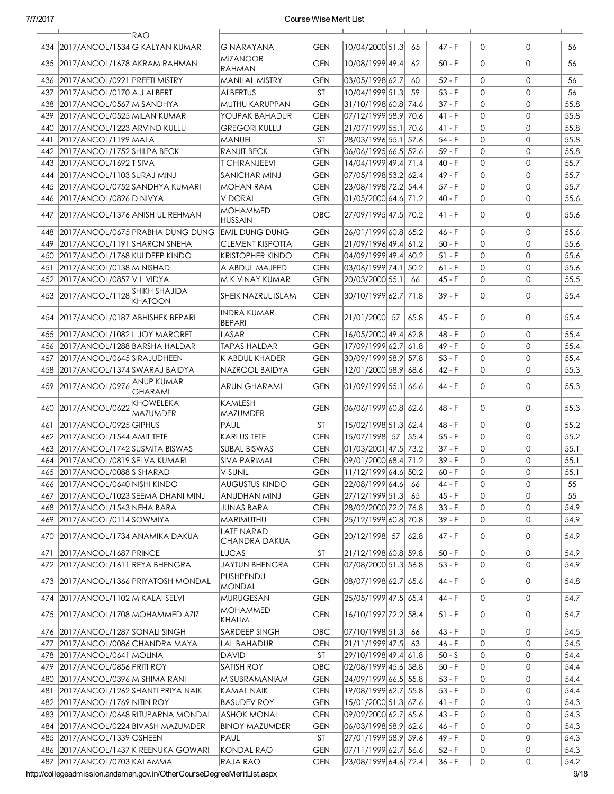|     | $\mathbf{I}$<br><b>RAO</b>                                 |                                     |            | $\blacksquare$         |                  |              |              |      |
|-----|------------------------------------------------------------|-------------------------------------|------------|------------------------|------------------|--------------|--------------|------|
|     | 434 2017/ANCOL/1534 G KALYAN KUMAR                         | G NARAYANA                          | <b>GEN</b> | 10/04/2000 51.3        | $47 - F$<br>65   | $\Omega$     | $\mathbf{0}$ | 56   |
|     | 435 2017/ANCOL/1678 AKRAM RAHMAN                           | MIZANOOR<br>RAHMAN                  | <b>GEN</b> | 10/08/1999 49.4        | 62<br>50 - F     | $\Omega$     | $\mathbf{0}$ | 56   |
| 436 | 2017/ANCOL/0921 PREETI MISTRY                              | MANILAL MISTRY                      | <b>GEN</b> | 03/05/1998 62.7        | $52 - F$<br>60   | $\Omega$     | $\mathbf{0}$ | 56   |
| 437 | 2017/ANCOL/0170 A J ALBERT                                 | ALBERTUS                            | <b>ST</b>  | 10/04/1999 51.3        | 59<br>$53 - F$   | $\Omega$     | $\mathbf{O}$ | 56   |
|     | 438 2017/ANCOL/0567 M SANDHYA                              | MUTHU KARUPPAN                      | <b>GEN</b> | 31/10/1998 60.8 74.6   | $37 - F$         | $\Omega$     | $\mathbf{O}$ | 55.8 |
|     | 439 2017/ANCOL/0525 MILAN KUMAR                            | YOUPAK BAHADUR                      | <b>GEN</b> | 07/12/1999 58.9 70.6   | 41 - F           | $\Omega$     | $\mathbf 0$  | 55.8 |
|     | 440 2017/ANCOL/1223 ARVIND KULLU                           | GREGORI KULLU                       | <b>GEN</b> | 21/07/1999 55.1 70.6   | $41 - F$         | $\Omega$     | $\mathbf 0$  | 55.8 |
| 441 | 2017/ANCOL/1199 MALA                                       | MANUEL                              | <b>ST</b>  | 28/03/1996 55.1 57.6   | $54 - F$         | $\Omega$     | $\mathbf 0$  | 55.8 |
|     | 442 2017/ANCOL/1752 SHILPA BECK                            | RANJIT BECK                         | <b>GEN</b> | 06/06/1995 66.5 52.6   | $59 - F$         | $\Omega$     | $\mathbf{0}$ | 55.8 |
|     | 443 2017/ANCOL/1692 T SIVA                                 | <b>T CHIRANJEEVI</b>                | <b>GEN</b> | 14/04/1999 49.4 71.4   | $40 - F$         | $\mathbf{O}$ | $\mathbf{O}$ | 55.7 |
|     | 444 2017/ANCOL/1103 SURAJ MINJ                             | SANICHAR MINJ                       | <b>GEN</b> | 07/05/1998 53.2 62.4   | 49 - F           | $\mathbf{0}$ | $\mathbf 0$  | 55.7 |
|     | 445 2017/ANCOL/0752 SANDHYA KUMARI                         | MOHAN RAM                           | <b>GEN</b> | 23/08/1998 72.2 54.4   | $57 - F$         | $\mathbf{0}$ | $\mathbf 0$  | 55.7 |
|     | 446 2017/ANCOL/0826 D NIVYA                                | V DORAI                             | <b>GEN</b> | 01/05/2000 64.6 71.2   | 40 - F           | $\Omega$     | $\mathbf{0}$ | 55.6 |
|     | 447 2017/ANCOL/1376 ANISH UL REHMAN                        | MOHAMMED<br><b>HUSSAIN</b>          | <b>OBC</b> | 27/09/1995 47.5 70.2   | 41 - F           | $\Omega$     | $\mathbf{0}$ | 55.6 |
| 448 | 2017/ANCOL/0675 PRABHA DUNG DUNG                           | <b>EMIL DUNG DUNG</b>               | <b>GEN</b> | 26/01/1999 60.8 65.2   | 46 - F           | $\Omega$     | $\mathbf{0}$ | 55.6 |
| 449 | 2017/ANCOL/1191 SHARON SNEHA                               | CLEMENT KISPOTTA                    | <b>GEN</b> | 21/09/1996 49.4 61.2   | $50 - F$         | $\Omega$     | $\mathbf{0}$ | 55.6 |
| 450 | 2017/ANCOL/1768 KULDEEP KINDO                              | KRISTOPHER KINDO                    | <b>GEN</b> | 04/09/1999 49.4 60.2   | $51 - F$         | $\Omega$     | $\mathbf{0}$ | 55.6 |
| 451 | 2017/ANCOL/0138 M NISHAD                                   | A ABDUL MAJEED                      | <b>GEN</b> | 03/06/1999 74.1 50.2   | $61 - F$         | $\mathbf{O}$ | $\mathbf{0}$ | 55.6 |
| 452 | 2017/ANCOL/0857 V L VIDYA                                  | M K VINAY KUMAR                     | <b>GEN</b> | 20/03/2000 55.1        | 66<br>45 - F     | $\mathbf{O}$ | $\mathbf{0}$ | 55.5 |
|     | 453 2017/ANCOL/1128 SHIKH SHAJIDA<br><b>KHATOON</b>        | <b>SHEIK NAZRUL ISLAM</b>           | <b>GEN</b> | 30/10/1999 62.7   71.8 | 39 - F           | $\mathbf{0}$ | 0            | 55.4 |
|     | 454 2017/ANCOL/0187 ABHISHEK BEPARI                        | <b>INDRA KUMAR</b><br><b>BEPARI</b> | <b>GEN</b> | 21/01/2000 57          | 65.8<br>45 - F   | $\Omega$     | $\mathbf{0}$ | 55.4 |
|     | 455 2017/ANCOL/1082L JOY MARGRET                           | LASAR                               | <b>GEN</b> | 16/05/2000 49.4 62.8   | 48 - F           | $\Omega$     | $\mathbf{0}$ | 55.4 |
|     | 456 2017/ANCOL/1288 BARSHA HALDAR                          | TAPAS HALDAR                        | <b>GEN</b> | 17/09/1999 62.7 61.8   | 49 - F           | $\Omega$     | $\mathbf{0}$ | 55.4 |
| 457 | 2017/ANCOL/0645 SIRAJUDHEEN                                | K ABDUL KHADER                      | <b>GEN</b> | 30/09/1999 58.9 57.8   | $53 - F$         | $\mathbf{O}$ | $\mathbf{0}$ | 55.4 |
| 458 | 2017/ANCOL/1374 SWARAJ BAIDYA                              | NAZROOL BAIDYA                      | <b>GEN</b> | 12/01/2000 58.9 68.6   | $42 - F$         | $\Omega$     | $\mathbf{0}$ | 55.3 |
|     | <b>ANUP KUMAR</b><br>459 2017/ANCOL/0976<br><b>GHARAMI</b> | ARUN GHARAMI                        | <b>GEN</b> | 01/09/1999 55.1 66.6   | 44 - F           | $\Omega$     | $\mathbf{O}$ | 55.3 |
|     | 460 2017/ANCOL/0622 KHOWELEKA<br><b>MAZUMDER</b>           | <b>KAMLESH</b><br>MAZUMDER          | <b>GEN</b> | 06/06/1999 60.8 62.6   | 48 - F           | $\Omega$     | $\mathbf{0}$ | 55.3 |
| 461 | 2017/ANCOL/0925 GIPHUS                                     | PAUL                                | ST         | 15/02/1998 51.3  62.4  | $48 - F$         | $\Omega$     | $\mathbf{0}$ | 55.2 |
|     | 462 2017/ANCOL/1544 AMIT TETE                              | KARLUS TETE                         | <b>GEN</b> | 15/07/1998 57          | 55.4<br>$55 - F$ | $\Omega$     | $\mathbf{0}$ | 55.2 |
| 463 | 2017/ANCOL/1742 SUSMITA BISWAS                             | SUBAL BISWAS                        | <b>GEN</b> | 01/03/2001 47.5 73.2   | $37 - F$         | $\Omega$     | $\mathbf{0}$ | 55.1 |
| 464 | 2017/ANCOL/0819 SELVA KUMARI                               | SIVA PARIMAL                        | <b>GEN</b> | 09/01/2000 68.4 71.2   | $39 - F$         | $\mathbf{0}$ | $\mathbf{0}$ | 55.1 |
|     | 465 2017/ANCOL/0088 SHARAD                                 | V SUNIL                             | <b>GEN</b> | 11/12/1999 64.6 50.2   | $60 - F$         | $\Omega$     | $\mathbf{0}$ | 55.1 |
| 466 | 2017/ANCOL/0640 NISHI KINDO                                | <b>AUGUSTUS KINDO</b>               | GEN        | 22/08/1999 64.6        | 44 - F<br>66     | $\mathbf 0$  | 0            | 55   |
| 467 | 2017/ANCOL/1023 SEEMA DHANI MINJ                           | ANUDHAN MINJ                        | GEN        | 27/12/1999 51.3        | $45 - F$<br>65   | 0            | 0            | 55   |
|     | 468 2017/ANCOL/1543 NEHA BARA                              | <b>JUNAS BARA</b>                   | <b>GEN</b> | 28/02/2000 72.2 76.8   | $33 - F$         | $\mathbf 0$  | 0            | 54.9 |
| 469 | 2017/ANCOL/0114 SOWMIYA                                    | MARIMUTHU                           | <b>GEN</b> | 25/12/1999 60.8 70.8   | $39 - F$         | $\mathbf{0}$ | 0            | 54.9 |
|     | 470   2017/ANCOL/1734 ANAMIKA DAKUA                        | LATE NARAD<br>CHANDRA DAKUA         | <b>GEN</b> | 20/12/1998 57          | 62.8<br>47 - F   | 0            | 0            | 54.9 |
| 471 | 2017/ANCOL/1687 PRINCE                                     | <b>LUCAS</b>                        | ST         | 21/12/1998 60.8 59.8   | $50 - F$         | $\mathbf{O}$ | 0            | 54.9 |
|     | 472 2017/ANCOL/1611 REYA BHENGRA                           | <b>JAYTUN BHENGRA</b>               | <b>GEN</b> | 07/08/2000 51.3 56.8   | $53 - F$         | $\mathbf{O}$ | 0            | 54.9 |
|     | 473 2017/ANCOL/1366 PRIYATOSH MONDAL                       | PUSHPENDU<br>MONDAL                 | <b>GEN</b> | 08/07/1998 62.7 65.6   | 44 - F           | 0            | 0            | 54.8 |
| 474 | 2017/ANCOL/1102 M KALAI SELVI                              | <b>MURUGESAN</b>                    | <b>GEN</b> | 25/05/1999 47.5 65.4   | 44 - F           | $\mathbf{O}$ | 0            | 54.7 |
|     | 475 2017/ANCOL/1708 MOHAMMED AZIZ                          | MOHAMMED<br><b>KHALIM</b>           | <b>GEN</b> | 16/10/1997 72.2 58.4   | $51 - F$         | 0            | 0            | 54.7 |
| 476 | 2017/ANCOL/1287 SONALI SINGH                               | <b>SARDEEP SINGH</b>                | OBC        | 07/10/1998 51.3        | 66<br>43 - F     | $\mathbf{O}$ | 0            | 54.5 |
|     | 477 2017/ANCOL/0086 CHANDRA MAYA                           | LAL BAHADUR                         | <b>GEN</b> | 21/11/1999 47.5        | 63<br>$46 - F$   | $\mathbf{O}$ | 0            | 54.5 |
|     | 478 2017/ANCOL/0641 MOLINA                                 | <b>DAVID</b>                        | ST         | 29/10/1998 49.4 61.8   | $50 - S$         | $\mathbf{0}$ | 0            | 54.4 |
| 479 | 2017/ANCOL/0856 PRITI ROY                                  | SATISH ROY                          | OBC        | 02/08/1999 45.6 58.8   | $50 - F$         | 0            | 0            | 54.4 |
| 480 | 2017/ANCOL/0396 M SHIMA RANI                               | M SUBRAMANIAM                       | <b>GEN</b> | 24/09/1999 66.5 55.8   | $53 - F$         | 0            | 0            | 54.4 |
| 481 | 2017/ANCOL/1262 SHANTI PRIYA NAIK                          | <b>KAMAL NAIK</b>                   | <b>GEN</b> | 19/08/1999 62.7 55.8   | $53 - F$         | $\mathbf{0}$ | 0            | 54.4 |
|     | 482 2017/ANCOL/1769 NITIN ROY                              | <b>BASUDEV ROY</b>                  | <b>GEN</b> | 15/01/2000 51.3 67.6   | $41 - F$         | $\mathbf{O}$ | 0            | 54.3 |
|     | 483 2017/ANCOL/0648 RITUPARNA MONDAL                       | <b>ASHOK MONAL</b>                  | <b>GEN</b> | 09/02/2000 62.7 65.6   | 43 - F           | $\mathbf{O}$ | 0            | 54.3 |
|     | 484 2017/ANCOL/0224 BIVASH MAZUMDER                        | <b>BINOY MAZUMDER</b>               | <b>GEN</b> | 06/03/1998 58.9 62.6   | $46 - F$         | $\mathbf{O}$ | 0            | 54.3 |
|     | 485 2017/ANCOL/1339 OSHEEN                                 | PAUL                                | ST         | 27/01/1999 58.9 59.6   | 49 - F           | 0            | 0            | 54.3 |
|     | 486 2017/ANCOL/1437 K REENUKA GOWARI                       | <b>KONDAL RAO</b>                   | <b>GEN</b> | 07/11/1999 62.7 56.6   | $52 - F$         | 0            | 0            | 54.3 |
|     | 487 2017/ANCOL/0703 KALAMMA                                | <b>RAJA RAO</b>                     | <b>GEN</b> | 23/08/1999 64.6 72.4   | $36 - F$         | 0            | $\mathbf{O}$ | 54.2 |

http://collegeadmission.andaman.gov.in/OtherCourseDegreeMeritList.aspx 9/18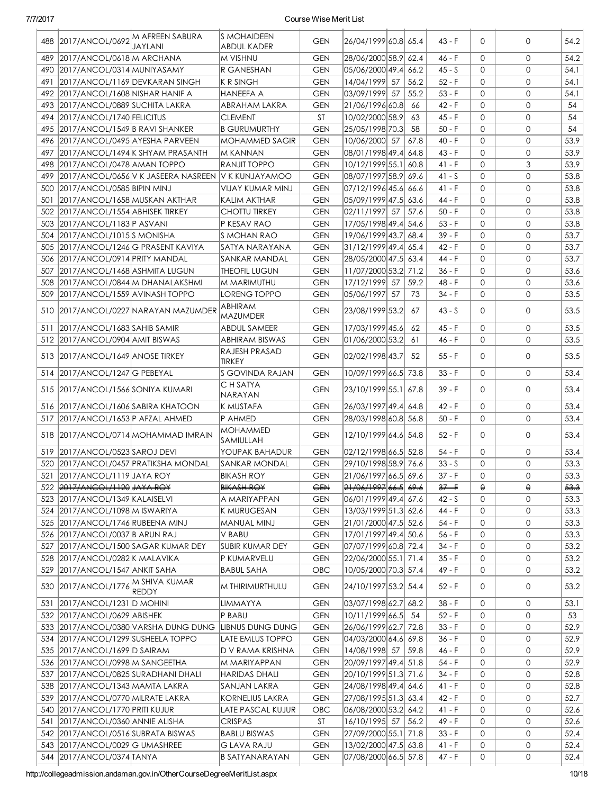|     | 488 2017/ANCOL/0692 M AFREEN SABURA | JAYLANI                                | <b>S MOHAIDEEN</b><br>ABDUL KADER | <b>GEN</b> | 26/04/1999 60.8 65.4 |      | $43 - F$ | $\Omega$     | $\mathbf{0}$ | 54.2 |
|-----|-------------------------------------|----------------------------------------|-----------------------------------|------------|----------------------|------|----------|--------------|--------------|------|
| 489 | 2017/ANCOL/0618 M ARCHANA           |                                        | M VISHNU                          | <b>GEN</b> | 28/06/2000 58.9 62.4 |      | 46 - F   | $\Omega$     | $\mathsf{O}$ | 54.2 |
|     | 490 2017/ANCOL/0314 MUNIYASAMY      |                                        | R GANESHAN                        | <b>GEN</b> | 05/06/2000 49.4 66.2 |      | $45 - S$ | $\Omega$     | $\mathbf 0$  | 54.1 |
| 491 | 2017/ANCOL/1169 DEVKARAN SINGH      |                                        | <b>K R SINGH</b>                  | <b>GEN</b> | 14/04/1999 57        | 56.2 | $52 - F$ | $\Omega$     | $\mathbf{O}$ | 54.1 |
|     | 492 2017/ANCOL/1608 NISHAR HANIF A  |                                        | <b>HANEEFA A</b>                  | <b>GEN</b> | 03/09/1999 57        | 55.2 | $53 - F$ | $\Omega$     | $\mathbf{O}$ | 54.1 |
|     | 493   2017/ANCOL/0889 SUCHITA LAKRA |                                        | ABRAHAM LAKRA                     | <b>GEN</b> | 21/06/1996 60.8      | 66   | 42 - F   | $\mathbf{O}$ | $\mathbf 0$  | 54   |
|     | 494 2017/ANCOL/1740 FELICITUS       |                                        | <b>CLEMENT</b>                    | <b>ST</b>  | 10/02/2000 58.9      | 63   | 45 - F   | $\mathbf{0}$ | $\mathbf{0}$ | 54   |
|     | 495 2017/ANCOL/1549 B RAVI SHANKER  |                                        | <b>B GURUMURTHY</b>               | <b>GEN</b> | 25/05/1998 70.3      | 58   | $50 - F$ | $\mathbf{0}$ | $\mathbf{O}$ | 54   |
| 496 | 2017/ANCOL/0495 AYESHA PARVEEN      |                                        | <b>MOHAMMED SAGIR</b>             | <b>GEN</b> | 10/06/2000 57        | 67.8 | $40 - F$ | $\mathbf{0}$ | $\mathbf{O}$ | 53.9 |
| 497 |                                     | 2017/ANCOL/1494 K SHYAM PRASANTH       | IM KANNAN                         | <b>GEN</b> | 08/01/1998 49.4 64.8 |      | $43 - F$ | $\Omega$     | $\mathbf{0}$ | 53.9 |
| 498 | 2017/ANCOL/0478 AMAN TOPPO          |                                        | <b>RANJIT TOPPO</b>               | <b>GEN</b> | 10/12/1999 55.1      | 60.8 | 41 - F   | 0            | 3            | 53.9 |
| 499 |                                     | 2017/ANCOL/0656 V K JASEERA NASREEN    | <b>V K KUNJAYAMOO</b>             | <b>GEN</b> | 08/07/1997 58.9 69.6 |      | $41 - S$ | $\Omega$     | $\mathbf 0$  | 53.8 |
| 500 | 2017/ANCOL/0585 BIPIN MINJ          |                                        | VIJAY KUMAR MINJ                  | <b>GEN</b> | 07/12/1996 45.6 66.6 |      | $41 - F$ | $\Omega$     | $\mathsf{O}$ | 53.8 |
| 501 | 2017/ANCOL/1658 MUSKAN AKTHAR       |                                        | KALIM AKTHAR                      | <b>GEN</b> | 05/09/1999 47.5 63.6 |      | 44 - F   | $\Omega$     | $\mathbf{0}$ | 53.8 |
|     | 502 2017/ANCOL/1554 ABHISEK TIRKEY  |                                        | <b>CHOTTU TIRKEY</b>              | <b>GEN</b> | 02/11/1997 57        | 57.6 | $50 - F$ | $\Omega$     | $\Omega$     | 53.8 |
| 503 | 2017/ANCOL/1183 P ASVANI            |                                        | P KESAV RAO                       | <b>GEN</b> | 17/05/1998 49.4 54.6 |      | $53 - F$ | $\Omega$     | $\mathbf{O}$ | 53.8 |
| 504 | 2017/ANCOL/1015 S MONISHA           |                                        | <b>S MOHAN RAO</b>                | <b>GEN</b> | 19/06/1999 43.7      | 68.4 | $39 - F$ | $\Omega$     | $\Omega$     | 53.7 |
| 505 | 2017/ANCOL/1246 G PRASENT KAVIYA    |                                        | SATYA NARAYANA                    | <b>GEN</b> | 31/12/1999 49.4 65.4 |      | 42 - F   | 0            | $\mathbf{O}$ | 53.7 |
|     | 506 2017/ANCOL/0914 PRITY MANDAL    |                                        | SANKAR MANDAL                     | <b>GEN</b> | 28/05/2000 47.5 63.4 |      | 44 - F   | $\Omega$     | $\mathbf{0}$ | 53.7 |
| 507 | 2017/ANCOL/1468 ASHMITA LUGUN       |                                        | THEOFIL LUGUN                     | <b>GEN</b> | 11/07/2000 53.2 71.2 |      | $36 - F$ | $\Omega$     | $\mathbf{0}$ | 53.6 |
| 508 | 2017/ANCOL/0844 M DHANALAKSHMI      |                                        | M MARIMUTHU                       | <b>GEN</b> | 17/12/1999 57        | 59.2 | 48 - F   | $\Omega$     | $\mathbf{0}$ | 53.6 |
| 509 | 2017/ANCOL/1559 AVINASH TOPPO       |                                        | LORENG TOPPO                      | <b>GEN</b> | 05/06/1997 57        | 73   | 34 - F   | $\Omega$     | $\mathbf{O}$ | 53.5 |
|     |                                     | 510 2017/ANCOL/0227 NARAYAN MAZUMDER   | ABHIRAM<br>MAZUMDER               | <b>GEN</b> | 23/08/1999 53.2      | 67   | $43 - S$ | $\Omega$     | 0            | 53.5 |
| 511 | 2017/ANCOL/1683 SAHIB SAMIR         |                                        | <b>ABDUL SAMEER</b>               | <b>GEN</b> | 17/03/1999 45.6      | 62   | $45 - F$ | $\mathbf{0}$ | $\mathbf{0}$ | 53.5 |
|     | 512 2017/ANCOL/0904 AMIT BISWAS     |                                        | <b>ABHIRAM BISWAS</b>             | <b>GEN</b> | 01/06/2000 53.2      | 61   | 46 - F   | $\Omega$     | $\mathbf{O}$ | 53.5 |
|     | 513 2017/ANCOL/1649 ANOSE TIRKEY    |                                        | RAJESH PRASAD<br>TIRKEY           | <b>GEN</b> | 02/02/1998 43.7      | 52   | 55 - F   | $\Omega$     | 0            | 53.5 |
|     | 514 2017/ANCOL/1247 G PEBEYAL       |                                        | S GOVINDA RAJAN                   | <b>GEN</b> | 10/09/1999 66.5 73.8 |      | $33 - F$ | $\Omega$     | $\mathbf{0}$ | 53.4 |
|     | 515 2017/ANCOL/1566 SONIYA KUMARI   |                                        | C H SATYA<br>NARAYAN              | <b>GEN</b> | 23/10/1999 55.1 67.8 |      | 39 - F   | $\Omega$     | 0            | 53.4 |
|     | 516 2017/ANCOL/1606 SABIRA KHATOON  |                                        | K MUSTAFA                         | <b>GEN</b> | 26/03/1997 49.4 64.8 |      | 42 - F   | 0            | $\mathsf{O}$ | 53.4 |
| 517 | 2017/ANCOL/1653 P AFZAL AHMED       |                                        | P AHMED                           | <b>GEN</b> | 28/03/1998 60.8 56.8 |      | $50 - F$ | $\Omega$     | $\mathbf 0$  | 53.4 |
|     |                                     | 518 2017/ANCOL/0714 MOHAMMAD IMRAIN    | <b>MOHAMMED</b><br>SAMIULLAH      | <b>GEN</b> | 12/10/1999 64.6 54.8 |      | 52 - F   | $\Omega$     | $\mathbf{0}$ | 53.4 |
|     | 519 2017/ANCOL/0523 SAROJ DEVI      |                                        | YOUPAK BAHADUR                    | <b>GEN</b> | 02/12/1998 66.5 52.8 |      | 54 - F   | $\Omega$     | $\mathbf{O}$ | 53.4 |
| 520 |                                     | 2017/ANCOL/0457 PRATIKSHA MONDAL       | SANKAR MONDAL                     | <b>GEN</b> | 29/10/1998 58.9 76.6 |      | $33 - S$ | $\Omega$     | $\Omega$     | 53.3 |
|     | 521 2017/ANCOL/1119 JAYA ROY        |                                        | <b>BIKASH ROY</b>                 | <b>GEN</b> | 21/06/1997 66.5 69.6 |      | 37 - F   | 0            | 0            | 53.3 |
|     | 522 2017/ANCOL/1120 JAYA ROY        |                                        | <b>BIKASH ROY</b>                 | <b>GEN</b> | 21/06/1997 66.5 69.6 |      | $37 - F$ | θ            | $\Theta$     | 53.3 |
|     | 523   2017/ANCOL/1349   KALAISELVI  |                                        | A MARIYAPPAN                      | GEN        | 06/01/1999 49.4 67.6 |      | 42 - S   | 0            | 0            | 53.3 |
|     | 524   2017/ANCOL/1098   MISWARIYA   |                                        | K MURUGESAN                       | GEN        | 13/03/1999 51.3 62.6 |      | 44 - F   | 0            | 0            | 53.3 |
|     | 525 2017/ANCOL/1746 RUBEENA MINJ    |                                        | MANUAL MINJ                       | GEN        | 21/01/2000 47.5 52.6 |      | 54 - F   | $\Omega$     | 0            | 53.3 |
| 526 | 2017/ANCOL/0037 B ARUN RAJ          |                                        | V BABU                            | <b>GEN</b> | 17/01/1997 49.4 50.6 |      | $56 - F$ | 0            | 0            | 53.3 |
| 527 |                                     | 2017/ANCOL/1500 SAGAR KUMAR DEY        | <b>SUBIR KUMAR DEY</b>            | <b>GEN</b> | 07/07/1999 60.8 72.4 |      | $34 - F$ | 0            | 0            | 53.2 |
|     | 528 2017/ANCOL/0282 K MALAVIKA      |                                        | P KUMARVELU                       | <b>GEN</b> | 22/06/2000 55.1 71.4 |      | $35 - F$ | 0            | 0            | 53.2 |
| 529 | 2017/ANCOL/1547 ANKIT SAHA          |                                        | <b>BABUL SAHA</b>                 | OBC        | 10/05/2000 70.3 57.4 |      | 49 - F   | 0            | 0            | 53.2 |
| 530 | 2017/ANCOL/1776                     | IM SHIVA KUMAR<br>REDDY                | M THIRIMURTHULU                   | <b>GEN</b> | 24/10/1997 53.2 54.4 |      | 52 - F   | 0            | 0            | 53.2 |
| 531 | 2017/ANCOL/1231 D MOHINI            |                                        | LIMMAYYA                          | <b>GEN</b> | 03/07/1998 62.7      | 68.2 | $38 - F$ | 0            | 0            | 53.1 |
|     | 532 2017/ANCOL/0629 ABISHEK         |                                        | P BABU                            | <b>GEN</b> | 10/11/1999 66.5      | 54   | $52 - F$ | $\mathbf{0}$ | 0            | 53   |
|     |                                     | 533   2017/ANCOL/0380 VARSHA DUNG DUNG | LIBNUS DUNG DUNG                  | <b>GEN</b> | 26/06/1999 62.7      | 72.8 | $33 - F$ | $\mathbf{0}$ | 0            | 52.9 |
|     | 534 2017/ANCOL/1299 SUSHEELA TOPPO  |                                        | LATE EMLUS TOPPO                  | <b>GEN</b> | 04/03/2000 64.6 69.8 |      | $36 - F$ | 0            | 0            | 52.9 |
|     | 535   2017/ANCOL/1699   D SAIRAM    |                                        | D V RAMA KRISHNA                  | <b>GEN</b> | 14/08/1998 57        | 59.8 | $46 - F$ | 0            | 0            | 52.9 |
|     | 536 2017/ANCOL/0998 M SANGEETHA     |                                        | M MARIYAPPAN                      | <b>GEN</b> | 20/09/1997 49.4 51.8 |      | $54 - F$ | 0            | 0            | 52.9 |
|     | 537 2017/ANCOL/0825 SURADHANI DHALI |                                        | <b>HARIDAS DHALI</b>              | <b>GEN</b> | 20/10/1999 51.3 71.6 |      | $34 - F$ | 0            | 0            | 52.8 |
|     | 538 2017/ANCOL/1343 MAMTA LAKRA     |                                        | SANJAN LAKRA                      | <b>GEN</b> | 24/08/1998 49.4 64.6 |      | $41 - F$ | 0            | 0            | 52.8 |
| 539 | 2017/ANCOL/0770 MILRATE LAKRA       |                                        | <b>KORNELIUS LAKRA</b>            | <b>GEN</b> | 27/08/1995 51.3 63.4 |      | $42 - F$ | 0            | 0            | 52.7 |
| 540 | 2017/ANCOL/1770 PRITI KUJUR         |                                        | <b>LATE PASCAL KUJUR</b>          | OBC        | 06/08/2000 53.2 64.2 |      | $41 - F$ | 0            | 0            | 52.6 |
| 541 | 2017/ANCOL/0360 ANNIE ALISHA        |                                        | CRISPAS                           | ST         | 16/10/1995 57 56.2   |      | 49 - F   | 0            | 0            | 52.6 |
| 542 | 2017/ANCOL/0516 SUBRATA BISWAS      |                                        | <b>BABLU BISWAS</b>               | <b>GEN</b> | 27/09/2000 55.1 71.8 |      | 33 - F   | 0            | 0            | 52.4 |
|     | 543 2017/ANCOL/0029 G UMASHREE      |                                        | <b>GLAVA RAJU</b>                 | <b>GEN</b> | 13/02/2000 47.5 63.8 |      | $41 - F$ | 0            | 0            | 52.4 |
|     | 544   2017/ANCOL/0374   TANYA       |                                        | B SATYANARAYAN                    | <b>GEN</b> | 07/08/2000 66.5 57.8 |      | 47 - F   | 0            | 0            | 52.4 |
|     |                                     |                                        |                                   |            |                      |      |          |              |              |      |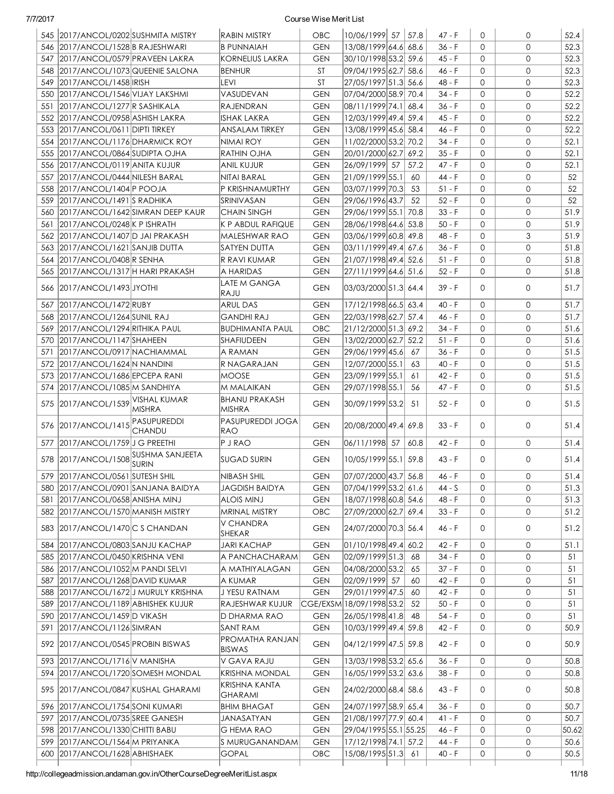|     | 545 2017/ANCOL/0202 SUSHMITA MISTRY    |                                      | <b>RABIN MISTRY</b>                | <b>OBC</b> | 10/06/1999 57            | 57.8 | $47 - F$ | $\Omega$     | $\mathbf 0$  | 52.4         |
|-----|----------------------------------------|--------------------------------------|------------------------------------|------------|--------------------------|------|----------|--------------|--------------|--------------|
|     | 546 2017/ANCOL/1528 B RAJESHWARI       |                                      | <b>B PUNNAIAH</b>                  | <b>GEN</b> | 13/08/1999 64.6 68.6     |      | $36 - F$ | $\Omega$     | $\Omega$     | 52.3         |
|     | 547 2017/ANCOL/0579 PRAVEEN LAKRA      |                                      | <b>KORNELIUS LAKRA</b>             | <b>GEN</b> | 30/10/1998 53.2 59.6     |      | $45 - F$ | $\Omega$     | $\mathbf{0}$ | 52.3         |
|     | 548 2017/ANCOL/1073 QUEENIE SALONA     |                                      | <b>BENHUR</b>                      | ST         | 09/04/1995 62.7 58.6     |      | 46 - F   | $\Omega$     | $\mathbf{0}$ | 52.3         |
| 549 | 2017/ANCOL/1458 RISH                   |                                      | levi                               | ST         | 27/05/1997 51.3 56.6     |      | 48 - F   | $\Omega$     | $\mathbf{0}$ | 52.3         |
|     | 550 2017/ANCOL/1546 VIJAY LAKSHMI      |                                      | VASUDEVAN                          | <b>GEN</b> | 07/04/2000 58.9 70.4     |      | $34 - F$ | $\Omega$     | $\mathbf{0}$ | 52.2         |
| 551 | 2017/ANCOL/1277 R SASHIKALA            |                                      | RAJENDRAN                          | <b>GEN</b> | 08/11/1999 74.1 68.4     |      | $36 - F$ | $\Omega$     | $\mathbf{O}$ | 52.2         |
|     | 552 2017/ANCOL/0958 ASHISH LAKRA       |                                      | ISHAK LAKRA                        | <b>GEN</b> | 12/03/1999 49.4 59.4     |      | $45 - F$ | $\Omega$     | $\mathbf{O}$ | 52.2         |
|     | 553 2017/ANCOL/0611 DIPTI TIRKEY       |                                      | ANSALAM TIRKEY                     | <b>GEN</b> | 13/08/1999 45.6 58.4     |      | 46 - F   | $\Omega$     | $\mathbf{O}$ | 52.2         |
|     |                                        |                                      |                                    |            |                          |      | $34 - F$ | $\Omega$     | $\mathbf{O}$ |              |
|     | 554 2017/ANCOL/1176 DHARMICK ROY       |                                      | NIMAI ROY                          | <b>GEN</b> | 11/02/2000 53.2 70.2     | 69.2 |          | $\Omega$     | $\mathbf{0}$ | 52.1<br>52.1 |
| 555 | 2017/ANCOL/0864 SUDIPTA OJHA           |                                      | RATHIN OJHA                        | <b>GEN</b> | 20/01/2000 62.7          |      | $35 - F$ |              |              |              |
|     | 556 2017/ANCOL/0119 ANITA KUJUR        |                                      | ANIL KUJUR                         | <b>GEN</b> | 26/09/1999 57            | 57.2 | $47 - F$ | $\Omega$     | $\mathbf{0}$ | 52.1         |
| 557 | 2017/ANCOL/0444 NILESH BARAL           |                                      | NITAI BARAL                        | <b>GEN</b> | 21/09/1999 55.1          | 60   | $44 - F$ | $\mathbf{0}$ | $\mathbf{0}$ | 52           |
|     | 558 2017/ANCOL/1404 P POOJA            |                                      | P KRISHNAMURTHY                    | <b>GEN</b> | 03/07/1999 70.3          | 53   | $51 - F$ | $\Omega$     | $\mathbf{0}$ | 52           |
|     | 559 2017/ANCOL/1491 S RADHIKA          |                                      | SRINIVASAN                         | <b>GEN</b> | 29/06/1996 43.7          | 52   | $52 - F$ | $\Omega$     | $\mathbf{0}$ | 52           |
|     | 560 2017/ANCOL/1642 SIMRAN DEEP KAUR   |                                      | CHAIN SINGH                        | <b>GEN</b> | 29/06/1999 55.1 70.8     |      | $33 - F$ | $\mathbf{0}$ | $\mathbf{0}$ | 51.9         |
|     | 561 2017/ANCOL/0248 K P ISHRATH        |                                      | K P ABDUL RAFIQUE                  | <b>GEN</b> | 28/06/1998 64.6 53.8     |      | $50 - F$ | $\mathbf{0}$ | $\mathbf{0}$ | 51.9         |
|     | 562 2017/ANCOL/1407 D JAI PRAKASH      |                                      | MALESHWAR RAO                      | <b>GEN</b> | 03/06/1999 60.8 49.8     |      | $48 - F$ | $\mathbf{0}$ | 3            | 51.9         |
|     | 563 2017/ANCOL/1621 SANJIB DUTTA       |                                      | <b>SATYEN DUTTA</b>                | <b>GEN</b> | 03/11/1999 49.4  67.6    |      | $36 - F$ | $\Omega$     | $\mathbf{0}$ | 51.8         |
|     | 564   2017/ANCOL/0408   R SENHA        |                                      | R RAVI KUMAR                       | <b>GEN</b> | 21/07/1998 49.4 52.6     |      | $51 - F$ | $\Omega$     | $\mathbf{0}$ | 51.8         |
|     | 565 2017/ANCOL/1317 H HARI PRAKASH     |                                      | A HARIDAS                          | <b>GEN</b> | 27/11/1999 64.6  51.6    |      | $52 - F$ | $\Omega$     | $\Omega$     | 51.8         |
|     | 566 2017/ANCOL/1493 JYOTHI             |                                      | LATE M GANGA                       | <b>GEN</b> | 03/03/2000 51.3 64.4     |      | $39 - F$ | $\Omega$     | $\mathbf{0}$ | 51.7         |
|     |                                        |                                      | RAJU                               |            |                          |      |          |              |              |              |
| 567 | 2017/ANCOL/1472 RUBY                   |                                      | ARUL DAS                           | <b>GEN</b> | 17/12/1998 66.5 63.4     |      | $40 - F$ | $\mathbf 0$  | $\mathbf{0}$ | 51.7         |
|     | 568 2017/ANCOL/1264 SUNIL RAJ          |                                      | GANDHI RAJ                         | <b>GEN</b> | 22/03/1998 62.7 57.4     |      | 46 - F   | $\Omega$     | $\mathbf{0}$ | 51.7         |
| 569 | 2017/ANCOL/1294 RITHIKA PAUL           |                                      | <b>BUDHIMANTA PAUL</b>             | OBC        | 21/12/2000 51.3 69.2     |      | 34 - F   | $\Omega$     | $\mathbf 0$  | 51.6         |
|     | 570 2017/ANCOL/1147 SHAHEEN            |                                      | SHAFIUDEEN                         | <b>GEN</b> | 13/02/2000 62.7          | 52.2 | $51 - F$ | $\Omega$     | $\mathbf{O}$ | 51.6         |
| 571 | 2017/ANCOL/0917 NACHIAMMAL             |                                      | A RAMAN                            | <b>GEN</b> | 29/06/1999 45.6          | 67   | $36 - F$ | $\Omega$     | $\mathbf{O}$ | 51.5         |
| 572 | 2017/ANCOL/1624 N NANDINI              |                                      | R NAGARAJAN                        | <b>GEN</b> | 12/07/2000 55.1          | 63   | $40 - F$ | $\Omega$     | $\mathbf{O}$ | 51.5         |
| 573 | 2017/ANCOL/1686 EPCEPA RANI            |                                      | MOOSE                              | <b>GEN</b> | 23/09/1999 55.1          | 61   | 42 - F   | $\mathbf{0}$ | $\mathbf{0}$ | 51.5         |
| 574 | 2017/ANCOL/1085 M SANDHIYA             |                                      | M MALAIKAN                         | <b>GEN</b> | 29/07/1998 55.1          | 56   | $47 - F$ | $\Omega$     | $\mathbf{0}$ | 51.5         |
|     | 575 2017/ANCOL/1539                    | VISHAL KUMAR<br><b>MISHRA</b>        | <b>BHANU PRAKASH</b><br>MISHRA     | <b>GEN</b> | 30/09/1999 53.2          | -51  | $52 - F$ | $\Omega$     | $\mathbf{0}$ | 51.5         |
|     | 576 2017/ANCOL/1415                    | PASUPUREDDI<br><b>CHANDU</b>         | PASUPUREDDI JOGA<br>RAO            | <b>GEN</b> | 20/08/2000 49.4 69.8     |      | $33 - F$ | $\Omega$     | $\mathbf{0}$ | 51.4         |
| 577 | 2017/ANCOL/1759 J G PREETHI            |                                      | P J RAO                            | <b>GEN</b> | 06/11/1998 57            | 60.8 | 42 - F   | $\Omega$     | $\mathbf{0}$ | 51.4         |
|     | 578 2017/ANCOL/1508 SUSHMA SANJEETA    |                                      |                                    |            |                          |      |          |              |              |              |
|     |                                        | SURIN                                | <b>SUGAD SURIN</b>                 | <b>GEN</b> | 10/05/1999 55.1 59.8     |      | $43 - F$ | $\Omega$     | $\mathbf{0}$ | 51.4         |
|     | 579 2017/ANCOL/0561 SUTESH SHIL        |                                      | NIBASH SHIL                        | <b>GEN</b> | 07/07/2000 43.7 56.8     |      | 46 - F   | $\circ$      | 0            | 51.4         |
|     | 580   2017/ANCOL/0901   SANJANA BAIDYA |                                      | JAGDISH BAIDYA                     | <b>GEN</b> | 07/04/1999 53.2  61.6    |      | $44 - S$ | $\Omega$     | $\mathbf 0$  | 51.3         |
|     | 581 2017/ANCOL/0658 ANISHA MINJ        |                                      | ALOIS MINJ                         | <b>GEN</b> | 18/07/1998 60.8 54.6     |      | 48 - F   | 0            | $\mathbf 0$  | 51.3         |
|     | 582 2017/ANCOL/1570 MANISH MISTRY      |                                      | MRINAL MISTRY                      | OBC        | 27/09/2000 62.7 69.4     |      | $33 - F$ | 0            | $\mathbf{O}$ | 51.2         |
|     | 583 2017/ANCOL/1470 C S CHANDAN        |                                      | V CHANDRA<br>SHEKAR                | <b>GEN</b> | 24/07/2000 70.3 56.4     |      | 46 - F   | 0            | $\mathbf 0$  | 51.2         |
|     | 584 2017/ANCOL/0803 SANJU KACHAP       |                                      | <b>JARI KACHAP</b>                 | <b>GEN</b> | 01/10/1998 49.4 60.2     |      | 42 - F   | $\mathbf 0$  | 0            | 51.1         |
|     | 585 2017/ANCOL/0450 KRISHNA VENI       |                                      | A PANCHACHARAM                     | <b>GEN</b> | 02/09/1999 51.3          | 68   | $34 - F$ | 0            | 0            | 51           |
|     | 586 2017/ANCOL/1052 M PANDI SELVI      |                                      | A MATHIYALAGAN                     | <b>GEN</b> | 04/08/2000 53.2          | 65   | $37 - F$ | $\mathbf 0$  | 0            | 51           |
|     | 587 2017/ANCOL/1268 DAVID KUMAR        |                                      | A KUMAR                            | <b>GEN</b> | 02/09/1999 57            | 60   | $42 - F$ | 0            | 0            | 51           |
|     | 588 2017/ANCOL/1672JJ MURULY KRISHNA   |                                      | J YESU RATNAM                      | <b>GEN</b> | 29/01/1999 47.5          | 60   | $42 - F$ | $\mathbf 0$  | 0            | 51           |
|     | 589 2017/ANCOL/1189 ABHISHEK KUJUR     |                                      | RAJESHWAR KUJUR                    |            | CGE/EXSM 18/09/1998 53.2 | 52   | $50 - F$ | $\mathbf 0$  | 0            | 51           |
|     | 590 2017/ANCOL/1459 D VIKASH           |                                      | D DHARMA RAO                       | <b>GEN</b> |                          | 48   | $54 - F$ | 0            | 0            | 51           |
|     |                                        |                                      |                                    |            | 26/05/1998 41.8          |      |          |              | $\mathbf{0}$ |              |
|     | 591 2017/ANCOL/1126 SIMRAN             |                                      | <b>SANT RAM</b><br>PROMATHA RANJAN | <b>GEN</b> | 10/03/1999 49.4 59.8     |      | $42 - F$ | 0            |              | 50.9         |
|     | 592 2017/ANCOL/0545 PROBIN BISWAS      |                                      | <b>BISWAS</b>                      | <b>GEN</b> | 04/12/1999 47.5 59.8     |      | 42 - F   | 0            | $\mathbf 0$  | 50.9         |
|     | 593 2017/ANCOL/1716 V MANISHA          |                                      | V GAVA RAJU                        | <b>GEN</b> | 13/03/1998 53.2 65.6     |      | $36 - F$ | $\mathbf{O}$ | 0            | 50.8         |
|     | 594 2017/ANCOL/1720 SOMESH MONDAL      |                                      | KRISHNA MONDAL                     | <b>GEN</b> | 16/05/1999 53.2 63.6     |      | $38 - F$ | $\mathbf{O}$ | $\mathbf{0}$ | 50.8         |
|     |                                        | 595   2017/ANCOL/0847 KUSHAL GHARAMI | KRISHNA KANTA<br>GHARAMI           | <b>GEN</b> | 24/02/2000 68.4 58.6     |      | 43 - F   | 0            | 0            | 50.8         |
|     |                                        |                                      |                                    |            |                          |      |          |              |              |              |
|     | 596 2017/ANCOL/1754 SONI KUMARI        |                                      | <b>BHIM BHAGAT</b>                 | <b>GEN</b> | 24/07/1997 58.9 65.4     |      | $36 - F$ | $\mathbf 0$  | 0            | 50.7         |
|     | 597 2017/ANCOL/0735 SREE GANESH        |                                      | JANASATYAN                         | <b>GEN</b> | 21/08/1997 77.9 60.4     |      | $41 - F$ | 0            | 0            | 50.7         |
|     | 598 2017/ANCOL/1330 CHITTI BABU        |                                      | <b>G HEMA RAO</b>                  | <b>GEN</b> | 29/04/1995 55.1 55.25    |      | 46 - F   | 0            | $\mathbf{0}$ | 50.62        |
|     | 599 2017/ANCOL/1564 M PRIYANKA         |                                      | S MURUGANANDAM                     | <b>GEN</b> | 17/12/1998 74.1 57.2     |      | 44 - F   | 0            | $\mathbf{0}$ | 50.6         |
|     | 600 2017/ANCOL/1628 ABHISHAEK          |                                      | <b>GOPAL</b>                       | OBC        | 15/08/1995 51.3          | 61   | 40 - F   | 0            | 0            | 50.5         |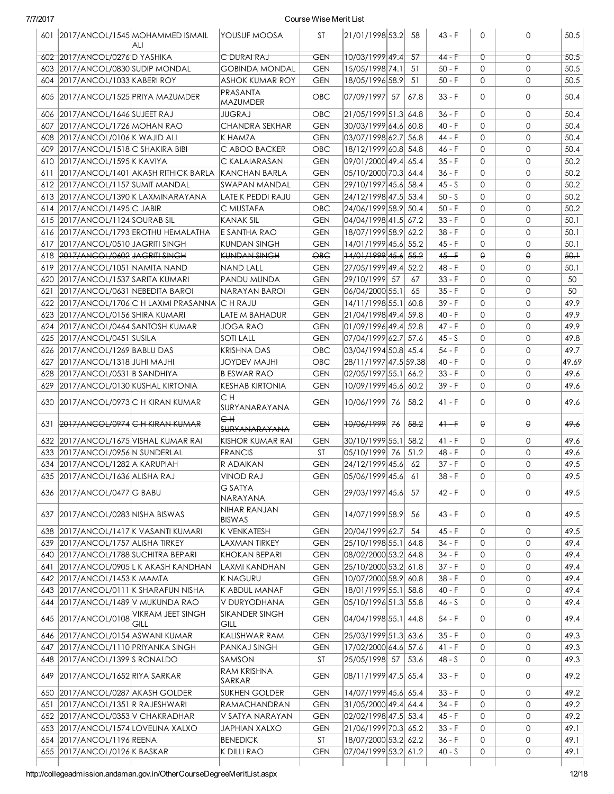|     |                                       | 601 2017/ANCOL/1545 MOHAMMED ISMAIL<br>ALI    | IYOUSUF MOOSA                 | ST                | 21/01/1998 53.2 58                          |      | $43 - F$        | $\Omega$     | 0            | 50.5   |
|-----|---------------------------------------|-----------------------------------------------|-------------------------------|-------------------|---------------------------------------------|------|-----------------|--------------|--------------|--------|
|     | 602 2017/ANCOL/0276D YASHIKA          |                                               | C DURAIRAJ                    | GEN               | 10/03/1999 49.4                             | -57  | $44 - F$        | Û            | $\sigma$     | 50.5   |
|     | 603 2017/ANCOL/0830 SUDIP MONDAL      |                                               | <b>GOBINDA MONDAL</b>         | <b>GEN</b>        | 15/05/1998 74.1                             | -51  | $50 - F$        | $\mathbf{O}$ | $\mathbf{0}$ | 50.5   |
|     | 604 2017/ANCOL/1033 KABERI ROY        |                                               | ASHOK KUMAR ROY               | <b>GEN</b>        | 18/05/1996 58.9                             | 51   | $50 - F$        | $\mathbf{O}$ | $\mathbf{0}$ | 50.5   |
|     | 605 2017/ANCOL/1525 PRIYA MAZUMDER    |                                               | PRASANTA<br>MAZUMDER          | <b>OBC</b>        | 07/09/1997 57                               | 67.8 | $33 - F$        | $\Omega$     | 0            | 50.4   |
|     | 606 2017/ANCOL/1646 SUJEET RAJ        |                                               | JUGRAJ                        | OBC               | 21/05/1999 51.3 64.8                        |      | $36 - F$        | $\Omega$     | $\mathbf{0}$ | 50.4   |
| 607 | 2017/ANCOL/1726 MOHAN RAO             |                                               | CHANDRA SEKHAR                | <b>GEN</b>        | 30/03/1999 64.6 60.8                        |      | $40 - F$        | $\Omega$     | $\Omega$     | 50.4   |
|     | 608 2017/ANCOL/0106 K WAJID ALI       |                                               | K HAMZA                       | <b>GEN</b>        | 03/07/1998 62.7 56.8                        |      | 44 - F          | $\Omega$     | $\mathbf{0}$ | 50.4   |
|     | 609 2017/ANCOL/1518 C SHAKIRA BIBI    |                                               | C ABOO BACKER                 | OBC               | 18/12/1999 60.8 54.8                        |      | $46 - F$        | $\Omega$     | $\mathbf{0}$ | 50.4   |
|     | 610 2017/ANCOL/1595 K KAVIYA          |                                               | C KALAIARASAN                 | <b>GEN</b>        | 09/01/2000 49.4 65.4                        |      | $35 - F$        | $\mathbf{O}$ | $\mathbf{0}$ | 50.2   |
|     |                                       | 611   2017/ANCOL/1401   AKASH RITHICK BARLA   | <b>KANCHAN BARLA</b>          | <b>GEN</b>        | 05/10/2000 70.3 64.4                        |      | $36 - F$        | $\mathbf{O}$ | 0            | 50.2   |
|     | 612 2017/ANCOL/1157 SUMIT MANDAL      |                                               | SWAPAN MANDAL                 | <b>GEN</b>        | 29/10/1997 45.6 58.4                        |      | $45 - S$        | $\mathbf{O}$ | $\mathbf{0}$ | 50.2   |
|     |                                       | 613 2017/ANCOL/1390 K LAXMINARAYANA           | LATE K PEDDI RAJU             | <b>GEN</b>        | 24/12/1998 47.5 53.4                        |      | $50 - S$        | $\Omega$     | $\mathbf{0}$ | 50.2   |
|     | 614 2017/ANCOL/1495 C JABIR           |                                               | C MUSTAFA                     | <b>OBC</b>        | 24/06/1999 58.9 50.4                        |      | $50 - F$        | $\Omega$     | $\mathbf{0}$ | 50.2   |
|     | 615 2017/ANCOL/1124 SOURAB SIL        |                                               | <b>KANAK SIL</b>              | <b>GEN</b>        | 04/04/1998 41.5 67.2                        |      | $33 - F$        | $\Omega$     | $\mathbf{0}$ | 50.1   |
|     |                                       | 616 2017/ANCOL/1793 EROTHU HEMALATHA          | E SANTHA RAO                  | <b>GEN</b>        | 18/07/1999 58.9 62.2                        |      | $38 - F$        | $\Omega$     | $\mathbf{0}$ | 50.1   |
|     | 617 2017/ANCOL/0510 JAGRITI SINGH     |                                               | <b>KUNDAN SINGH</b>           | <b>GEN</b>        | 14/01/1999 45.6 55.2                        |      | 45 - F          | $\mathbf{O}$ | $\mathbf{0}$ | 50.1   |
|     | 618 2017/ANCOL/0602 JAGRITI SINGH     |                                               | <b>KUNDAN SINGH</b>           | $0$ <sub>BC</sub> | <del>14/01/1999</del> 45.6 55. <del>2</del> |      | $45 - F$        | $\Theta$     | $\theta$     | $50 +$ |
|     | 619 2017/ANCOL/1051 NAMITA NAND       |                                               | <b>NAND LALL</b>              | <b>GEN</b>        | 27/05/1999 49.4                             | 52.2 | 48 - F          | $\mathbf{O}$ | $\mathbf{0}$ | 50.1   |
| 620 | 2017/ANCOL/1537 SARITA KUMARI         |                                               | PANDU MUNDA                   | <b>GEN</b>        | 29/10/1999 57                               | 67   | $33 - F$        | $\Omega$     | $\mathbf{0}$ | 50     |
| 621 | 2017/ANCOL/0631 NEBEDITA BAROI        |                                               | <b>NARAYAN BAROI</b>          | <b>GEN</b>        | 06/04/2000 55.1                             | 65   | $35 - F$        | $\mathbf{O}$ | $\mathbf{0}$ | 50     |
|     |                                       | 622 2017/ANCOL/1706 C H LAXMI PRASANNA        | IC H RAJU                     | <b>GEN</b>        | 14/11/1998 55.1                             | 60.8 | $39 - F$        | $\Omega$     | $\mathbf{0}$ | 49.9   |
| 623 | 2017/ANCOL/0156 SHIRA KUMARI          |                                               | LATE M BAHADUR                | <b>GEN</b>        | 21/04/1998 49.4  59.8                       |      | $40 - F$        | $\Omega$     | $\mathbf{0}$ | 49.9   |
|     | 624 2017/ANCOL/0464 SANTOSH KUMAR     |                                               | <b>JOGA RAO</b>               | <b>GEN</b>        | 01/09/1996 49.4 52.8                        |      | $47 - F$        | $\Omega$     | $\mathbf{0}$ | 49.9   |
| 625 | 2017/ANCOL/0451 SUSILA                |                                               | <b>SOTI LALL</b>              | <b>GEN</b>        | 07/04/1999 62.7 57.6                        |      | $45 - S$        | $\mathbf{O}$ | $\mathbf{0}$ | 49.8   |
|     | 626 2017/ANCOL/1269 BABLU DAS         |                                               | KRISHNA DAS                   | <b>OBC</b>        | 03/04/1994 50.8 45.4                        |      | $54 - F$        | $\mathbf{0}$ | 0            | 49.7   |
| 627 | 2017/ANCOL/1318 JUHI MAJHI            |                                               | <b>JOYDEV MAJHI</b>           | <b>OBC</b>        | 28/11/1997 47.5 59.38                       |      | $40 - F$        | $\Omega$     | $\mathbf{0}$ | 49.69  |
|     | 628 2017/ANCOL/0531 B SANDHIYA        |                                               | <b>B ESWAR RAO</b>            | <b>GEN</b>        | 02/05/1997 55.1 66.2                        |      | $33 - F$        | $\Omega$     | $\mathbf{0}$ | 49.6   |
| 629 |                                       |                                               |                               | <b>GEN</b>        |                                             |      |                 | $\Omega$     | $\mathbf{0}$ | 49.6   |
|     | 2017/ANCOL/0130 KUSHAL KIRTONIA       |                                               | <b>KESHAB KIRTONIA</b><br>CH  |                   | 10/09/1999 45.6 60.2                        |      | 39 - F          |              |              |        |
|     | 630   2017/ANCOL/0973 C H KIRAN KUMAR |                                               | SURYANARAYANA                 | GEN               | 10/06/1999 76                               | 58.2 | $41 - F$        | $\mathbf{0}$ | $\mathbf{0}$ | 49.6   |
| 631 | 2017/ANCOL/0974 C H KIRAN KUMAR       |                                               | H<br><b>SURYANARAYANA</b>     | <b>GEN</b>        | <del>10/06/1999</del> 76                    | 58.2 | $4 \rightarrow$ | $\theta$     | $\Theta$     | 49.6   |
|     | 632 2017/ANCOL/1675 VISHAL KUMAR RAI  |                                               | KISHOR KUMAR RAI              | <b>GEN</b>        | 30/10/1999 55.1                             | 58.2 | $41 - F$        | $\Omega$     | $\Omega$     | 49.6   |
|     | 633 2017/ANCOL/0956 N SUNDERLAL       |                                               | <b>FRANCIS</b>                | <b>ST</b>         | 05/10/1999 76                               | 51.2 | 48 - F          | $\Omega$     | $\Omega$     | 49.6   |
|     | 634 2017/ANCOL/1282 A KARUPIAH        |                                               | R ADAIKAN                     | <b>GEN</b>        | 24/12/1999 45.6                             | 62   | $37 - F$        | $\Omega$     | $\Omega$     | 49.5   |
|     | 635 2017/ANCOL/1636 ALISHA RAJ        |                                               | <b>VINOD RAJ</b>              | <b>GEN</b>        | 05/06/1999 45.6 61                          |      | $38 - F$        | $\mathbf 0$  | 0            | 49.5   |
|     | 636 2017/ANCOL/0477 G BABU            |                                               | <b>G SATYA</b><br>NARAYANA    | <b>GEN</b>        | 29/03/1997 45.6                             | 57   | 42 - F          | $\mathbf{0}$ | $\mathsf{O}$ | 49.5   |
|     | 637 2017/ANCOL/0283 NISHA BISWAS      |                                               | NIHAR RANJAN<br><b>BISWAS</b> | <b>GEN</b>        | 14/07/1999 58.9                             | 56   | 43 - F          | $\Omega$     | 0            | 49.5   |
|     | 638 2017/ANCOL/1417 K VASANTI KUMARI  |                                               | <b>K VENKATESH</b>            | <b>GEN</b>        | 20/04/1999 62.7                             | 54   | 45 - F          | $\mathbf{0}$ | 0            | 49.5   |
|     | 639 2017/ANCOL/1757 ALISHA TIRKEY     |                                               | LAXMAN TIRKEY                 | <b>GEN</b>        | 25/10/1998 55.1 64.8                        |      | 34 - F          | $\mathbf 0$  | 0            | 49.4   |
|     | 640 2017/ANCOL/1788 SUCHITRA BEPARI   |                                               | <b>KHOKAN BEPARI</b>          | <b>GEN</b>        | 08/02/2000 53.2 64.8                        |      | $34 - F$        | $\mathbf{0}$ | 0            | 49.4   |
| 641 |                                       | 2017/ANCOL/0905 L K AKASH KANDHAN             | LAXMI KANDHAN                 | <b>GEN</b>        | 25/10/2000 53.2 61.8                        |      | $37 - F$        | $\mathbf{0}$ | 0            | 49.4   |
|     | 642 2017/ANCOL/1453 K MAMTA           |                                               | <b>K NAGURU</b>               | <b>GEN</b>        | 10/07/2000 58.9 60.8                        |      | $38 - F$        | 0            | 0            | 49.4   |
|     |                                       | 643 2017/ANCOL/0111 K SHARAFUN NISHA          | K ABDUL MANAF                 | <b>GEN</b>        | 18/01/1999 55.1 58.8                        |      | $40 - F$        | $\mathbf 0$  | 0            | 49.4   |
|     | 644   2017/ANCOL/1489   V MUKUNDA RAO |                                               | V DURYODHANA                  | <b>GEN</b>        | 05/10/1996 51.3 55.8                        |      | $46 - S$        | 0            | 0            | 49.4   |
|     |                                       | 645 2017/ANCOL/0108 VIKRAM JEET SINGH<br>GILL | SIKANDER SINGH<br>GILL        | <b>GEN</b>        | 04/04/1998 55.1 44.8                        |      | 54 - F          | 0            | 0            | 49.4   |
|     | 646 2017/ANCOL/0154 ASWANI KUMAR      |                                               | KALISHWAR RAM                 | <b>GEN</b>        | 25/03/1999 51.3 63.6                        |      | $35 - F$        | $\mathbf{0}$ | 0            | 49.3   |
|     | 647 2017/ANCOL/1110 PRIYANKA SINGH    |                                               | PANKAJ SINGH                  | <b>GEN</b>        | 17/02/2000 64.6 57.6                        |      | $41 - F$        | $\Omega$     | 0            | 49.3   |
|     | 648 2017/ANCOL/1399 SRONALDO          |                                               | SAMSON                        | ST                | 25/05/1998 57                               | 53.6 | 48 - S          | $\mathbf{0}$ | 0            | 49.3   |
|     | 649 2017/ANCOL/1652 RIYA SARKAR       |                                               | RAM KRISHNA<br>SARKAR         | GEN               | 08/11/1999 47.5 65.4                        |      | $33 - F$        | 0            | 0            | 49.2   |
|     | 650 2017/ANCOL/0287 AKASH GOLDER      |                                               | <b>SUKHEN GOLDER</b>          | <b>GEN</b>        | 14/07/1999 45.6 65.4                        |      | $33 - F$        | $\mathbf 0$  | 0            | 49.2   |
| 651 | 2017/ANCOL/1351 R RAJESHWARI          |                                               | RAMACHANDRAN                  | <b>GEN</b>        | 31/05/2000 49.4 64.4                        |      | 34 - F          | $\Omega$     | 0            | 49.2   |
|     | 652 2017/ANCOL/0353 V CHAKRADHAR      |                                               | V SATYA NARAYAN               | <b>GEN</b>        | 02/02/1998 47.5 53.4                        |      | $45 - F$        | 0            | 0            | 49.2   |
|     | 653 2017/ANCOL/1574 LOVELINA XALXO    |                                               | JAPHIAN XALXO                 | GEN               | 21/06/1999 70.3 65.2                        |      | $33 - F$        | $\mathbf 0$  | 0            | 49.1   |
|     | 654 2017/ANCOL/1196 REENA             |                                               | <b>BENEDICK</b>               | ST                | 18/07/2000 53.2 62.2                        |      | $36 - F$        | 0            | 0            | 49.1   |
|     | 655 2017/ANCOL/0126 K BASKAR          |                                               | k dilli Rao                   | GEN               | 07/04/1999 53.2 61.2                        |      | $40 - S$        | 0            | 0            | 49.1   |
|     |                                       |                                               |                               |                   |                                             |      |                 |              |              |        |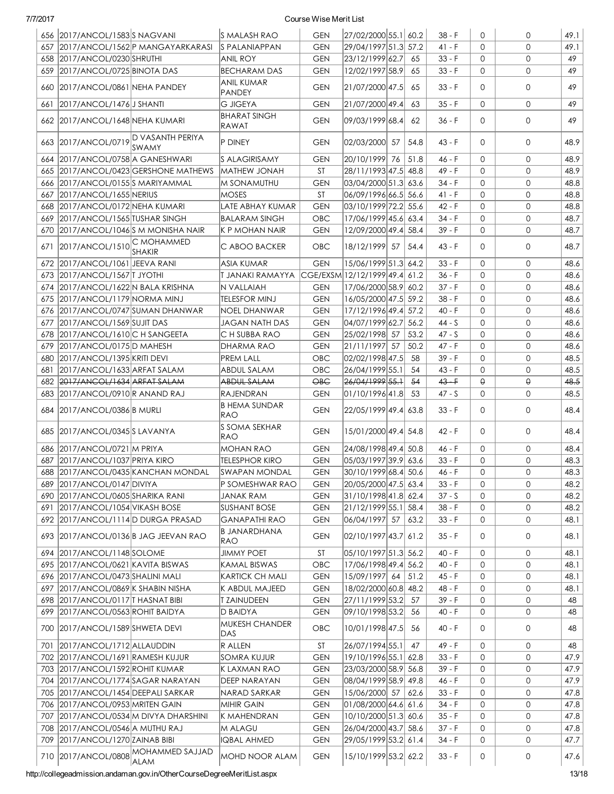|     | 656 2017/ANCOL/1583 SNAGVANI          |                                           | S MALASH RAO                         | <b>GEN</b>               | 27/02/2000 55.1 60.2                       |       | $38 - F$             | $\Omega$     | 0            | 49.1         |
|-----|---------------------------------------|-------------------------------------------|--------------------------------------|--------------------------|--------------------------------------------|-------|----------------------|--------------|--------------|--------------|
|     |                                       | 657   2017/ANCOL/1562   PMANGAYARKARASI   | <b>S PALANIAPPAN</b>                 | <b>GEN</b>               | 29/04/1997 51.3 57.2                       |       | 41 - F               | $\Omega$     | $\Omega$     | 49.1         |
|     | 658 2017/ANCOL/0230 SHRUTHI           |                                           | <b>ANIL ROY</b>                      | <b>GEN</b>               | 23/12/1999 62.7                            | 65    | $33 - F$             | 0            | $\mathbf{O}$ | 49           |
|     | 659 2017/ANCOL/0725 BINOTA DAS        |                                           | <b>BECHARAM DAS</b>                  | <b>GEN</b>               | 12/02/1997 58.9                            | 65    | $33 - F$             | 0            | $\mathbf{O}$ | 49           |
|     | 660 2017/ANCOL/0861 NEHA PANDEY       |                                           | <b>ANIL KUMAR</b><br><b>PANDEY</b>   | <b>GEN</b>               | 21/07/2000 47.5                            | 65    | $33 - F$             | $\Omega$     | $\mathbf{O}$ | 49           |
| 661 | 2017/ANCOL/1476 J SHANTI              |                                           | <b>G JIGEYA</b>                      | <b>GEN</b>               | 21/07/2000 49.4                            | 63    | $35 - F$             | $\Omega$     | $\mathbf{O}$ | 49           |
|     |                                       |                                           | <b>BHARAT SINGH</b>                  |                          |                                            |       |                      |              |              |              |
|     | 662 2017/ANCOL/1648 NEHA KUMARI       |                                           | RAWAT                                | <b>GEN</b>               | 09/03/1999 68.4                            | 62    | 36 - F               | $\Omega$     | $\mathbf{O}$ | 49           |
|     | 663 2017/ANCOL/0719 D VASANTH PERIYA  | <b>SWAMY</b>                              | P DINEY                              | <b>GEN</b>               | 02/03/2000 57                              | 54.8  | 43 - F               | $\Omega$     | 0            | 48.9         |
| 664 | 2017/ANCOL/0758 A GANESHWARI          |                                           | <b>S ALAGIRISAMY</b>                 | <b>GEN</b>               | 20/10/1999 76                              | 51.8  | 46 - F               | $\Omega$     | 0            | 48.9         |
| 665 |                                       | 2017/ANCOL/0423 GERSHONE MATHEWS          | MATHEW JONAH                         | ST                       | 28/11/1993 47.5 48.8                       |       | 49 - F               | $\Omega$     | $\mathbf{O}$ | 48.9         |
| 666 | 2017/ANCOL/0155 SMARIYAMMAL           |                                           | M SONAMUTHU                          | <b>GEN</b>               | 03/04/2000 51.3 63.6                       |       | 34 - F               | $\Omega$     | $\mathbf{O}$ | 48.8         |
| 667 | 2017/ANCOL/1655 NERIUS                |                                           | <b>MOSES</b>                         | <b>ST</b>                | 06/09/1996 66.5 56.6                       |       | $41 - F$             | $\Omega$     | $\mathbf{O}$ | 48.8         |
| 668 | 2017/ANCOL/0172NEHA KUMARI            |                                           | LATE ABHAY KUMAR                     | <b>GEN</b>               | 03/10/1999 72.2 55.6                       |       | $42 - F$             | $\Omega$     | $\mathbf{O}$ | 48.8         |
| 669 | 2017/ANCOL/1565 TUSHAR SINGH          |                                           | <b>BALARAM SINGH</b>                 | OBC                      | 17/06/1999 45.6 63.4                       |       | 34 - F               | $\Omega$     | $\mathbf{O}$ | 48.7         |
| 670 | 2017/ANCOL/1046 S M MONISHA NAIR      |                                           | K P MOHAN NAIR                       | <b>GEN</b>               | 12/09/2000 49.4 58.4                       |       | 39 - F               | $\Omega$     | $\mathbf{O}$ | 48.7         |
|     | 671 2017/ANCOL/1510 C MOHAMMED        | <b>SHAKIR</b>                             | C ABOO BACKER                        | <b>OBC</b>               | 18/12/1999 57 54.4                         |       | 43 - F               | 0            | 0            | 48.7         |
|     | 672 2017/ANCOL/1061 JEEVA RANI        |                                           | <b>ASIA KUMAR</b>                    | <b>GEN</b>               | 15/06/1999 51.3 64.2                       |       | $33 - F$             | $\Omega$     | $\Omega$     | 48.6         |
|     | 673 2017/ANCOL/1567 TJYOTHI           |                                           | T JANAKI RAMAYYA                     |                          | CGE/EXSM 12/12/1999 49.4 61.2              |       | $36 - F$             | $\Omega$     | $\mathbf{O}$ | 48.6         |
|     | 674 2017/ANCOL/1622 N BALA KRISHNA    |                                           | N VALLAIAH                           | <b>GEN</b>               | 17/06/2000 58.9 60.2                       |       | $37 - F$             | $\Omega$     | $\mathbf{O}$ | 48.6         |
|     | 675 2017/ANCOL/1179 NORMA MINJ        |                                           | <b>TELESFOR MINJ</b>                 | <b>GEN</b>               | 16/05/2000 47.5 59.2                       |       | 38 - F               | $\Omega$     | $\mathbf{O}$ | 48.6         |
|     | 676 2017/ANCOL/0747 SUMAN DHANWAR     |                                           | <b>NOEL DHANWAR</b>                  | <b>GEN</b>               | 17/12/1996 49.4 57.2                       |       | $40 - F$             | $\Omega$     | $\mathbf{O}$ | 48.6         |
| 677 | 2017/ANCOL/1569 SUJIT DAS             |                                           | <b>JAGAN NATH DAS</b>                | <b>GEN</b>               | 04/07/1999 62.7 56.2                       |       | 44 - S               | $\Omega$     | $\mathbf{O}$ | 48.6         |
|     | 678 2017/ANCOL/1610 C H SANGEETA      |                                           | C H SUBBA RAO                        | <b>GEN</b>               | 25/02/1998 57                              | 53.2  | $47 - S$             | $\Omega$     | $\Omega$     | 48.6         |
| 679 | 2017/ANCOL/0175D MAHESH               |                                           | DHARMA RAO                           | <b>GEN</b>               | 21/11/1997 57                              | 50.2  | 47 - F               | $\Omega$     | $\mathbf{O}$ | 48.6         |
|     | 680 2017/ANCOL/1395 KRITI DEVI        |                                           | <b>PREM LALL</b>                     | OBC                      | 02/02/1998 47.5                            | -58   | $39 - F$             | $\Omega$     | $\mathbf{O}$ | 48.5         |
| 681 | 2017/ANCOL/1633 ARFAT SALAM           |                                           | <b>ABDUL SALAM</b>                   | OBC                      | 26/04/1999 55.1                            | 54    | 43 - F               | $\Omega$     | 0            | 48.5         |
|     | 682 2017/ANCOL/1634 ARFAT SALAM       |                                           | ABDUL SALAM                          | $\Theta$ B $\Theta$      | 26/04/1999 55.1                            | $-54$ | $43 - F$             | $\Theta$     | θ            | 48.5         |
|     |                                       |                                           |                                      |                          |                                            |       |                      |              |              |              |
|     | 683   2017/ANCOL/0910 R ANAND RAJ     |                                           | <b>RAJENDRAN</b>                     | <b>GEN</b>               | 01/10/1996 41.8                            | 53    | $47 - S$             | $\Omega$     | $\mathbf{O}$ | 48.5         |
|     | 684 2017/ANCOL/0386 B MURLI           |                                           | <b>B HEMA SUNDAR</b><br><b>RAO</b>   | <b>GEN</b>               | 22/05/1999 49.4 63.8                       |       | $33 - F$             | $\Omega$     | 0            | 48.4         |
|     | 685 2017/ANCOL/0345 SLAVANYA          |                                           | S SOMA SEKHAR<br><b>RAO</b>          | <b>GEN</b>               | 15/01/2000 49.4 54.8                       |       | $42 - F$             | $\Omega$     | 0            | 48.4         |
|     | 686 2017/ANCOL/0721 M PRIYA           |                                           | <b>MOHAN RAO</b>                     | <b>GEN</b>               | 24/08/1998 49.4 50.8                       |       | 46 - F               | $\Omega$     | 0            | 48.4         |
|     |                                       |                                           |                                      |                          |                                            |       |                      | $\Omega$     |              |              |
|     | 687 2017/ANCOL/1037 PRIYA KIRO        |                                           | <b>TELESPHOR KIRO</b>                | <b>GEN</b>               | 05/03/1997 39.9 63.6                       |       | $33 - F$             |              | $\mathbf{O}$ | 48.3         |
|     |                                       | 688 2017/ANCOL/0435 KANCHAN MONDAL        | SWAPAN MONDAL                        | <b>GEN</b>               | 30/10/1999 68.4 50.6                       |       | 46 - F               | 0            | 0            | 48.3         |
| 689 | 2017/ANCOL/0147 DIVIYA                |                                           | P SOMESHWAR RAO                      | <b>GEN</b>               | 20/05/2000 47.5 63.4                       |       | $33 - F$             | 0            | 0            | 48.2         |
|     | 690 2017/ANCOL/0605 SHARIKA RANI      |                                           | <b>JANAK RAM</b>                     | <b>GEN</b>               | 31/10/1998 41.8 62.4                       |       | $37 - S$             | 0            | 0            | 48.2         |
|     | 691 2017/ANCOL/1054 VIKASH BOSE       |                                           | <b>SUSHANT BOSE</b>                  | <b>GEN</b>               | 21/12/1999 55.1 58.4                       |       | $38 - F$             | 0            | 0            | 48.2         |
|     | 692 2017/ANCOL/1114 D DURGA PRASAD    | 693   2017/ANCOL/0136   B JAG JEEVAN RAO  | <b>GANAPATHI RAO</b><br>B JANARDHANA | <b>GEN</b><br><b>GEN</b> | 06/04/1997 57 63.2<br>02/10/1997 43.7 61.2 |       | $33 - F$<br>$35 - F$ | 0<br>0       | 0<br>0       | 48.1<br>48.1 |
|     |                                       |                                           | <b>RAO</b>                           |                          |                                            |       |                      |              |              |              |
|     | 694 2017/ANCOL/1148 SOLOME            |                                           | <b>JIMMY POET</b>                    | ST                       | 05/10/1997 51.3 56.2                       |       | 40 - F               | 0            | 0            | 48.1         |
|     | 695   2017/ANCOL/0621   KAVITA BISWAS |                                           | KAMAL BISWAS                         | OBC                      | 17/06/1998 49.4 56.2                       |       | 40 - F               | 0            | $\mathbf 0$  | 48.1         |
|     | 696 2017/ANCOL/0473 SHALINI MALI      |                                           | <b>KARTICK CH MALI</b>               | <b>GEN</b>               | 15/09/1997 64 51.2                         |       | 45 - F               | 0            | 0            | 48.1         |
|     | 697 2017/ANCOL/0869 K SHABIN NISHA    |                                           | K ABDUL MAJEED                       | <b>GEN</b>               | 18/02/2000 60.8 48.2                       |       | 48 - F               | $\mathbf{0}$ | $\mathbf{O}$ | 48.1         |
|     | 698 2017/ANCOL/0117 T HASNAT BIBI     |                                           | T ZAINUDEEN                          | <b>GEN</b>               | 27/11/1999 53.2                            | 57    | $39 - F$             | $\mathbf{0}$ | $\mathbf{O}$ | 48           |
|     | 699 2017/ANCOL/0563 ROHIT BAIDYA      |                                           | D BAIDYA                             | <b>GEN</b>               | 09/10/1998 53.2                            | -56   | 40 - F               | 0            | 0            | 48           |
|     | 700 2017/ANCOL/1589 SHWETA DEVI       |                                           | <b>MUKESH CHANDER</b><br>DAS         | OBC                      | 10/01/1998 47.5                            | -56   | $40 - F$             | 0            | 0            | 48           |
|     | 701 2017/ANCOL/1712 ALLAUDDIN         |                                           | R ALLEN                              | ST                       | 26/07/1994 55.1                            | 47    | 49 - F               | 0            | 0            | 48           |
|     | 702 2017/ANCOL/1691 RAMESH KUJUR      |                                           | SOMRA KUJUR                          | <b>GEN</b>               | 19/10/1996 55.1 62.8                       |       | $33 - F$             | 0            | 0            | 47.9         |
|     | 703 2017/ANCOL/1592 ROHIT KUMAR       |                                           | K LAXMAN RAO                         | <b>GEN</b>               | 23/03/2000 58.9 56.8                       |       | $39 - F$             | 0            | 0            | 47.9         |
|     | 704   2017/ANCOL/1774   SAGAR NARAYAN |                                           | DEEP NARAYAN                         | <b>GEN</b>               | 08/04/1999 58.9 49.8                       |       | $46 - F$             | 0            | 0            | 47.9         |
|     | 705 2017/ANCOL/1454 DEEPALI SARKAR    |                                           | NARAD SARKAR                         | <b>GEN</b>               | 15/06/2000 57 62.6                         |       | $33 - F$             | 0            | 0            | 47.8         |
|     | 706 2017/ANCOL/0953 MRITEN GAIN       |                                           | <b>MIHIR GAIN</b>                    | <b>GEN</b>               | 01/08/2000 64.6 61.6                       |       | 34 - F               | 0            | 0            | 47.8         |
|     |                                       | 707   2017/ANCOL/0534   M DIVYA DHARSHINI | K MAHENDRAN                          | <b>GEN</b>               | 10/10/2000 51.3 60.6                       |       | $35 - F$             | 0            | 0            | 47.8         |
|     | 708 2017/ANCOL/0546 A MUTHU RAJ       |                                           | M ALAGU                              | <b>GEN</b>               | 26/04/2000 43.7 58.6                       |       | $37 - F$             | 0            | 0            | 47.8         |
|     | 709 2017/ANCOL/1270 ZAINAB BIBI       | 710 2017/ANCOL/0808 MOHAMMED SAJJAD       | <b>IQBAL AHMED</b>                   | <b>GEN</b>               | 29/05/1999 53.2 61.4                       |       | $34 - F$             | 0            | 0            | 47.7         |

http://collegeadmission.andaman.gov.in/OtherCourseDegreeMeritList.aspx 13/18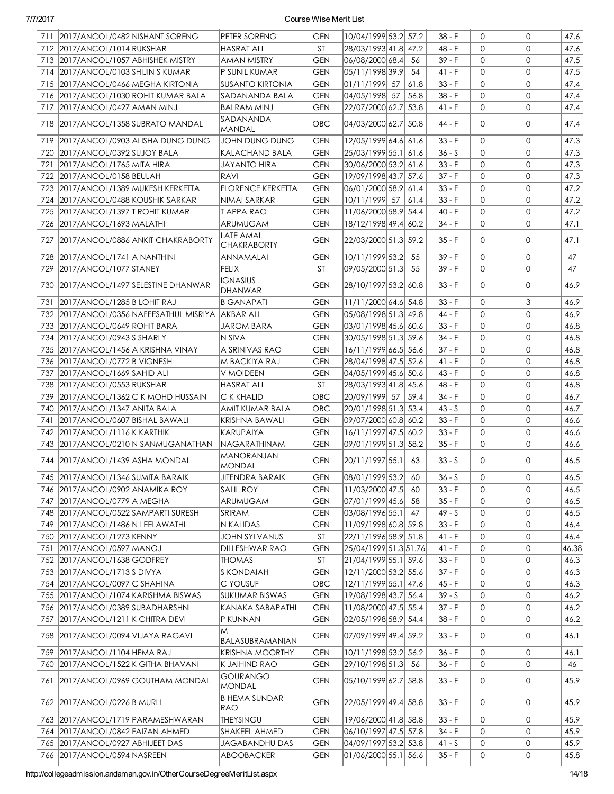| 711 | 2017/ANCOL/0482 NISHANT SORENG          | PETER SORENG                      | <b>GEN</b> | 10/04/1999 53.2 57.2   |      | $38 - F$ | $\Omega$     | 0              | 47.6  |
|-----|-----------------------------------------|-----------------------------------|------------|------------------------|------|----------|--------------|----------------|-------|
|     | 712 2017/ANCOL/1014 RUKSHAR             | <b>HASRAT ALI</b>                 | <b>ST</b>  | 28/03/1993 41.8 47.2   |      | $48 - F$ | $\Omega$     | $\mathbf 0$    | 47.6  |
|     | 2017/ANCOL/1057 ABHISHEK MISTRY         |                                   |            | 06/08/2000 68.4        |      | $39 - F$ | $\Omega$     | $\mathbf{O}$   | 47.5  |
| 713 |                                         | <b>AMAN MISTRY</b>                | <b>GEN</b> |                        | -56  |          |              |                |       |
| 714 | 2017/ANCOL/0103 SHIJIN S KUMAR          | P SUNIL KUMAR                     | <b>GEN</b> | 05/11/1998 39.9        | 54   | $41 - F$ | $\Omega$     | $\mathbf{O}$   | 47.5  |
| 715 | 2017/ANCOL/0466 MEGHA KIRTONIA          | <b>SUSANTO KIRTONIA</b>           | <b>GEN</b> | 01/11/1999 57          | 61.8 | $33 - F$ | $\Omega$     | $\Omega$       | 47.4  |
|     | 716 2017/ANCOL/1030 ROHIT KUMAR BALA    | SADANANDA BALA                    | <b>GEN</b> | 04/05/1998 57          | 56.8 | $38 - F$ | $\Omega$     | $\mathbf{O}$   | 47.4  |
| 717 | 2017/ANCOL/0427 AMAN MINJ               | <b>BALRAM MINJ</b>                | <b>GEN</b> | 22/07/2000 62.7 53.8   |      | 41 - F   | 0            | $\mathbf{O}$   | 47.4  |
|     | 718 2017/ANCOL/1358 SUBRATO MANDAL      | SADANANDA<br>MANDAL               | <b>OBC</b> | 04/03/2000 62.7 50.8   |      | 44 - F   | $\Omega$     | $\mathbf{O}$   | 47.4  |
| 719 | 2017/ANCOL/0903 ALISHA DUNG DUNG        | JOHN DUNG DUNG                    | <b>GEN</b> | 12/05/1999 64.6 61.6   |      | $33 - F$ | $\Omega$     | $\mathsf{O}$   | 47.3  |
| 720 | 2017/ANCOL/0392 SUJOY BALA              | <b>KALACHAND BALA</b>             | <b>GEN</b> | 25/03/1999 55.1 61.6   |      | $36 - S$ | $\Omega$     | $\mathbf 0$    | 47.3  |
| 721 | 2017/ANCOL/1765 MITA HIRA               | JAYANTO HIRA                      | <b>GEN</b> | 30/06/2000 53.2 61.6   |      | $33 - F$ | 0            | $\mathbf{0}$   | 47.3  |
|     | 722 2017/ANCOL/0158 BEULAH              | RAVI                              | <b>GEN</b> | 19/09/1998 43.7 57.6   |      | $37 - F$ | $\Omega$     | $\overline{0}$ | 47.3  |
| 723 | 2017/ANCOL/1389 MUKESH KERKETTA         | <b>FLORENCE KERKETTA</b>          | <b>GEN</b> | 06/01/2000 58.9 61.4   |      | $33 - F$ | $\mathbf{0}$ | $\overline{0}$ | 47.2  |
| 724 | 2017/ANCOL/0488 KOUSHIK SARKAR          | NIMAI SARKAR                      | <b>GEN</b> | 10/11/1999 57          | 61.4 | $33 - F$ | $\mathbf{0}$ | $\mathbf{0}$   | 47.2  |
| 725 | 2017/ANCOL/1397 TROHIT KUMAR            | <b>TAPPARAO</b>                   | <b>GEN</b> | 11/06/2000 58.9 54.4   |      | $40 - F$ | $\mathbf{0}$ | $\mathbf 0$    | 47.2  |
| 726 | 2017/ANCOL/1693 MALATHI                 | ARUMUGAM                          | <b>GEN</b> | 18/12/1998 49.4 60.2   |      | $34 - F$ | $\mathbf{0}$ | $\mathbf 0$    | 47.1  |
|     |                                         | LATE AMAL                         |            |                        |      |          |              |                |       |
| 727 | 2017/ANCOL/0886 ANKIT CHAKRABORTY       | <b>CHAKRABORTY</b>                | <b>GEN</b> | 22/03/2000 51.3 59.2   |      | $35 - F$ | $\Omega$     | $\mathbf{O}$   | 47.1  |
| 728 | 2017/ANCOL/1741 A NANTHINI              | <b>ANNAMALAI</b>                  | GEN        | 10/11/1999 53.2        | 55   | $39 - F$ | $\Omega$     | $\mathbf{O}$   | 47    |
| 729 | 2017/ANCOL/1077 STANEY                  | <b>FELIX</b>                      | <b>ST</b>  | 09/05/2000 51.3        | 55   | $39 - F$ | $\Omega$     | $\mathbf{O}$   | 47    |
| 730 | 2017/ANCOL/1497 SELESTINE DHANWAR       | <b>IGNASIUS</b><br><b>DHANWAR</b> | <b>GEN</b> | 28/10/1997 53.2  60.8  |      | 33 - F   | $\Omega$     | 0              | 46.9  |
| 731 | 2017/ANCOL/1285 B LOHIT RAJ             | <b>B GANAPATI</b>                 | <b>GEN</b> | 11/11/2000 64.6 54.8   |      | $33 - F$ | $\Omega$     | 3              | 46.9  |
|     | 732 2017/ANCOL/0356 NAFEESATHUL MISRIYA | AKBAR ALI                         | <b>GEN</b> | 05/08/1998 51.3 49.8   |      | 44 - F   | $\Omega$     | $\mathbf 0$    | 46.9  |
| 733 | 2017/ANCOL/0649 ROHIT BARA              | JAROM BARA                        | <b>GEN</b> | 03/01/1998 45.6 60.6   |      | $33 - F$ | $\mathbf{0}$ | $\mathbf{0}$   | 46.8  |
| 734 | 2017/ANCOL/0943 SHARLY                  | N SIVA                            | <b>GEN</b> | 30/05/1998 51.3 59.6   |      | 34 - F   | $\Omega$     | $\mathbf{O}$   | 46.8  |
| 735 | 2017/ANCOL/1456 A KRISHNA VINAY         | A SRINIVAS RAO                    | <b>GEN</b> | 16/11/1999 66.5 56.6   |      | 37 - F   | $\Omega$     | $\mathbf{O}$   | 46.8  |
| 736 | 2017/ANCOL/0772B VIGNESH                | M BACKIYA RAJ                     | <b>GEN</b> | 28/04/1998 47.5 52.6   |      | $41 - F$ | $\Omega$     | $\mathbf{O}$   | 46.8  |
| 737 | 2017/ANCOL/1669 SAHID ALI               | V MOIDEEN                         | <b>GEN</b> | 04/05/1999 45.6 50.6   |      | $43 - F$ | $\Omega$     | $\mathbf{O}$   | 46.8  |
| 738 | 2017/ANCOL/0553 RUKSHAR                 | <b>HASRAT ALI</b>                 | <b>ST</b>  | 28/03/1993 41.8 45.6   |      | 48 - F   | $\mathbf{0}$ | $\mathbf{O}$   | 46.8  |
| 739 | 2017/ANCOL/1362 C K MOHD HUSSAIN        | C K KHALID                        | OBC        | 20/09/1999 57          | 59.4 | 34 - F   | $\Omega$     | $\Omega$       | 46.7  |
| 740 | 2017/ANCOL/1347 ANITA BALA              | AMIT KUMAR BALA                   | OBC        | 20/01/1998 51.3 53.4   |      | $43 - S$ | $\Omega$     | $\Omega$       | 46.7  |
|     | 2017/ANCOL/0607 BISHAL BAWALI           |                                   |            |                        |      |          | $\Omega$     | $\Omega$       |       |
| 741 |                                         | <b>KRISHNA BAWALI</b>             | <b>GEN</b> | 09/07/2000 60.8 60.2   |      | $33 - F$ |              |                | 46.6  |
|     | 742 2017/ANCOL/1116 K KARTHIK           | KARUPAIYA                         | <b>GEN</b> | 16/11/1997 47.5 60.2   |      | $33 - F$ | 0            | $\mathbf{O}$   | 46.6  |
|     | 743 2017/ANCOL/0210 N SANMUGANATHAN     | <b>NAGARATHINAM</b>               | <b>GEN</b> | 09/01/1999 51.3 58.2   |      | $35 - F$ | $\Omega$     | $\mathbf{O}$   | 46.6  |
|     | 744 2017/ANCOL/1439 ASHA MONDAL         | <b>MANORANJAN</b><br>MONDAL       | <b>GEN</b> | 20/11/1997 55.1        | 63   | $33 - S$ | $\Omega$     | $\mathbf{O}$   | 46.5  |
|     | 745 2017/ANCOL/1346 SUMITA BARAIK       | <b>JITENDRA BARAIK</b>            | <b>GEN</b> | $ 08/01/1999 53.2 $ 60 |      | $36 - S$ | $\circ$      | $\mathsf{O}$   | 46.5  |
|     | 746 2017/ANCOL/0902 ANAMIKA ROY         | SALIL ROY                         | GEN        | 11/03/2000 47.5        | 60   | $33 - F$ | $\Omega$     | 0              | 46.5  |
|     | 747 2017/ANCOL/0779 A MEGHA             | ARUMUGAM                          | <b>GEN</b> | 07/01/1999 45.6 58     |      | $35 - F$ | 0            | 0              | 46.5  |
|     | 748 2017/ANCOL/0522 SAMPARTI SURESH     | SRIRAM                            | <b>GEN</b> | 03/08/1996 55.1        | 47   | 49 - S   | 0            | 0              | 46.5  |
|     | 749 2017/ANCOL/1486 N LEELAWATHI        | N KALIDAS                         | <b>GEN</b> | 11/09/1998 60.8  59.8  |      | $33 - F$ | 0            | 0              | 46.4  |
|     | 750 2017/ANCOL/1273 KENNY               | JOHN SYLVANUS                     | ST         | 22/11/1996 58.9 51.8   |      | 41 - F   | 0            | 0              | 46.4  |
| 751 | 2017/ANCOL/0597 MANOJ                   | <b>DILLESHWAR RAO</b>             | <b>GEN</b> | 25/04/1999 51.3 51.76  |      | $41 - F$ | 0            | 0              | 46.38 |
|     | 752 2017/ANCOL/1638 GODFREY             | <b>THOMAS</b>                     | ST         | 21/04/1999 55.1 59.6   |      | $33 - F$ | 0            | $\mathbf{O}$   | 46.3  |
| 753 | 2017/ANCOL/1713 SDIVYA                  | <b>S KONDAIAH</b>                 | <b>GEN</b> | 12/11/2000 53.2 55.6   |      | $37 - F$ | 0            | 0              | 46.3  |
| 754 | 2017/ANCOL/0097 C SHAHINA               | C YOUSUF                          | OBC        | 12/11/1999 55.1 47.6   |      | $45 - F$ | $\mathbf{0}$ | 0              | 46.3  |
|     | 755 2017/ANCOL/1074 KARISHMA BISWAS     | <b>SUKUMAR BISWAS</b>             | <b>GEN</b> | 19/08/1998 43.7 56.4   |      | $39 - S$ | $\mathbf{O}$ | 0              | 46.2  |
|     | 756 2017/ANCOL/0389 SUBADHARSHNI        | KANAKA SABAPATHI                  | <b>GEN</b> | 11/08/2000 47.5 55.4   |      | $37 - F$ | 0            | 0              | 46.2  |
| 757 | 2017/ANCOL/1211 K CHITRA DEVI           | P KUNNAN                          | <b>GEN</b> | 02/05/1998 58.9 54.4   |      | 38 - F   | 0            | 0              | 46.2  |
| 758 | 2017/ANCOL/0094 VIJAYA RAGAVI           | M                                 | <b>GEN</b> | 07/09/1999 49.4 59.2   |      | $33 - F$ | 0            | 0              | 46.1  |
|     |                                         | BALASUBRAMANIAN                   |            |                        |      |          |              |                |       |
| 759 | 2017/ANCOL/1104 HEMA RAJ                | <b>KRISHNA MOORTHY</b>            | <b>GEN</b> | 10/11/1998 53.2 56.2   |      | $36 - F$ | $\mathbf{O}$ | 0              | 46.1  |
| 760 | 2017/ANCOL/1522 K GITHA BHAVANI         | K JAIHIND RAO                     | <b>GEN</b> | 29/10/1998 51.3        | 56   | $36 - F$ | 0            | 0              | 46    |
|     | 761   2017/ANCOL/0969 GOUTHAM MONDAL    | <b>GOURANGO</b><br><b>MONDAL</b>  | <b>GEN</b> | 05/10/1999 62.7 58.8   |      | $33 - F$ | 0            | 0              | 45.9  |
|     | 762 2017/ANCOL/0226 B MURLI             | <b>B HEMA SUNDAR</b><br>RAO       | GEN        | 22/05/1999 49.4 58.8   |      | $33 - F$ | $\Omega$     | 0              | 45.9  |
| 763 | 2017/ANCOL/1719 PARAMESHWARAN           | THEYSINGU                         | <b>GEN</b> | 19/06/2000 41.8 58.8   |      | $33 - F$ | 0            | 0              | 45.9  |
| 764 | 2017/ANCOL/0842 FAIZAN AHMED            | SHAKEEL AHMED                     | <b>GEN</b> | 06/10/1997 47.5 57.8   |      | $34 - F$ | 0            | 0              | 45.9  |
|     | 765 2017/ANCOL/0927 ABHIJEET DAS        | <b>JAGABANDHU DAS</b>             | <b>GEN</b> | 04/09/1997 53.2 53.8   |      | $41 - S$ | $\mathbf{O}$ | 0              | 45.9  |
|     | 766 2017/ANCOL/0594 NASREEN             | ABOOBACKER                        | <b>GEN</b> | 01/06/2000 55.1 56.6   |      | $35 - F$ | 0            | 0              | 45.8  |
|     |                                         |                                   |            |                        |      |          |              |                |       |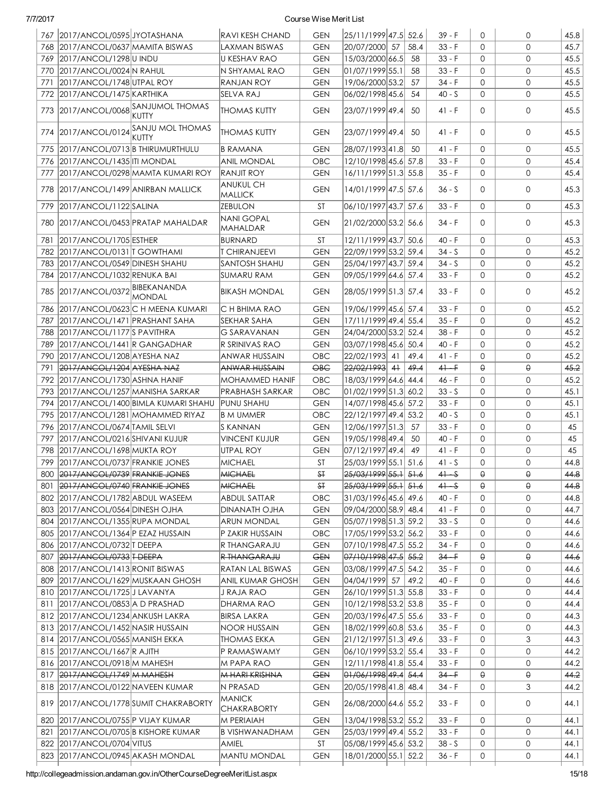|     | 767 2017/ANCOL/0595 JYOTASHANA         |                                               | <b>RAVI KESH CHAND</b>              | <b>GEN</b>             | 25/11/1999 47.5 52.6     |      | $39 - F$           | $\Omega$     | 0                   | 45.8 |
|-----|----------------------------------------|-----------------------------------------------|-------------------------------------|------------------------|--------------------------|------|--------------------|--------------|---------------------|------|
| 768 | 2017/ANCOL/0637 MAMITA BISWAS          |                                               | LAXMAN BISWAS                       | <b>GEN</b>             | 20/07/2000 57            | 58.4 | $33 - F$           | $\Omega$     | $\Omega$            | 45.7 |
| 769 | 2017/ANCOL/1298U INDU                  |                                               | U KESHAV RAO                        | <b>GEN</b>             | 15/03/2000 66.5          | -58  | $33 - F$           | $\Omega$     | $\mathbf{O}$        | 45.5 |
|     | 770 2017/ANCOL/0024 N RAHUL            |                                               | N SHYAMAL RAO                       | <b>GEN</b>             | 01/07/1999 55.1          | 58   | $33 - F$           | $\Omega$     | $\mathbf{O}$        | 45.5 |
| 771 | 2017/ANCOL/1748 UTPAL ROY              |                                               | <b>RANJAN ROY</b>                   | <b>GEN</b>             | 19/06/2000 53.2          | 57   | 34 - F             | $\Omega$     | $\Omega$            | 45.5 |
|     | 772 2017/ANCOL/1475 KARTHIKA           |                                               | SELVA RAJ                           | <b>GEN</b>             | 06/02/1998 45.6          | 54   | $40 - S$           | $\Omega$     | $\mathbf{O}$        | 45.5 |
|     |                                        | 773 2017/ANCOL/0068 SANJUMOL THOMAS<br>KUTTY  | <b>THOMAS KUTTY</b>                 | <b>GEN</b>             | 23/07/1999 49.4          | 50   | $41 - F$           | $\Omega$     | 0                   | 45.5 |
|     |                                        | 774 2017/ANCOL/0124 SANJU MOL THOMAS<br>KUTTY | <b>THOMAS KUTTY</b>                 | <b>GEN</b>             | 23/07/1999 49.4          | 50   | $41 - F$           | $\Omega$     | 0                   | 45.5 |
| 775 | 2017/ANCOL/0713 B THIRUMURTHULU        |                                               | <b>B RAMANA</b>                     | <b>GEN</b>             | 28/07/1993 41.8          | 50   | $41 - F$           | $\Omega$     | $\mathbf{O}$        | 45.5 |
| 776 | 2017/ANCOL/1435   ITI MONDAL           |                                               | <b>ANIL MONDAL</b>                  | OBC                    | 12/10/1998 45.6 57.8     |      | $33 - F$           | $\Omega$     | $\mathbf{O}$        | 45.4 |
| 777 |                                        | 2017/ANCOL/0298 MAMTA KUMARI ROY              | <b>RANJIT ROY</b>                   | <b>GEN</b>             | 16/11/1999 51.3 55.8     |      | $35 - F$           | $\mathbf{0}$ | $\mathbf{O}$        | 45.4 |
|     | 778 2017/ANCOL/1499 ANIRBAN MALLICK    |                                               | <b>ANUKUL CH</b><br><b>MALLICK</b>  | <b>GEN</b>             | 14/01/1999 47.5 57.6     |      | 36 - S             | 0            | 0                   | 45.3 |
| 779 | 2017/ANCOL/1122 SALINA                 |                                               | <b>ZEBULON</b>                      | <b>ST</b>              | 06/10/1997 43.7 57.6     |      | $33 - F$           | $\Omega$     | 0                   | 45.3 |
|     |                                        | 780 2017/ANCOL/0453 PRATAP MAHALDAR           | <b>NANI GOPAL</b><br>MAHALDAR       | <b>GEN</b>             | 21/02/2000 53.2 56.6     |      | 34 - F             | $\Omega$     | $\mathbf{O}$        | 45.3 |
| 781 | 2017/ANCOL/1705 ESTHER                 |                                               | <b>BURNARD</b>                      | <b>ST</b>              | 12/11/1999 43.7 50.6     |      | $40 - F$           | $\Omega$     | $\mathbf{O}$        | 45.3 |
| 782 | 2017/ANCOL/0131 T GOWTHAMI             |                                               | <b>T CHIRANJEEVI</b>                | <b>GEN</b>             | 22/09/1999 53.2 59.4     |      | $34 - S$           | $\Omega$     | $\mathbf{O}$        | 45.2 |
| 783 | 2017/ANCOL/0549 DINESH SHAHU           |                                               | SANTOSH SHAHU                       | <b>GEN</b>             | 25/04/1997 43.7 59.4     |      | $34 - S$           | $\Omega$     | $\mathbf{O}$        | 45.2 |
|     | 784 2017/ANCOL/1032 RENUKA BAI         |                                               | <b>SUMARU RAM</b>                   | <b>GEN</b>             | 09/05/1999 64.6 57.4     |      | $33 - F$           | $\mathbf{0}$ | $\mathbf{O}$        | 45.2 |
| 785 | 2017/ANCOL/0372BIBEKANANDA             | <b>MONDAL</b>                                 | <b>BIKASH MONDAL</b>                | <b>GEN</b>             | 28/05/1999 51.3 57.4     |      | $33 - F$           | $\Omega$     | 0                   | 45.2 |
|     |                                        | 786   2017/ANCOL/0623 C H MEENA KUMARI        | C H BHIMA RAO                       | <b>GEN</b>             | 19/06/1999 45.6 57.4     |      | $33 - F$           | 0            | 0                   | 45.2 |
| 787 | 2017/ANCOL/1471 PRASHANT SAHA          |                                               | SEKHAR SAHA                         | <b>GEN</b>             | 17/11/1999 49.4 55.4     |      | $35 - F$           | $\Omega$     | 0                   | 45.2 |
|     | 788 2017/ANCOL/1177 S PAVITHRA         |                                               | G SARAVANAN                         | <b>GEN</b>             | 24/04/2000 53.2 52.4     |      | $38 - F$           | $\Omega$     | $\mathbf 0$         | 45.2 |
| 789 | 2017/ANCOL/1441 R GANGADHAR            |                                               | R SRINIVAS RAO                      | <b>GEN</b>             | 03/07/1998 45.6 50.4     |      | $40 - F$           | $\Omega$     | $\mathbf{O}$        | 45.2 |
|     | 790 2017/ANCOL/1208 AYESHA NAZ         |                                               | ANWAR HUSSAIN                       | OBC                    | 22/02/1993 41            | 49.4 | $41 - F$           | $\Omega$     | 0                   | 45.2 |
| 791 | 2017/ANCOL/1204 AYESHA NAZ             |                                               | ANWAR HUSSAIN                       | $\Theta$ B $\Theta$    | 22/02/1993 41            | 49.4 | $+$                | $\Theta$     | $\Theta$            | 45.2 |
|     | 792 2017/ANCOL/1730 ASHNA HANIF        |                                               | MOHAMMED HANIF                      | OBC                    | 18/03/1999 64.6 44.4     |      | 46 - F             | $\mathbf{O}$ | 0                   | 45.2 |
|     | 793   2017/ANCOL/1257 MANISHA SARKAR   |                                               | PRABHASH SARKAR                     | OBC                    | 01/02/1999 51.3 60.2     |      | $33 - S$           | $\Omega$     | $\overline{0}$      | 45.1 |
|     |                                        | 794   2017/ANCOL/1400 BIMLA KUMARI SHAHU      | <b>PUNU SHAHU</b>                   | <b>GEN</b>             | 14/07/1998 45.6 57.2     |      | $33 - F$           | $\Omega$     | $\mathsf{O}\xspace$ | 45.1 |
|     | 795   2017/ANCOL/1281   MOHAMMED RIYAZ |                                               | B M UMMER                           | OBC                    | 22/12/1997 49.4 53.2     |      | $40 - S$           | $\Omega$     | $\overline{0}$      | 45.1 |
|     | 796 2017/ANCOL/0674 TAMIL SELVI        |                                               | <b>S KANNAN</b>                     | <b>GEN</b>             | 12/06/1997 51.3          | -57  | $33 - F$           | $\mathbf{0}$ | $\overline{0}$      | 45   |
|     | 797 2017/ANCOL/0216 SHIVANI KUJUR      |                                               | <b>VINCENT KUJUR</b>                | <b>GEN</b>             | 19/05/1998 49.4          | 50   | $40 - F$           | $\mathbf{0}$ | $\overline{0}$      | 45   |
|     |                                        |                                               |                                     |                        |                          |      |                    |              | $\overline{0}$      |      |
|     | 798 2017/ANCOL/1698 MUKTA ROY          |                                               | <b>UTPAL ROY</b>                    | <b>GEN</b>             | 07/12/1997 49.4          | 49   | $41 - F$           | $\mathbf{0}$ |                     | 45   |
| 799 | 2017/ANCOL/0737 FRANKIE JONES          |                                               | MICHAEL                             | <b>ST</b>              | 25/03/1999 55.1 51.6     |      | $41 - S$           | 0            | $\mathbf{0}$        | 44.8 |
|     | 800 2017/ANCOL/0739 FRANKIE JONES      |                                               | <b>MICHAEL</b>                      | $\mathbb{S}\mathbb{T}$ | 25/03/1999 55.1 51.6     |      | $4$ $ \frac{1}{2}$ | 0            | θ                   | 44.8 |
| 801 | 2017/ANCOL/0740 FRANKIE JONES          |                                               | <b>MICHAEL</b>                      | SŦ                     | 25/03/1999 55.1 51.6     |      | $4 + S$            | θ            | $\Theta$            | 44.8 |
|     | 802 2017/ANCOL/1782 ABDUL WASEEM       |                                               | <b>ABDUL SATTAR</b>                 | OBC                    | 31/03/1996 45.6 49.6     |      | 40 - F             | 0            | 0                   | 44.8 |
|     | 803 2017/ANCOL/0564 DINESH OJHA        |                                               | <b>DINANATH OJHA</b>                | <b>GEN</b>             | 09/04/2000 58.9 48.4     |      | 41 - F             | 0            | 0                   | 44.7 |
|     | 804 2017/ANCOL/1355 RUPA MONDAL        |                                               | <b>ARUN MONDAL</b>                  | <b>GEN</b>             | 05/07/1998 51.3 59.2     |      | $33 - S$           | 0            | 0                   | 44.6 |
|     | 805 2017/ANCOL/1364 P EZAZ HUSSAIN     |                                               | P ZAKIR HUSSAIN                     | OBC                    | 17/05/1999 53.2 56.2     |      | $33 - F$           | 0            | 0                   | 44.6 |
|     | 806 2017/ANCOL/0732 TDEEPA             |                                               | R THANGARAJU                        | <b>GEN</b>             | 07/10/1998 47.5 55.2     |      | 34 - F             | 0            | 0                   | 44.6 |
| 807 | 2017/ANCOL/0733 T DEEPA                |                                               | R-THANGARAJU                        | <b>GEN</b>             | $ 07/10/1998 $ 47.5 55.2 |      | $34 - F$           | θ            | θ                   | 44.6 |
|     | 808 2017/ANCOL/1413 RONIT BISWAS       |                                               | RATAN LAL BISWAS                    | <b>GEN</b>             | 03/08/1999 47.5 54.2     |      | $35 - F$           | 0            | 0                   | 44.6 |
| 809 | 2017/ANCOL/1629 MUSKAAN GHOSH          |                                               | ANIL KUMAR GHOSH                    | <b>GEN</b>             | $ 04/04/1999 $ 57   49.2 |      | 40 - F             | 0            | 0                   | 44.6 |
|     | 810 2017/ANCOL/1725 J LAVANYA          |                                               | <b>J RAJA RAO</b>                   | <b>GEN</b>             | 26/10/1999 51.3 55.8     |      | $33 - F$           | 0            | 0                   | 44.4 |
| 811 | 2017/ANCOL/0853 A D PRASHAD            |                                               | DHARMA RAO                          | <b>GEN</b>             | 10/12/1998 53.2 53.8     |      | $35 - F$           | 0            | 0                   | 44.4 |
|     | 812 2017/ANCOL/1234 ANKUSH LAKRA       |                                               | <b>BIRSA LAKRA</b>                  | <b>GEN</b>             | 20/03/1996 47.5 55.6     |      | $33 - F$           | 0            | 0                   | 44.3 |
|     | 813 2017/ANCOL/1452 NASIR HUSSAIN      |                                               | NOOR HUSSAIN                        | <b>GEN</b>             | 18/02/1999 60.8 53.6     |      | 35 - F             | 0            | 0                   | 44.3 |
|     | 814 2017/ANCOL/0565 MANISH EKKA        |                                               | THOMAS EKKA                         | <b>GEN</b>             | 21/12/1997 51.3 49.6     |      | $33 - F$           | $\mathbf{0}$ | 3                   | 44.3 |
|     | 815 2017/ANCOL/1667 R AJITH            |                                               | P RAMASWAMY                         | <b>GEN</b>             | 06/10/1999 53.2 55.4     |      | $33 - F$           | $\mathbf{0}$ | 0                   | 44.2 |
|     | 816 2017/ANCOL/0918 M MAHESH           |                                               | M PAPA RAO                          | <b>GEN</b>             | 12/11/1998 41.8 55.4     |      | $33 - F$           | $\mathbf{0}$ | 0                   | 44.2 |
|     | 817 2017/ANCOL/1749 M MAHESH           |                                               | M HARI KRISHNA                      | <b>GEN</b>             | $01/06/1998$ 49.4 54.4   |      | $34 +$             | $\Theta$     | θ                   | 44.2 |
|     | 818 2017/ANCOL/0122 NAVEEN KUMAR       |                                               | N PRASAD                            | <b>GEN</b>             | 20/05/1998 41.8 48.4     |      | 34 - F             | 0            | 3                   | 44.2 |
|     |                                        | 819 2017/ANCOL/1778 SUMIT CHAKRABORTY         | <b>MANICK</b><br><b>CHAKRABORTY</b> | <b>GEN</b>             | 26/08/2000 64.6 55.2     |      | $33 - F$           | 0            | 0                   | 44.1 |
| 820 | 2017/ANCOL/0755 P VIJAY KUMAR          |                                               | M PERIAIAH                          | <b>GEN</b>             | 13/04/1998 53.2 55.2     |      | $33 - F$           | 0            | 0                   | 44.1 |
| 821 | 2017/ANCOL/0705 B KISHORE KUMAR        |                                               | <b>B VISHWANADHAM</b>               | <b>GEN</b>             | 25/03/1999 49.4 55.2     |      | $33 - F$           | 0            | 0                   | 44.1 |
|     | 822 2017/ANCOL/0704 VITUS              |                                               | AMIEL                               | ST                     | 05/08/1999 45.6 53.2     |      | $38 - S$           | 0            | 0                   | 44.1 |
|     | 823 2017/ANCOL/0945 AKASH MONDAL       |                                               | <b>MANTU MONDAL</b>                 | <b>GEN</b>             | 18/01/2000 55.1 52.2     |      | 36 - F             | 0            | 0                   | 44.1 |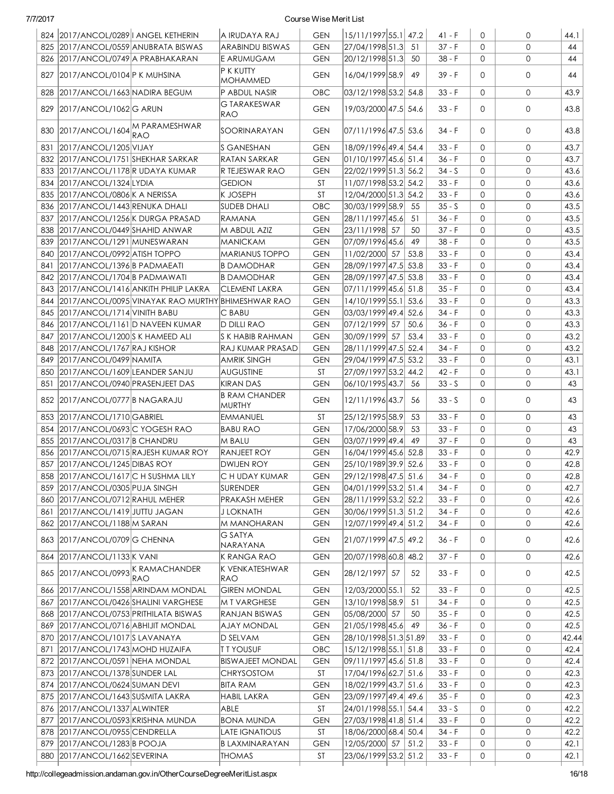|     | 824 2017/ANCOL/0289   ANGEL KETHERIN  |                                                         | A IRUDAYA RAJ                         | <b>GEN</b> | 15/11/1997 55.1 47.2  |      | $41 - F$ | $\mathbf{0}$ | 0                   | 44.1  |
|-----|---------------------------------------|---------------------------------------------------------|---------------------------------------|------------|-----------------------|------|----------|--------------|---------------------|-------|
|     | 825 2017/ANCOL/0559 ANUBRATA BISWAS   |                                                         | <b>ARABINDU BISWAS</b>                | <b>GEN</b> | 27/04/1998 51.3       | 51   | 37 - F   | $\Omega$     | $\mathbf 0$         | 44    |
|     | 826 2017/ANCOL/0749 A PRABHAKARAN     |                                                         | E ARUMUGAM                            | <b>GEN</b> | 20/12/1998 51.3       | 50   | $38 - F$ | $\mathbf{O}$ | $\mathsf{O}$        | 44    |
|     | 827 2017/ANCOL/0104 P K MUHSINA       |                                                         | P K KUTTY                             | <b>GEN</b> | 16/04/1999 58.9       | 49   | 39 - F   | $\Omega$     | 0                   | 44    |
|     |                                       |                                                         | <b>MOHAMMED</b>                       |            |                       |      |          |              |                     |       |
|     | 828 2017/ANCOL/1663 NADIRA BEGUM      |                                                         | P ABDUL NASIR                         | OBC        | 03/12/1998 53.2 54.8  |      | $33 - F$ | 0            | $\mathsf{O}$        | 43.9  |
| 829 | 2017/ANCOL/1062 G ARUN                |                                                         | G TARAKESWAR<br><b>RAO</b>            | <b>GEN</b> | 19/03/2000 47.5 54.6  |      | $33 - F$ | $\Omega$     | $\mathsf{O}$        | 43.8  |
|     | 830 2017/ANCOL/1604 M PARAMESHWAR     | RAO                                                     | SOORINARAYAN                          | <b>GEN</b> | 07/11/1996 47.5 53.6  |      | 34 - F   | $\Omega$     | 0                   | 43.8  |
| 831 | 2017/ANCOL/1205 VIJAY                 |                                                         | S GANESHAN                            | <b>GEN</b> | 18/09/1996 49.4 54.4  |      | $33 - F$ | $\Omega$     | $\mathsf{O}$        | 43.7  |
|     | 832 2017/ANCOL/1751 SHEKHAR SARKAR    |                                                         | RATAN SARKAR                          | <b>GEN</b> | 01/10/1997 45.6 51.4  |      | $36 - F$ | $\Omega$     | $\mathsf{O}$        | 43.7  |
|     | 833 2017/ANCOL/1178 R UDAYA KUMAR     |                                                         | R TEJESWAR RAO                        | <b>GEN</b> | 22/02/1999 51.3 56.2  |      | $34 - S$ | $\Omega$     | $\mathsf{O}$        | 43.6  |
|     | 834 2017/ANCOL/1324 LYDIA             |                                                         | <b>GEDION</b>                         | ST         | 11/07/1998 53.2 54.2  |      | $33 - F$ | $\mathbf{0}$ | $\mathbf{O}$        | 43.6  |
|     | 835 2017/ANCOL/0806 K A NERISSA       |                                                         | <b>K JOSEPH</b>                       | ST         | 12/04/2000 51.3 54.2  |      | $33 - F$ | $\Omega$     | $\mathbf{O}$        | 43.6  |
|     | 836 2017/ANCOL/1443 RENUKA DHALI      |                                                         | <b>SUDEB DHALI</b>                    | OBC        | 30/03/1999 58.9       | 55   | $35 - S$ | $\Omega$     | $\mathbf{O}$        | 43.5  |
| 837 | 2017/ANCOL/1256 K DURGA PRASAD        |                                                         | RAMANA                                | <b>GEN</b> | 28/11/1997 45.6       | 51   | $36 - F$ | $\Omega$     | $\mathbf{O}$        | 43.5  |
| 838 | 2017/ANCOL/0449 SHAHID ANWAR          |                                                         | M ABDUL AZIZ                          | <b>GEN</b> | 23/11/1998 57         | 50   | $37 - F$ | $\mathbf{O}$ | 0                   | 43.5  |
| 839 | 2017/ANCOL/1291 MUNESWARAN            |                                                         | <b>MANICKAM</b>                       | <b>GEN</b> | 07/09/1996 45.6       | 49   | 38 - F   | $\Omega$     | $\mathbf{0}$        | 43.5  |
| 840 | 2017/ANCOL/0992 ATISH TOPPO           |                                                         | <b>MARIANUS TOPPO</b>                 | <b>GEN</b> | 11/02/2000 57         | 53.8 | $33 - F$ | $\Omega$     | $\mathsf{O}\xspace$ | 43.4  |
| 841 | 2017/ANCOL/1396 B PADMAEATI           |                                                         | <b>B DAMODHAR</b>                     | <b>GEN</b> | 28/09/1997 47.5 53.8  |      | $33 - F$ | $\Omega$     | $\mathsf{O}\xspace$ | 43.4  |
| 842 | 2017/ANCOL/1704 B PADMAWATI           |                                                         | <b>B DAMODHAR</b>                     | <b>GEN</b> | 28/09/1997 47.5 53.8  |      | $33 - F$ | $\Omega$     | 0                   | 43.4  |
|     |                                       | 843 2017/ANCOL/1416 ANKITH PHILIP LAKRA                 | <b>CLEMENT LAKRA</b>                  | <b>GEN</b> | 07/11/1999 45.6 51.8  |      | $35 - F$ | $\Omega$     | $\mathbf 0$         | 43.4  |
|     |                                       | 844   2017/ANCOL/0095 VINAYAK RAO MURTHY BHIMESHWAR RAO |                                       | <b>GEN</b> | 14/10/1999 55.1 53.6  |      | $33 - F$ | $\Omega$     | $\mathsf{O}\xspace$ | 43.3  |
|     | 845 2017/ANCOL/1714 VINITH BABU       |                                                         | C BABU                                | <b>GEN</b> | 03/03/1999 49.4 52.6  |      | 34 - F   | $\Omega$     | $\mathsf{O}$        | 43.3  |
|     | 846   2017/ANCOL/1161   DNAVEEN KUMAR |                                                         | D DILLI RAO                           | <b>GEN</b> | 07/12/1999 57         | 50.6 | $36 - F$ | $\Omega$     | 0                   | 43.3  |
|     | 847 2017/ANCOL/1200 S K HAMEED ALI    |                                                         | S K HABIB RAHMAN                      | <b>GEN</b> | 30/09/1999 57         | 53.4 | $33 - F$ | $\mathbf{0}$ | 0                   | 43.2  |
|     | 848 2017/ANCOL/1767 RAJ KISHOR        |                                                         | RAJ KUMAR PRASAD                      | <b>GEN</b> | 28/11/1999 47.5 52.4  |      | $34 - F$ | $\mathbf{O}$ | $\mathbf 0$         | 43.2  |
|     | 849 2017/ANCOL/0499 NAMITA            |                                                         | <b>AMRIK SINGH</b>                    | <b>GEN</b> | 29/04/1999 47.5 53.2  |      | $33 - F$ | 0            | $\mathbf{O}$        | 43.1  |
|     | 850 2017/ANCOL/1609 LEANDER SANJU     |                                                         | <b>AUGUSTINE</b>                      | <b>ST</b>  | 27/09/1997 53.2 44.2  |      | 42 - F   | 0            | 0                   | 43.1  |
|     | 851 2017/ANCOL/0940 PRASENJEET DAS    |                                                         | <b>KIRAN DAS</b>                      | <b>GEN</b> | 06/10/1995 43.7       | 56   | $33 - S$ | 0            | $\mathsf{O}$        | 43    |
|     | 852 2017/ANCOL/0777 B NAGARAJU        |                                                         | <b>B RAM CHANDER</b><br><b>MURTHY</b> | <b>GEN</b> | 12/11/1996 43.7       | 56   | $33 - S$ | $\Omega$     | 0                   | 43    |
|     | 853 2017/ANCOL/1710 GABRIEL           |                                                         | <b>EMMANUEL</b>                       | ST         | 25/12/1995 58.9       | 53   | $33 - F$ | 0            | $\mathsf{O}$        | 43    |
|     | 854 2017/ANCOL/0693 C YOGESH RAO      |                                                         | <b>BABU RAO</b>                       | <b>GEN</b> | 17/06/2000 58.9       | 53   | $33 - F$ | 0            | $\mathbf{O}$        | 43    |
|     | 855 2017/ANCOL/0317 B CHANDRU         |                                                         | M BALU                                | <b>GEN</b> | 03/07/1999 49.4       | 49   | $37 - F$ | 0            | $\mathbf{0}$        | 43    |
|     |                                       | 856 2017/ANCOL/0715 RAJESH KUMAR ROY                    | RANJEET ROY                           | <b>GEN</b> | 16/04/1999 45.6 52.8  |      | $33 - F$ | $\Omega$     | $\mathbf{O}$        | 42.9  |
|     | 857 2017/ANCOL/1245 DIBAS ROY         |                                                         | DWIJEN ROY                            | <b>GEN</b> | 25/10/1989 39.9 52.6  |      | $33 - F$ | $\Omega$     | $\mathbf{O}$        | 42.8  |
|     | 858 2017/ANCOL/1617 C H SUSHMA LILY   |                                                         | C H UDAY KUMAR                        | GEN        | 29/12/1998 47.5 51.6  |      | 34 - F   | 0            | 0                   | 42.8  |
|     | 859 2017/ANCOL/0305 PUJA SINGH        |                                                         | SURENDER                              | GEN        | 04/01/1999 53.2 51.4  |      | 34 - F   | $\Omega$     | 0                   | 42.7  |
| 860 | 2017/ANCOL/0712 RAHUL MEHER           |                                                         | PRAKASH MEHER                         | <b>GEN</b> | 28/11/1999 53.2 52.2  |      | $33 - F$ | 0            | 0                   | 42.6  |
| 861 | 2017/ANCOL/1419 JUTTU JAGAN           |                                                         | <b>J LOKNATH</b>                      | <b>GEN</b> | 30/06/1999 51.3 51.2  |      | $34 - F$ | $\mathbf{O}$ | 0                   | 42.6  |
|     | 862 2017/ANCOL/1188 M SARAN           |                                                         | M MANOHARAN                           | <b>GEN</b> | 12/07/1999 49.4 51.2  |      | $34 - F$ | 0            | 0                   | 42.6  |
|     | 863 2017/ANCOL/0709 G CHENNA          |                                                         | G SATYA<br>NARAYANA                   | <b>GEN</b> | 21/07/1999 47.5 49.2  |      | $36 - F$ | 0            | 0                   | 42.6  |
| 864 | 2017/ANCOL/1133 K VANI                |                                                         | K RANGA RAO                           | <b>GEN</b> | 20/07/1998 60.8 48.2  |      | $37 - F$ | 0            | 0                   | 42.6  |
| 865 | 2017/ANCOL/0993 KRAMACHANDER          |                                                         | K VENKATESHWAR                        | GEN        | 28/12/1997 57         | 52   | $33 - F$ | $\Omega$     | 0                   | 42.5  |
|     | 2017/ANCOL/1558 ARINDAM MONDAL        | RAO                                                     | RAO<br><b>GIREN MONDAL</b>            |            | 12/03/2000 55.1       | 52   | $33 - F$ | $\mathbf{0}$ | 0                   | 42.5  |
| 866 |                                       |                                                         |                                       | <b>GEN</b> | 13/10/1998 58.9       |      |          | $\Omega$     | 0                   |       |
| 867 | 2017/ANCOL/0426 SHALINI VARGHESE      |                                                         | M T VARGHESE                          | <b>GEN</b> |                       | 51   | $34 - F$ | $\mathbf{0}$ |                     | 42.5  |
|     | 868 2017/ANCOL/0753 PRITHILATA BISWAS |                                                         | RANJAN BISWAS                         | <b>GEN</b> | 05/08/2000 57         | 50   | $35 - F$ |              | 0                   | 42.5  |
|     | 869 2017/ANCOL/0716 ABHIJIT MONDAL    |                                                         | <b>AJAY MONDAL</b>                    | <b>GEN</b> | 21/05/1998 45.6       | 49   | $36 - F$ | $\mathbf{0}$ | 0                   | 42.5  |
|     | 870 2017/ANCOL/1017 SLAVANAYA         |                                                         | D SELVAM                              | <b>GEN</b> | 28/10/1998 51.3 51.89 |      | $33 - F$ | $\mathbf{0}$ | 0                   | 42.44 |
| 871 | 2017/ANCOL/1743 MOHD HUZAIFA          |                                                         | <b>TTYOUSUF</b>                       | OBC        | 15/12/1998 55.1 51.8  |      | $33 - F$ | 0            | 0                   | 42.4  |
|     | 872 2017/ANCOL/0591 NEHA MONDAL       |                                                         | <b>BISWAJEET MONDAL</b>               | <b>GEN</b> | 09/11/1997 45.6 51.8  |      | $33 - F$ | 0            | 0                   | 42.4  |
|     | 873 2017/ANCOL/1378 SUNDER LAL        |                                                         | <b>CHRYSOSTOM</b>                     | ST         | 17/04/1996 62.7 51.6  |      | $33 - F$ | $\mathbf{0}$ | 0                   | 42.3  |
|     | 874 2017/ANCOL/0624 SUMAN DEVI        |                                                         | <b>BITA RAM</b>                       | <b>GEN</b> | 18/02/1999 43.7 51.6  |      | $33 - F$ | 0            | 0                   | 42.3  |
|     | 875 2017/ANCOL/1643 SUSMITA LAKRA     |                                                         | <b>HABIL LAKRA</b>                    | <b>GEN</b> | 23/09/1997 49.4 49.6  |      | $35 - F$ | 0            | $\mathsf{O}\xspace$ | 42.3  |
|     | 876 2017/ANCOL/1337 ALWINTER          |                                                         | ABLE                                  | <b>ST</b>  | 24/01/1998 55.1 54.4  |      | $33 - S$ | 0            | 0                   | 42.2  |
|     | 877 2017/ANCOL/0593 KRISHNA MUNDA     |                                                         | <b>BONA MUNDA</b>                     | <b>GEN</b> | 27/03/1998 41.8 51.4  |      | $33 - F$ | $\mathbf{O}$ | 0                   | 42.2  |
|     | 878 2017/ANCOL/0955 CENDRELLA         |                                                         | <b>LATE IGNATIOUS</b>                 | ST         | 18/06/2000 68.4 50.4  |      | $34 - F$ | $\mathbf{0}$ | 0                   | 42.2  |
|     | 879 2017/ANCOL/1283 B POOJA           |                                                         | <b>B LAXMINARAYAN</b>                 | <b>GEN</b> | 12/05/2000 57         | 51.2 | $33 - F$ | $\mathbf{O}$ | 0                   | 42.1  |
| 880 | 2017/ANCOL/1662 SEVERINA              |                                                         | <b>THOMAS</b>                         | ST         | 23/06/1999 53.2 51.2  |      | $33 - F$ | 0            | 0                   | 42.1  |

http://collegeadmission.andaman.gov.in/OtherCourseDegreeMeritList.aspx 16/18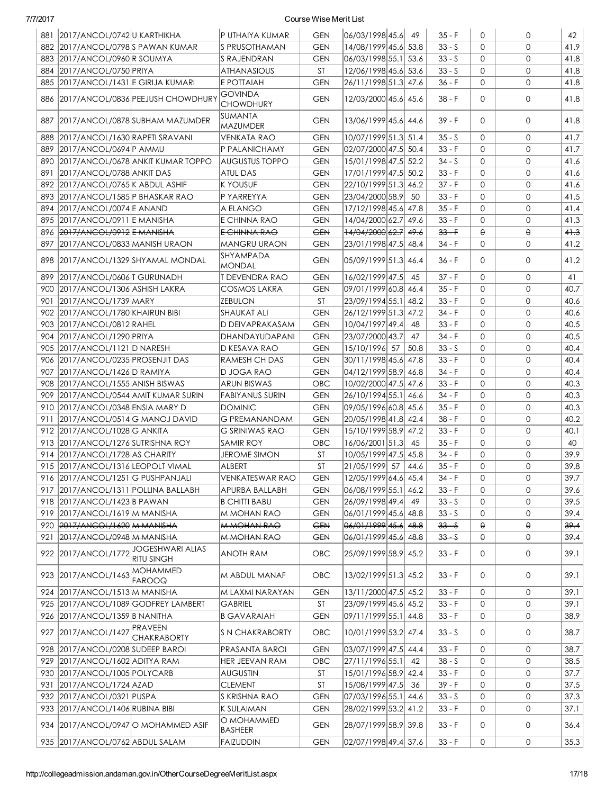|     | 881 2017/ANCOL/0742 U KARTHIKHA           |                                       | P UTHAIYA KUMAR                    | <b>GEN</b>     | 06/03/1998 45.6        | 49   | $35 - F$ | $\mathbf{0}$ | 0            | 42                |
|-----|-------------------------------------------|---------------------------------------|------------------------------------|----------------|------------------------|------|----------|--------------|--------------|-------------------|
|     | 882 2017/ANCOL/0798 SPAWAN KUMAR          |                                       | IS PRUSOTHAMAN                     | <b>GEN</b>     | 14/08/1999 45.6 53.8   |      | $33 - S$ | $\Omega$     | $\Omega$     | 41.9              |
|     | 883 2017/ANCOL/0960 R SOUMYA              |                                       | <b>S RAJENDRAN</b>                 | <b>GEN</b>     | 06/03/1998 55.1 53.6   |      | $33 - S$ | $\Omega$     | 0            | 41.8              |
| 884 | 2017/ANCOL/0750 PRIYA                     |                                       | <b>ATHANASIOUS</b>                 | <b>ST</b>      | 12/06/1998 45.6 53.6   |      | $33 - S$ | $\mathbf{0}$ | $\mathbf{0}$ | 41.8              |
| 885 | 2017/ANCOL/1431 E GIRIJA KUMARI           |                                       | E POTTAIAH                         | <b>GEN</b>     | 26/11/1998 51.3 47.6   |      | 36 - F   | $\Omega$     | $\mathbf{0}$ | 41.8              |
|     | 886   2017/ANCOL/0836   PEEJUSH CHOWDHURY |                                       | <b>GOVINDA</b><br><b>CHOWDHURY</b> | <b>GEN</b>     | 12/03/2000 45.6 45.6   |      | $38 - F$ | $\Omega$     | $\mathbf{0}$ | 41.8              |
|     | 887 2017/ANCOL/0878 SUBHAM MAZUMDER       |                                       | <b>SUMANTA</b><br><b>MAZUMDER</b>  | <b>GEN</b>     | 13/06/1999 45.6 44.6   |      | 39 - F   | $\Omega$     | 0            | 41.8              |
| 888 | 2017/ANCOL/1630 RAPETI SRAVANI            |                                       | <b>VENKATA RAO</b>                 | <b>GEN</b>     | 10/07/1999 51.3 51.4   |      | $35 - S$ | $\Omega$     | $\mathbf{0}$ | 41.7              |
| 889 | 2017/ANCOL/0694 P AMMU                    |                                       | P PALANICHAMY                      | <b>GEN</b>     | 02/07/2000 47.5 50.4   |      | $33 - F$ | $\Omega$     | 0            | 41.7              |
| 890 | 2017/ANCOL/0678 ANKIT KUMAR TOPPO         |                                       | <b>AUGUSTUS TOPPO</b>              | <b>GEN</b>     | 15/01/1998 47.5 52.2   |      | $34 - S$ | $\Omega$     | 0            | 41.6              |
| 891 | 2017/ANCOL/0788 ANKIT DAS                 |                                       | <b>ATUL DAS</b>                    | <b>GEN</b>     | 17/01/1999 47.5 50.2   |      | $33 - F$ | $\Omega$     | 0            | 41.6              |
| 892 | 2017/ANCOL/0765 K ABDUL ASHIF             |                                       | <b>K YOUSUF</b>                    | <b>GEN</b>     | 22/10/1999 51.3 46.2   |      | $37 - F$ | $\Omega$     | $\mathbf{0}$ | 41.6              |
| 893 | 2017/ANCOL/1585 P BHASKAR RAO             |                                       | P YARREYYA                         | <b>GEN</b>     | 23/04/2000 58.9        | 50   | $33 - F$ | $\Omega$     | 0            | 41.5              |
| 894 | 2017/ANCOL/0074 E ANAND                   |                                       | A ELANGO                           | <b>GEN</b>     | 17/12/1998 45.6 47.8   |      | $35 - F$ | $\mathbf{0}$ | $\mathbf{O}$ | 41.4              |
| 895 | 2017/ANCOL/0911 E MANISHA                 |                                       | E CHINNA RAO                       | <b>GEN</b>     | 14/04/2000 62.7        | 49.6 | $33 - F$ | 0            | $\mathbf{0}$ | 41.3              |
|     | 896 2017/ANCOL/0912 E MANISHA             |                                       | E CHINNA RAO                       | <del>GEN</del> | $+4/04/2000 62.7 49.6$ |      | $33 - F$ | $\Theta$     | $\Theta$     | 41.3              |
| 897 | 2017/ANCOL/0833 MANISH URAON              |                                       | <b>MANGRU URAON</b>                | <b>GEN</b>     | 23/01/1998 47.5 48.4   |      | $34 - F$ | $\mathbf{0}$ | 0            | 41.2              |
|     | 898 2017/ANCOL/1329 SHYAMAL MONDAL        |                                       | SHYAMPADA<br><b>MONDAL</b>         | <b>GEN</b>     | 05/09/1999 51.3  46.4  |      | 36 - F   | $\Omega$     | 0            | 41.2              |
|     | 899 2017/ANCOL/0606 T GURUNADH            |                                       | T DEVENDRA RAO                     | <b>GEN</b>     | 16/02/1999 47.5        | 45   | $37 - F$ | 0            | $\mathbf{0}$ | 41                |
|     | 900 2017/ANCOL/1306 ASHISH LAKRA          |                                       | COSMOS LAKRA                       | <b>GEN</b>     | 09/01/1999 60.8  46.4  |      | $35 - F$ | $\mathbf{O}$ | $\mathbf{0}$ | 40.7              |
| 901 | 2017/ANCOL/1739 MARY                      |                                       | ZEBULON                            | <b>ST</b>      | 23/09/1994 55.1 48.2   |      | $33 - F$ | $\mathbf{O}$ | 0            | 40.6              |
|     | 902 2017/ANCOL/1780 KHAIRUN BIBI          |                                       | SHAUKAT ALI                        | <b>GEN</b>     | 26/12/1999 51.3 47.2   |      | 34 - F   | 0            | $\mathbf{0}$ | 40.6              |
|     | 903 2017/ANCOL/0812 RAHEL                 |                                       | D DEIVAPRAKASAM                    | <b>GEN</b>     | 10/04/1997 49.4        | 48   | $33 - F$ | 0            | $\mathbf{0}$ | 40.5              |
|     | 904 2017/ANCOL/1290 PRIYA                 |                                       | DHANDAYUDAPANI                     | <b>GEN</b>     | 23/07/2000 43.7        | 47   | 34 - F   | $\mathbf{0}$ | 0            | 40.5              |
|     | 905 2017/ANCOL/1121 D NARESH              |                                       | D KESAVA RAO                       | <b>GEN</b>     | 15/10/1996 57          | 50.8 | $33 - S$ | $\mathbf{O}$ | $\mathbf{0}$ | 40.4              |
|     | 906 2017/ANCOL/0235 PROSENJIT DAS         |                                       | RAMESH CH DAS                      | <b>GEN</b>     | 30/11/1998 45.6 47.8   |      | $33 - F$ | $\mathbf{O}$ | $\mathbf{0}$ | 40.4              |
| 907 | 2017/ANCOL/1426 D RAMIYA                  |                                       | D JOGA RAO                         | <b>GEN</b>     | 04/12/1999 58.9 46.8   |      | 34 - F   | $\Omega$     | 0            | 40.4              |
|     | 908 2017/ANCOL/1555 ANISH BISWAS          |                                       | <b>ARUN BISWAS</b>                 | OBC            | 10/02/2000 47.5 47.6   |      | $33 - F$ | $\mathbf{O}$ | 0            | 40.3              |
| 909 | 2017/ANCOL/0544 AMIT KUMAR SURIN          |                                       | <b>FABIYANUS SURIN</b>             | <b>GEN</b>     | 26/10/1994 55.1 46.6   |      | $34 - F$ | $\Omega$     | $\mathbf{0}$ | 40.3              |
|     | 910 2017/ANCOL/0348 ENSIA MARY D          |                                       | <b>DOMINIC</b>                     | <b>GEN</b>     | 09/05/1996 60.8 45.6   |      | $35 - F$ | $\Omega$     | $\mathbf{0}$ | 40.3              |
| 911 | 2017/ANCOL/0514 G MANOJ DAVID             |                                       | <b>G PREMANANDAM</b>               | <b>GEN</b>     | 20/05/1998 41.8 42.4   |      | $38 - F$ | $\mathbf{O}$ | $\mathbf{0}$ | 40.2              |
|     | 912 2017/ANCOL/1028 G ANKITA              |                                       | <b>G SRINIWAS RAO</b>              | <b>GEN</b>     | 15/10/1999 58.9 47.2   |      | $33 - F$ | $\mathbf{0}$ | $\mathbf{O}$ | 40.1              |
|     | 913 2017/ANCOL/1276 SUTRISHNA ROY         |                                       | <b>SAMIR ROY</b>                   | OBC            | 16/06/2001 51.3        | 45   | $35 - F$ | $\Omega$     | $\mathbf{0}$ | 40                |
|     | 914 2017/ANCOL/1728 AS CHARITY            |                                       | <b>JEROME SIMON</b>                | ST             | 10/05/1999 47.5 45.8   |      | 34 - F   | $\mathbf{0}$ | 0            | 39.9              |
|     | 915 2017/ANCOL/1316 LEOPOLT VIMAL         |                                       | ALBERT                             | <b>ST</b>      | 21/05/1999 57          | 44.6 | $35 - F$ | $\Omega$     | 0            | 39.8              |
|     | 916 2017/ANCOL/1251 G PUSHPANJALI         |                                       | <b>VENKATESWAR RAO</b>             | <b>GEN</b>     | 12/05/1999 64.6 45.4   |      | 34 - F   | 0            | 0            | $\overline{39.7}$ |
|     | 917   2017/ANCOL/1311   POLLINA BALLABH   |                                       | APURBA BALLABH                     | <b>GEN</b>     | 06/08/1999 55.1 46.2   |      | $33 - F$ | 0            | 0            | 39.6              |
|     | 918 2017/ANCOL/1423 B PAWAN               |                                       | <b>B CHITTI BABU</b>               | <b>GEN</b>     | 26/09/1998 49.4        | 49   | $33 - S$ | 0            | 0            | 39.5              |
|     | 919 2017/ANCOL/1619 M MANISHA             |                                       | M MOHAN RAO                        | <b>GEN</b>     | 06/01/1999 45.6 48.8   |      | $33 - S$ | 0            | 0            | 39.4              |
|     | 920 2017/ANCOL/1620 M MANISHA             |                                       | <b>M-MOHAN-RAO</b>                 | <b>GEN</b>     | 06/01/1999 45.6 48.8   |      | $33 - S$ | $\Theta$     | θ            | 39.4              |
| 921 | 2017/ANCOL/0948 M MANISHA                 |                                       | <b>M MOHAN RAO</b>                 | <b>GEN</b>     | 06/01/1999 45.6 48.8   |      | $33 - S$ | $\Theta$     | θ            | 39.4              |
|     | 922 2017/ANCOL/1772                       | JOGESHWARI ALIAS<br><b>RITU SINGH</b> | ANOTH RAM                          | OBC.           | 25/09/1999 58.9 45.2   |      | $33 - F$ | 0            | 0            | 39.1              |
| 923 | 2017/ANCOL/1463 MOHAMMED                  | <b>FAROOQ</b>                         | M ABDUL MANAF                      | <b>OBC</b>     | 13/02/1999 51.3 45.2   |      | $33 - F$ | 0            | 0            | 39.1              |
|     | 924 2017/ANCOL/1513 M MANISHA             |                                       | M LAXMI NARAYAN                    | <b>GEN</b>     | 13/11/2000 47.5 45.2   |      | $33 - F$ | $\mathbf{0}$ | 0            | 39.1              |
|     | 925 2017/ANCOL/1089 GODFREY LAMBERT       |                                       | <b>GABRIEL</b>                     | ST             | 23/09/1999 45.6 45.2   |      | $33 - F$ | 0            | 0            | 39.1              |
|     | 926 2017/ANCOL/1359 B NANITHA             |                                       | <b>B GAVARAIAH</b>                 | <b>GEN</b>     | 09/11/1999 55.1  44.8  |      | $33 - F$ | 0            | 0            | 38.9              |
| 927 | 2017/ANCOL/1427 PRAVEEN                   | <b>CHAKRABORTY</b>                    | <b>S N CHAKRABORTY</b>             | <b>OBC</b>     | 10/01/1999 53.2 47.4   |      | $33 - S$ | 0            | 0            | 38.7              |
| 928 | 2017/ANCOL/0208 SUDEEP BAROI              |                                       | PRASANTA BAROI                     | <b>GEN</b>     | 03/07/1999 47.5 44.4   |      | $33 - F$ | 0            | 0            | 38.7              |
| 929 | 2017/ANCOL/1602 ADITYA RAM                |                                       | <b>HER JEEVAN RAM</b>              | OBC            | 27/11/1996 55.1        | 42   | $38 - S$ | $\mathbf{O}$ | 0            | 38.5              |
| 930 | 2017/ANCOL/1005 POLYCARB                  |                                       | <b>AUGUSTIN</b>                    | ST             | 15/01/1996 58.9 42.4   |      | $33 - F$ | 0            | 0            | 37.7              |
| 931 | 2017/ANCOL/1724 AZAD                      |                                       | <b>CLEMENT</b>                     | ST             | 15/08/1999 47.5        | 36   | $39 - F$ | 0            | 0            | 37.5              |
|     | 932 2017/ANCOL/0321 PUSPA                 |                                       | S KRISHNA RAO                      | <b>GEN</b>     | 07/03/1996 55.1 44.6   |      | $33 - S$ | $\mathsf{O}$ | 0            | 37.3              |
|     | 933 2017/ANCOL/1406 RUBINA BIBI           |                                       | K SULAIMAN                         | <b>GEN</b>     | 28/02/1999 53.2 41.2   |      | $33 - F$ | 0            | 0            | 37.1              |
|     | 934   2017/ANCOL/0947 O MOHAMMED ASIF     |                                       | O MOHAMMED<br><b>BASHEER</b>       | <b>GEN</b>     | 28/07/1999 58.9 39.8   |      | $33 - F$ | 0            | 0            | 36.4              |
|     | 935   2017/ANCOL/0762   ABDUL SALAM       |                                       | FAIZUDDIN                          | <b>GEN</b>     | 02/07/1998 49.4 37.6   |      | $33 - F$ | 0            | 0            | 35.3              |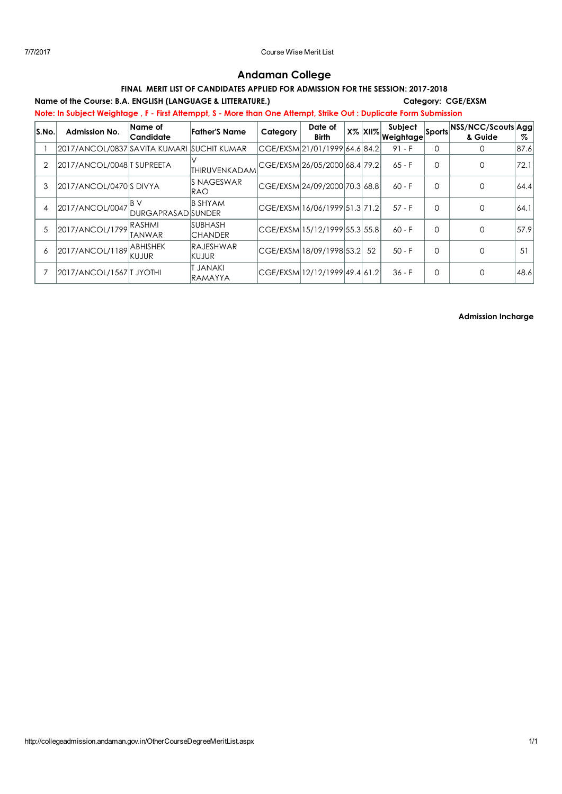# Andaman College

# FINAL MERIT LIST OF CANDIDATES APPLIED FOR ADMISSION FOR THE SESSION: 2017-2018

Name of the Course: B.A. ENGLISH (LANGUAGE & LITTERATURE.) Category: CGE/EXSM

Note: In Subject Weightage , F - First Attemppt, S - More than One Attempt, Strike Out : Duplicate Form Submission

| S.No. | <b>Admission No.</b>                       | Name of<br>Candidate               | <b>Father'S Name</b>              | Category | Date of<br><b>Birth</b>        | $X\%$ $XII\%$ . | Subject<br>Weightage | Sports   | NSS/NCC/Scouts Agg<br>& Guide | %    |
|-------|--------------------------------------------|------------------------------------|-----------------------------------|----------|--------------------------------|-----------------|----------------------|----------|-------------------------------|------|
|       | 2017/ANCOL/0837 SAVITA KUMARI SUCHIT KUMAR |                                    |                                   |          | CGE/EXSM 21/01/1999 64.6 84.2  |                 | $91 - F$             | 0        | $\Omega$                      | 87.6 |
| 2     | 2017/ANCOL/0048 TSUPREETA                  |                                    | THIRUVENKADAM                     |          | CGE/EXSM 26/05/2000 68.4  79.2 |                 | $65 - F$             | $\Omega$ | O                             | 72.1 |
| 3     | 2017/ANCOL/0470 SDIVYA                     |                                    | IS NAGESWAR<br>IRAO               |          | CGE/EXSM 24/09/2000 70.3  68.8 |                 | $60 - F$             | $\Omega$ |                               | 64.4 |
| 4     | 2017/ANCOL/0047                            | IB V<br><b>IDURGAPRASADISUNDER</b> | <b>B SHYAM</b>                    |          | CGE/EXSM 16/06/1999 51.3 71.2  |                 | $57 - F$             | $\Omega$ |                               | 64.1 |
| .5    | 2017/ANCOL/1799                            | <b>RASHMI</b><br>TANWAR            | <b>SUBHASH</b><br><b>ICHANDER</b> |          | CGE/EXSM  5/12/1999 55.3 55.8  |                 | $60 - F$             | $\Omega$ |                               | 57.9 |
| 6     | 2017/ANCOL/1189                            | <b>ABHISHEK</b><br>IKUJUR          | <b>RAJESHWAR</b><br>KUJUR         |          | CGE/EXSM 18/09/1998 53.2       | 52              | $50 - F$             | $\Omega$ |                               | 51   |
|       | 2017/ANCOL/1567   JYOTHI                   |                                    | <b>T JANAKI</b><br><b>RAMAYYA</b> |          | lCGE/EXSM 12/12/1999 49.4 61.2 |                 | $36 - F$             | $\Omega$ |                               | 48.6 |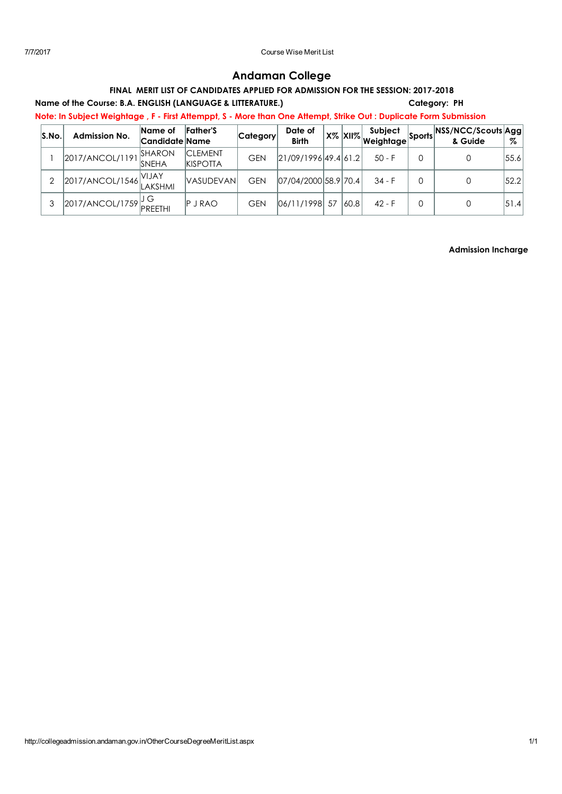# Andaman College

# FINAL MERIT LIST OF CANDIDATES APPLIED FOR ADMISSION FOR THE SESSION: 2017-2018

## Name of the Course: B.A. ENGLISH (LANGUAGE & LITTERATURE.) Category: PH

Note: In Subject Weightage , F - First Attemppt, S - More than One Attempt, Strike Out : Duplicate Form Submission

| S.No. | <b>Admission No.</b>  | Name of<br> Candidate  Name | <b>Father'S</b>                   | <b>Category</b> | Date of<br><b>Birth</b> |    |      | Subject<br>⊺X% <mark>XII% weightα</mark> gel | <sup>t</sup> Sports NSS/NCC/Scouts Agg<br>& Guide | %    |
|-------|-----------------------|-----------------------------|-----------------------------------|-----------------|-------------------------|----|------|----------------------------------------------|---------------------------------------------------|------|
|       | 2017/ANCOL/1191       | SHARON<br><b>SNEHA</b>      | <b>CLEMENT</b><br><b>KISPOTTA</b> | <b>GEN</b>      | 21/09/1996 49.4 61.2    |    |      | $50 - F$                                     |                                                   | 55.6 |
| ⌒     | 2017/ANCOL/1546 VIJAY |                             | <b>VASUDEVAN</b>                  | GEN             | 07/04/2000 58.9 70.4    |    |      | $34 - F$                                     |                                                   | 52.2 |
| 3     | 2017/ANCOL/1759       | PREETHI                     | $P$ J RAO                         | GEN             | 06/11/1998              | 57 | 60.8 | $42 - F$                                     | 0                                                 | 51.4 |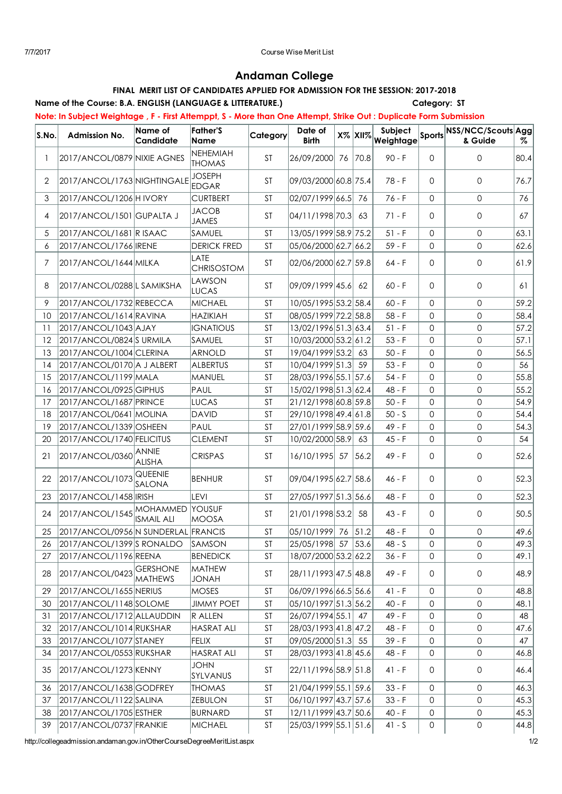# Andaman College

# FINAL MERIT LIST OF CANDIDATES APPLIED FOR ADMISSION FOR THE SESSION: 2017-2018

# Name of the Course: B.A. ENGLISH (LANGUAGE & LITTERATURE.) Category: ST

Note: In Subject Weightage , F - First Attemppt, S - More than One Attempt, Strike Out : Duplicate Form Submission

| S.No. | <b>Admission No.</b>                   | Name of<br>Candidate       | <b>Father'S</b><br><b>Name</b> | Category  | Date of<br><b>Birth</b>                            | $X\%$ $XII\%$ | Subject<br>Weightage |                     | Sports NSS/NCC/Scouts Agg<br>& Guide | Z.   |
|-------|----------------------------------------|----------------------------|--------------------------------|-----------|----------------------------------------------------|---------------|----------------------|---------------------|--------------------------------------|------|
| 1     | 2017/ANCOL/0879 NIXIE AGNES            |                            | NEHEMIAH<br><b>THOMAS</b>      | <b>ST</b> | 26/09/2000 76 70.8                                 |               | $90 - F$             | $\mathbf 0$         | 0                                    | 80.4 |
| 2     | 2017/ANCOL/1763 NIGHTINGALE            |                            | <b>JOSEPH</b><br><b>EDGAR</b>  | <b>ST</b> | 09/03/2000 60.8 75.4                               |               | $78 - F$             | $\Omega$            | 0                                    | 76.7 |
| 3     | 2017/ANCOL/1206 H IVORY                |                            | <b>CURTBERT</b>                | ST        | 02/07/1999 66.5 76                                 |               | $76 - F$             | $\Omega$            | $\mathbf{0}$                         | 76   |
| 4     | 2017/ANCOL/1501 GUPALTA J              |                            | <b>JACOB</b><br><b>JAMES</b>   | ST        | 04/11/1998 70.3                                    | 63            | 71 - F               | $\Omega$            | $\mathbf{0}$                         | 67   |
| 5     | 2017/ANCOL/1681 R ISAAC                |                            | SAMUEL                         | <b>ST</b> | 13/05/1999 58.9 75.2                               |               | $51 - F$             | $\Omega$            | 0                                    | 63.1 |
| 6     | 2017/ANCOL/1766 IRENE                  |                            | <b>DERICK FRED</b>             | <b>ST</b> | 05/06/2000 62.7 66.2                               |               | $59 - F$             | $\circ$             | $\mathbf{0}$                         | 62.6 |
| 7     | 2017/ANCOL/1644 MILKA                  |                            | LATE<br><b>CHRISOSTOM</b>      | ST        | 02/06/2000 62.7 59.8                               |               | $64 - F$             | $\Omega$            | 0                                    | 61.9 |
| 8     | 2017/ANCOL/0288 L SAMIKSHA             |                            | LAWSON<br><b>LUCAS</b>         | <b>ST</b> | 09/09/1999 45.6                                    | 62            | $60 - F$             | $\Omega$            | 0                                    | 61   |
| 9     | 2017/ANCOL/1732 REBECCA                |                            | MICHAEL                        | <b>ST</b> | 10/05/1995 53.2 58.4                               |               | $60 - F$             | $\Omega$            | 0                                    | 59.2 |
| 10    | 2017/ANCOL/1614 RAVINA                 |                            | <b>HAZIKIAH</b>                | <b>ST</b> | 08/05/1999 72.2 58.8                               |               | $58 - F$             | $\Omega$            | $\mathbf 0$                          | 58.4 |
| 11    | 2017/ANCOL/1043 AJAY                   |                            | <b>IGNATIOUS</b>               | ST        | 13/02/1996 51.3 63.4                               |               | $51 - F$             | $\Omega$            | 0                                    | 57.2 |
| 12    | 2017/ANCOL/0824 SURMILA                |                            | <b>SAMUEL</b>                  | <b>ST</b> | 10/03/2000 53.2 61.2                               |               | $53 - F$             | $\Omega$            | 0                                    | 57.1 |
| 13    | 2017/ANCOL/1004 CLERINA                |                            | <b>ARNOLD</b>                  | <b>ST</b> | 19/04/1999 53.2                                    | 63            | $50 - F$             | $\Omega$            | 0                                    | 56.5 |
| 14    | 2017/ANCOL/0170 A J ALBERT             |                            | <b>ALBERTUS</b>                | <b>ST</b> | 10/04/1999 51.3 59                                 |               | $53 - F$             | $\mathbf 0$         | 0                                    | 56   |
| 15    | 2017/ANCOL/1199 MALA                   |                            | <b>MANUEL</b>                  | <b>ST</b> | 28/03/1996 55.1 57.6                               |               | $54 - F$             | $\Omega$            | $\mathbf 0$                          | 55.8 |
| 16    | 2017/ANCOL/0925 GIPHUS                 |                            | PAUL                           | <b>ST</b> | 15/02/1998 51.3 62.4                               |               | 48 - F               | $\Omega$            | $\mathbf 0$                          | 55.2 |
| 17    | 2017/ANCOL/1687 PRINCE                 |                            | <b>LUCAS</b>                   | <b>ST</b> | 21/12/1998 60.8 59.8                               |               | $50 - F$             | $\Omega$            | 0                                    | 54.9 |
| 18    | 2017/ANCOL/0641 MOLINA                 |                            | <b>DAVID</b>                   | ST        | 29/10/1998 49.4 61.8                               |               | $50 - S$             | $\Omega$            | $\mathbf 0$                          | 54.4 |
| 19    | 2017/ANCOL/1339 OSHEEN                 |                            | PAUL                           | <b>ST</b> | 27/01/1999 58.9 59.6                               |               | $49 - F$             | $\circ$             | 0                                    | 54.3 |
| 20    | 2017/ANCOL/1740 FELICITUS              |                            | <b>CLEMENT</b>                 | <b>ST</b> | 10/02/2000 58.9                                    | 63            | $45 - F$             | $\mathbf 0$         | 0                                    | 54   |
| 21    | 2017/ANCOL/0360 ANNIE                  | <b>ALISHA</b>              | <b>CRISPAS</b>                 | <b>ST</b> | 16/10/1995 57 56.2                                 |               | $49 - F$             | $\Omega$            | 0                                    | 52.6 |
| 22    | 2017/ANCOL/1073                        | QUEENIE<br>SALONA          | <b>BENHUR</b>                  | <b>ST</b> | 09/04/1995 62.7 58.6                               |               | 46 - F               | $\Omega$            | 0                                    | 52.3 |
| 23    | 2017/ANCOL/1458 IRISH                  |                            | <b>LEVI</b>                    | <b>ST</b> | 27/05/1997 51.3 56.6                               |               | 48 - F               | $\Omega$            | $\mathsf{O}$                         | 52.3 |
| 24    | 2017/ANCOL/1545 MOHAMMED               | <b>ISMAIL ALI</b>          | YOUSUF<br><b>MOOSA</b>         | <b>ST</b> | 21/01/1998 53.2                                    | -58           | $43 - F$             | $\Omega$            | $\mathbf 0$                          | 50.5 |
| 25    | 2017/ANCOL/0956 N SUNDERLAL FRANCIS    |                            |                                | ST        | 05/10/1999 76 51.2                                 |               | 48 - F               | $\mathbf 0$         | 0                                    | 49.6 |
| 26    | $ 2017/ANCOL/1399 S$ RONALDO $ SAMSON$ |                            |                                | ST        | $\vert$ 25/05/1998 $\vert$ 57 $\vert$ 53.6 $\vert$ |               | $48 - S$             | 0                   | $\mathbf 0$                          | 49.3 |
| 27    | 2017/ANCOL/1196 REENA                  |                            | <b>BENEDICK</b>                | <b>ST</b> | 18/07/2000 53.2 62.2                               |               | $36 - F$             | $\mathbf 0$         | 0                                    | 49.1 |
| 28    | 2017/ANCOL/0423                        | GERSHONE<br><b>MATHEWS</b> | MATHEW<br><b>HANOL</b>         | ST        | 28/11/1993 47.5 48.8                               |               | 49 - F               | 0                   | $\mathsf{O}$                         | 48.9 |
| 29    | 2017/ANCOL/1655 NERIUS                 |                            | <b>MOSES</b>                   | ST        | 06/09/1996 66.5 56.6                               |               | $41 - F$             | 0                   | 0                                    | 48.8 |
| 30    | 2017/ANCOL/1148 SOLOME                 |                            | <b>JIMMY POET</b>              | ST        | 05/10/1997 51.3 56.2                               |               | $40 - F$             | $\mathbf 0$         | 0                                    | 48.1 |
| 31    | 2017/ANCOL/1712 ALLAUDDIN              |                            | R ALLEN                        | ST        | 26/07/1994 55.1                                    | 47            | 49 - F               | $\mathbf 0$         | $\mathsf{O}\xspace$                  | 48   |
| 32    | 2017/ANCOL/1014 RUKSHAR                |                            | <b>HASRAT ALI</b>              | <b>ST</b> | 28/03/1993 41.8 47.2                               |               | 48 - F               | $\mathsf{O}\xspace$ | 0                                    | 47.6 |
| 33    | 2017/ANCOL/1077 STANEY                 |                            | <b>FELIX</b>                   | ST        | 09/05/2000 51.3 55                                 |               | $39 - F$             | 0                   | 0                                    | 47   |
| 34    | 2017/ANCOL/0553 RUKSHAR                |                            | <b>HASRAT ALI</b>              | <b>ST</b> | 28/03/1993 41.8 45.6                               |               | 48 - F               | $\mathsf{O}\xspace$ | 0                                    | 46.8 |
| 35    | 2017/ANCOL/1273 KENNY                  |                            | <b>JOHN</b><br>SYLVANUS        | ST        | 22/11/1996 58.9 51.8                               |               | $41 - F$             | 0                   | 0                                    | 46.4 |
| 36    | 2017/ANCOL/1638 GODFREY                |                            | <b>THOMAS</b>                  | ST        | 21/04/1999 55.1 59.6                               |               | $33 - F$             | $\mathbf 0$         | 0                                    | 46.3 |
| 37    | 2017/ANCOL/1122 SALINA                 |                            | ZEBULON                        | ST        | 06/10/1997 43.7 57.6                               |               | $33 - F$             | $\mathbf 0$         | $\mathsf{O}\xspace$                  | 45.3 |
| 38    | 2017/ANCOL/1705 ESTHER                 |                            | <b>BURNARD</b>                 | ST        | 12/11/1999 43.7 50.6                               |               | $40 - F$             | 0                   | 0                                    | 45.3 |
| 39    | 2017/ANCOL/0737 FRANKIE                |                            | <b>MICHAEL</b>                 | ST        | 25/03/1999 55.1 51.6                               |               | $41 - S$             | $\mathsf{O}\xspace$ | 0                                    | 44.8 |

http://collegeadmission.andaman.gov.in/OtherCourseDegreeMeritList.aspx 1/2